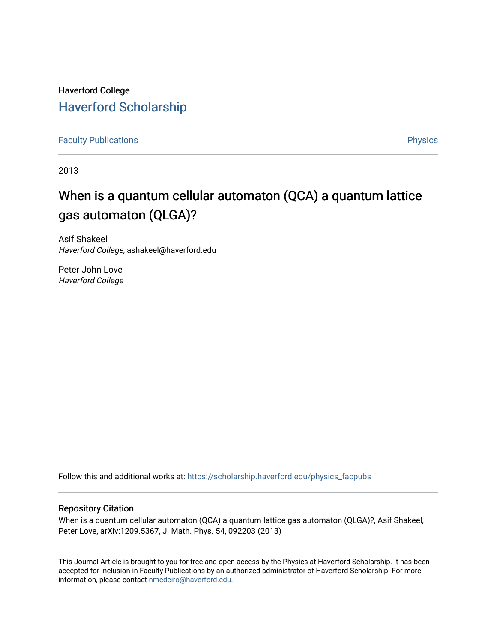## Haverford College [Haverford Scholarship](https://scholarship.haverford.edu/)

[Faculty Publications](https://scholarship.haverford.edu/physics_facpubs) **Physics** 

2013

## When is a quantum cellular automaton (QCA) a quantum lattice gas automaton (QLGA)?

Asif Shakeel Haverford College, ashakeel@haverford.edu

Peter John Love Haverford College

Follow this and additional works at: [https://scholarship.haverford.edu/physics\\_facpubs](https://scholarship.haverford.edu/physics_facpubs?utm_source=scholarship.haverford.edu%2Fphysics_facpubs%2F279&utm_medium=PDF&utm_campaign=PDFCoverPages) 

### Repository Citation

When is a quantum cellular automaton (QCA) a quantum lattice gas automaton (QLGA)?, Asif Shakeel, Peter Love, arXiv:1209.5367, J. Math. Phys. 54, 092203 (2013)

This Journal Article is brought to you for free and open access by the Physics at Haverford Scholarship. It has been accepted for inclusion in Faculty Publications by an authorized administrator of Haverford Scholarship. For more information, please contact [nmedeiro@haverford.edu.](mailto:nmedeiro@haverford.edu)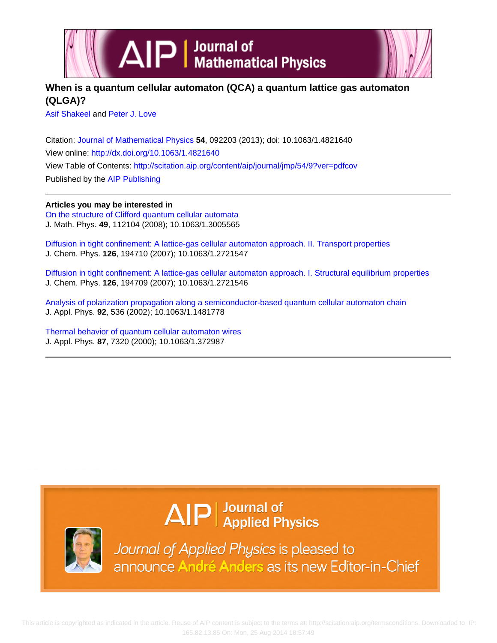

## **When is a quantum cellular automaton (QCA) a quantum lattice gas automaton (QLGA)?**

[Asif Shakeel](http://scitation.aip.org/search?value1=Asif+Shakeel&option1=author) and [Peter J. Love](http://scitation.aip.org/search?value1=Peter+J.+Love&option1=author)

Citation: [Journal of Mathematical Physics](http://scitation.aip.org/content/aip/journal/jmp?ver=pdfcov) **54**, 092203 (2013); doi: 10.1063/1.4821640 View online: <http://dx.doi.org/10.1063/1.4821640> View Table of Contents: <http://scitation.aip.org/content/aip/journal/jmp/54/9?ver=pdfcov> Published by the [AIP Publishing](http://scitation.aip.org/content/aip?ver=pdfcov)

**Articles you may be interested in**

[On the structure of Clifford quantum cellular automata](http://scitation.aip.org/content/aip/journal/jmp/49/11/10.1063/1.3005565?ver=pdfcov) J. Math. Phys. **49**, 112104 (2008); 10.1063/1.3005565

[Diffusion in tight confinement: A lattice-gas cellular automaton approach. II. Transport properties](http://scitation.aip.org/content/aip/journal/jcp/126/19/10.1063/1.2721547?ver=pdfcov) J. Chem. Phys. **126**, 194710 (2007); 10.1063/1.2721547

[Diffusion in tight confinement: A lattice-gas cellular automaton approach. I. Structural equilibrium properties](http://scitation.aip.org/content/aip/journal/jcp/126/19/10.1063/1.2721546?ver=pdfcov) J. Chem. Phys. **126**, 194709 (2007); 10.1063/1.2721546

[Analysis of polarization propagation along a semiconductor-based quantum cellular automaton chain](http://scitation.aip.org/content/aip/journal/jap/92/1/10.1063/1.1481778?ver=pdfcov) J. Appl. Phys. **92**, 536 (2002); 10.1063/1.1481778

[Thermal behavior of quantum cellular automaton wires](http://scitation.aip.org/content/aip/journal/jap/87/10/10.1063/1.372987?ver=pdfcov) J. Appl. Phys. **87**, 7320 (2000); 10.1063/1.372987

# $\Delta$ IP  $\vert$  Journal of Applied Physics



Journal of Applied Physics is pleased to announce André Anders as its new Editor-in-Chief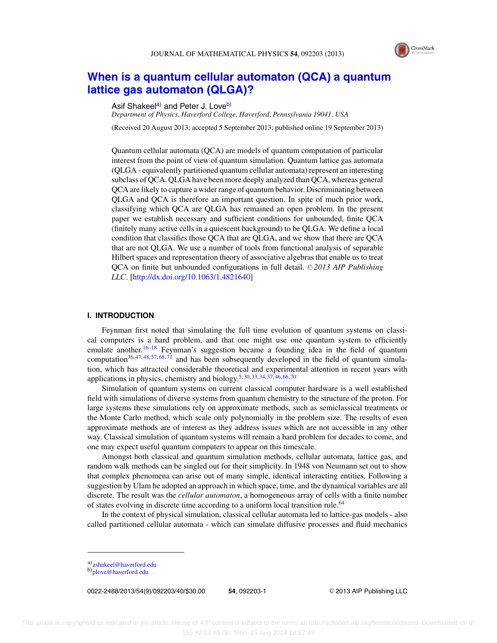

## **[When is a quantum cellular automaton \(QCA\) a quantum](http://dx.doi.org/10.1063/1.4821640) [lattice gas automaton \(QLGA\)?](http://dx.doi.org/10.1063/1.4821640)**

#### Asif Shakeel<sup>a)</sup> and Peter J. Love<sup>b)</sup>

*Department of Physics, Haverford College, Haverford, Pennsylvania 19041, USA*

(Received 20 August 2013; accepted 5 September 2013; published online 19 September 2013)

Quantum cellular automata (QCA) are models of quantum computation of particular interest from the point of view of quantum simulation. Quantum lattice gas automata (QLGA - equivalently partitioned quantum cellular automata) represent an interesting subclass of QCA. QLGA have been more deeply analyzed than QCA, whereas general QCA are likely to capture a wider range of quantum behavior. Discriminating between QLGA and QCA is therefore an important question. In spite of much prior work, classifying which QCA are QLGA has remained an open problem. In the present paper we establish necessary and sufficient conditions for unbounded, finite QCA (finitely many active cells in a quiescent background) to be QLGA. We define a local condition that classifies those QCA that are QLGA, and we show that there are QCA that are not QLGA. We use a number of tools from functional analysis of separable Hilbert spaces and representation theory of associative algebras that enable us to treat QCA on finite but unbounded configurations in full detail. © 2013 AIP Publishing *LLC*. [\[http://dx.doi.org/10.1063/1.4821640\]](http://dx.doi.org/10.1063/1.4821640)

#### **I. INTRODUCTION**

Feynman first noted that simulating the full time evolution of quantum systems on classical computers is a hard problem, and that one might use one quantum system to efficiently emulate another.<sup>16–18</sup> Feynman's suggestion became a founding idea in the field of quantum computation $36, 47, 48, 57, 68, 71$  $36, 47, 48, 57, 68, 71$  $36, 47, 48, 57, 68, 71$  $36, 47, 48, 57, 68, 71$  $36, 47, 48, 57, 68, 71$  $36, 47, 48, 57, 68, 71$  $36, 47, 48, 57, 68, 71$  $36, 47, 48, 57, 68, 71$  $36, 47, 48, 57, 68, 71$  $36, 47, 48, 57, 68, 71$  and has been subsequently developed in the field of quantum simulation, which has attracted considerable theoretical and experimental attention in recent years with applications in physics, chemistry and biology.<sup>5, [30,](#page-40-0) [33,](#page-40-0) [34,](#page-40-0) [37,](#page-40-0) [46,](#page-40-0) [66,](#page-40-0) [70](#page-41-0)</sup>

Simulation of quantum systems on current classical computer hardware is a well established field with simulations of diverse systems from quantum chemistry to the structure of the proton. For large systems these simulations rely on approximate methods, such as semiclassical treatments or the Monte Carlo method, which scale only polynomially in the problem size. The results of even approximate methods are of interest as they address issues which are not accessible in any other way. Classical simulation of quantum systems will remain a hard problem for decades to come, and one may expect useful quantum computers to appear on this timescale.

Amongst both classical and quantum simulation methods, cellular automata, lattice gas, and random walk methods can be singled out for their simplicity. In 1948 von Neumann set out to show that complex phenomena can arise out of many simple, identical interacting entities. Following a suggestion by Ulam he adopted an approach in which space, time, and the dynamical variables are all discrete. The result was the *cellular automaton*, a homogeneous array of cells with a finite number of states evolving in discrete time according to a uniform local transition rule.<sup>[64](#page-40-0)</sup>

In the context of physical simulation, classical cellular automata led to lattice-gas models - also called partitioned cellular automata - which can simulate diffusive processes and fluid mechanics

0022-2488/2013/54(9)/092203/40/\$30.00 **54**, 092203-1 -

<sup>C</sup> 2013 AIP Publishing LLC

a)<sub>ashakeel@haverford.edu</sub>

b)<sub>plove</sub>@haverford.edu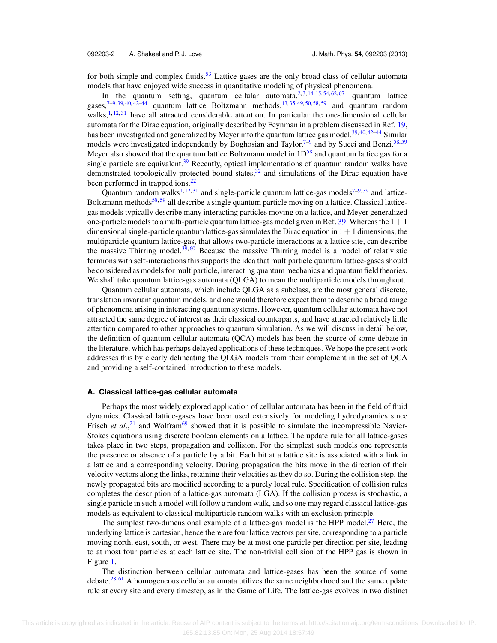for both simple and complex fluids.<sup>[53](#page-40-0)</sup> Lattice gases are the only broad class of cellular automata models that have enjoyed wide success in quantitative modeling of physical phenomena.

In the quantum setting, quantum cellular automata, $2,3,14,15,54,62,67$  $2,3,14,15,54,62,67$  $2,3,14,15,54,62,67$  $2,3,14,15,54,62,67$  $2,3,14,15,54,62,67$  $2,3,14,15,54,62,67$  $2,3,14,15,54,62,67$  quantum lattice gases,<sup>7–9, [39,](#page-40-0) [40,](#page-40-0) [42–44](#page-40-0)</sup> quantum lattice Boltzmann methods,<sup>[13,](#page-39-0) [35,](#page-40-0) [49,](#page-40-0) [50,](#page-40-0) [58,](#page-40-0) [59](#page-40-0)</sup> and quantum random walks, $\frac{1}{2}$ ,  $\frac{1}{2}$ ,  $\frac{31}{2}$  $\frac{31}{2}$  $\frac{31}{2}$  have all attracted considerable attention. In particular the one-dimensional cellular automata for the Dirac equation, originally described by Feynman in a problem discussed in Ref. [19,](#page-39-0) has been investigated and generalized by Meyer into the quantum lattice gas model.<sup>[39,](#page-40-0) [40,](#page-40-0) [42–44](#page-40-0)</sup> Similar models were investigated independently by Boghosian and Taylor, $7-9$  and by Succi and Benzi.<sup>[58,](#page-40-0) [59](#page-40-0)</sup> Meyer also showed that the quantum lattice Boltzmann model in  $1D<sup>58</sup>$  $1D<sup>58</sup>$  $1D<sup>58</sup>$  and quantum lattice gas for a single particle are equivalent. $39$  Recently, optical implementations of quantum random walks have demonstrated topologically protected bound states, $32$  and simulations of the Dirac equation have been performed in trapped ions.<sup>[22](#page-39-0)</sup>

Quantum random walks<sup>[1,](#page-39-0) [12,](#page-39-0) [31](#page-40-0)</sup> and single-particle quantum lattice-gas models<sup>7-9, [39](#page-40-0)</sup> and lattice-Boltzmann methods<sup>[58,](#page-40-0) [59](#page-40-0)</sup> all describe a single quantum particle moving on a lattice. Classical latticegas models typically describe many interacting particles moving on a lattice, and Meyer generalized one-particle models to a multi-particle quantum lattice-gas model given in Ref. [39.](#page-40-0) Whereas the  $1 + 1$ dimensional single-particle quantum lattice-gas simulates the Dirac equation in  $1 + 1$  dimensions, the multiparticle quantum lattice-gas, that allows two-particle interactions at a lattice site, can describe the massive Thirring model.<sup>[39,](#page-40-0)[60](#page-40-0)</sup> Because the massive Thirring model is a model of relativistic fermions with self-interactions this supports the idea that multiparticle quantum lattice-gases should be considered as models for multiparticle, interacting quantum mechanics and quantum field theories. We shall take quantum lattice-gas automata (QLGA) to mean the multiparticle models throughout.

Quantum cellular automata, which include QLGA as a subclass, are the most general discrete, translation invariant quantum models, and one would therefore expect them to describe a broad range of phenomena arising in interacting quantum systems. However, quantum cellular automata have not attracted the same degree of interest as their classical counterparts, and have attracted relatively little attention compared to other approaches to quantum simulation. As we will discuss in detail below, the definition of quantum cellular automata (QCA) models has been the source of some debate in the literature, which has perhaps delayed applications of these techniques. We hope the present work addresses this by clearly delineating the QLGA models from their complement in the set of QCA and providing a self-contained introduction to these models.

#### **A. Classical lattice-gas cellular automata**

Perhaps the most widely explored application of cellular automata has been in the field of fluid dynamics. Classical lattice-gases have been used extensively for modeling hydrodynamics since Frisch *et al.*,<sup>[21](#page-39-0)</sup> and Wolfram<sup>69</sup> showed that it is possible to simulate the incompressible Navier-Stokes equations using discrete boolean elements on a lattice. The update rule for all lattice-gases takes place in two steps, propagation and collision. For the simplest such models one represents the presence or absence of a particle by a bit. Each bit at a lattice site is associated with a link in a lattice and a corresponding velocity. During propagation the bits move in the direction of their velocity vectors along the links, retaining their velocities as they do so. During the collision step, the newly propagated bits are modified according to a purely local rule. Specification of collision rules completes the description of a lattice-gas automata (LGA). If the collision process is stochastic, a single particle in such a model will follow a random walk, and so one may regard classical lattice-gas models as equivalent to classical multiparticle random walks with an exclusion principle.

The simplest two-dimensional example of a lattice-gas model is the HPP model.<sup>[27](#page-39-0)</sup> Here, the underlying lattice is cartesian, hence there are four lattice vectors per site, corresponding to a particle moving north, east, south, or west. There may be at most one particle per direction per site, leading to at most four particles at each lattice site. The non-trivial collision of the HPP gas is shown in Figure [1.](#page-4-0)

The distinction between cellular automata and lattice-gases has been the source of some debate.<sup>28, [61](#page-40-0)</sup> A homogeneous cellular automata utilizes the same neighborhood and the same update rule at every site and every timestep, as in the Game of Life. The lattice-gas evolves in two distinct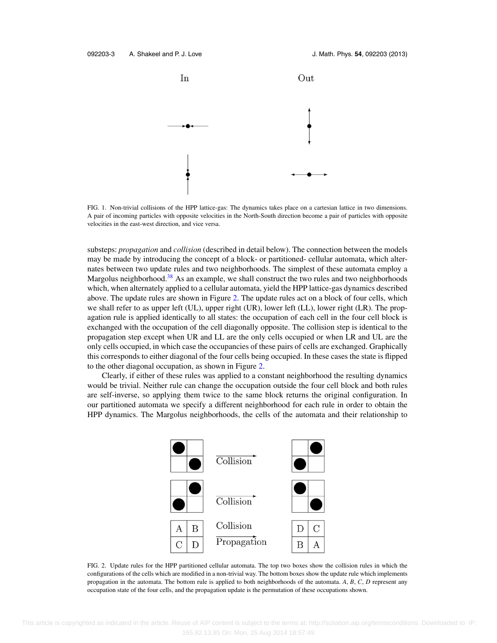<span id="page-4-0"></span>

FIG. 1. Non-trivial collisions of the HPP lattice-gas: The dynamics takes place on a cartesian lattice in two dimensions. A pair of incoming particles with opposite velocities in the North-South direction become a pair of particles with opposite velocities in the east-west direction, and vice versa.

substeps: *propagation* and *collision* (described in detail below). The connection between the models may be made by introducing the concept of a block- or partitioned- cellular automata, which alternates between two update rules and two neighborhoods. The simplest of these automata employ a Margolus neighborhood.<sup>[38](#page-40-0)</sup> As an example, we shall construct the two rules and two neighborhoods which, when alternately applied to a cellular automata, yield the HPP lattice-gas dynamics described above. The update rules are shown in Figure 2. The update rules act on a block of four cells, which we shall refer to as upper left (UL), upper right (UR), lower left (LL), lower right (LR). The propagation rule is applied identically to all states: the occupation of each cell in the four cell block is exchanged with the occupation of the cell diagonally opposite. The collision step is identical to the propagation step except when UR and LL are the only cells occupied or when LR and UL are the only cells occupied, in which case the occupancies of these pairs of cells are exchanged. Graphically this corresponds to either diagonal of the four cells being occupied. In these cases the state is flipped to the other diagonal occupation, as shown in Figure 2.

Clearly, if either of these rules was applied to a constant neighborhood the resulting dynamics would be trivial. Neither rule can change the occupation outside the four cell block and both rules are self-inverse, so applying them twice to the same block returns the original configuration. In our partitioned automata we specify a different neighborhood for each rule in order to obtain the HPP dynamics. The Margolus neighborhoods, the cells of the automata and their relationship to



FIG. 2. Update rules for the HPP partitioned cellular automata. The top two boxes show the collision rules in which the configurations of the cells which are modified in a non-trivial way. The bottom boxes show the update rule which implements propagation in the automata. The bottom rule is applied to both neighborhoods of the automata. *A*, *B*, *C*, *D* represent any occupation state of the four cells, and the propagation update is the permutation of these occupations shown.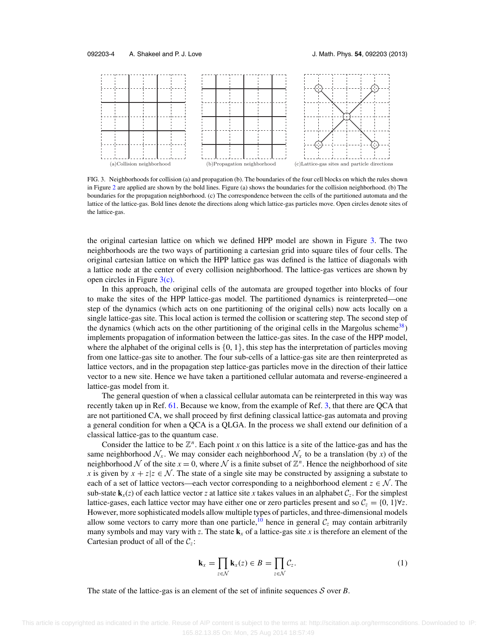<span id="page-5-0"></span>

FIG. 3. Neighborhoods for collision (a) and propagation (b). The boundaries of the four cell blocks on which the rules shown in Figure [2](#page-4-0) are applied are shown by the bold lines. Figure (a) shows the boundaries for the collision neighborhood. (b) The boundaries for the propagation neighborhood. (c) The correspondence between the cells of the partitioned automata and the lattice of the lattice-gas. Bold lines denote the directions along which lattice-gas particles move. Open circles denote sites of the lattice-gas.

the original cartesian lattice on which we defined HPP model are shown in Figure 3. The two neighborhoods are the two ways of partitioning a cartesian grid into square tiles of four cells. The original cartesian lattice on which the HPP lattice gas was defined is the lattice of diagonals with a lattice node at the center of every collision neighborhood. The lattice-gas vertices are shown by open circles in Figure 3(c).

In this approach, the original cells of the automata are grouped together into blocks of four to make the sites of the HPP lattice-gas model. The partitioned dynamics is reinterpreted—one step of the dynamics (which acts on one partitioning of the original cells) now acts locally on a single lattice-gas site. This local action is termed the collision or scattering step. The second step of the dynamics (which acts on the other partitioning of the original cells in the Margolus scheme $38$ ) implements propagation of information between the lattice-gas sites. In the case of the HPP model, where the alphabet of the original cells is  $\{0, 1\}$ , this step has the interpretation of particles moving from one lattice-gas site to another. The four sub-cells of a lattice-gas site are then reinterpreted as lattice vectors, and in the propagation step lattice-gas particles move in the direction of their lattice vector to a new site. Hence we have taken a partitioned cellular automata and reverse-engineered a lattice-gas model from it.

The general question of when a classical cellular automata can be reinterpreted in this way was recently taken up in Ref. [61.](#page-40-0) Because we know, from the example of Ref. [3,](#page-39-0) that there are QCA that are not partitioned CA, we shall proceed by first defining classical lattice-gas automata and proving a general condition for when a QCA is a QLGA. In the process we shall extend our definition of a classical lattice-gas to the quantum case.

Consider the lattice to be  $\mathbb{Z}^n$ . Each point *x* on this lattice is a site of the lattice-gas and has the same neighborhood  $\mathcal{N}_x$ . We may consider each neighborhood  $\mathcal{N}_x$  to be a translation (by *x*) of the neighborhood N of the site  $x = 0$ , where N is a finite subset of  $\mathbb{Z}^n$ . Hence the neighborhood of site *x* is given by  $x + z|z \in \mathcal{N}$ . The state of a single site may be constructed by assigning a substate to each of a set of lattice vectors—each vector corresponding to a neighborhood element  $z \in \mathcal{N}$ . The sub-state  $\mathbf{k}_x(z)$  of each lattice vector *z* at lattice site *x* takes values in an alphabet  $C_z$ . For the simplest lattice-gases, each lattice vector may have either one or zero particles present and so  $C_z = \{0, 1\} \forall z$ . However, more sophisticated models allow multiple types of particles, and three-dimensional models allow some vectors to carry more than one particle,<sup>10</sup> hence in general  $C_z$  may contain arbitrarily many symbols and may vary with z. The state  $\mathbf{k}_x$  of a lattice-gas site x is therefore an element of the Cartesian product of all of the C*z*:

$$
\mathbf{k}_x = \prod_{z \in \mathcal{N}} \mathbf{k}_x(z) \in B = \prod_{z \in \mathcal{N}} \mathcal{C}_z.
$$
 (1)

The state of the lattice-gas is an element of the set of infinite sequences S over *B*.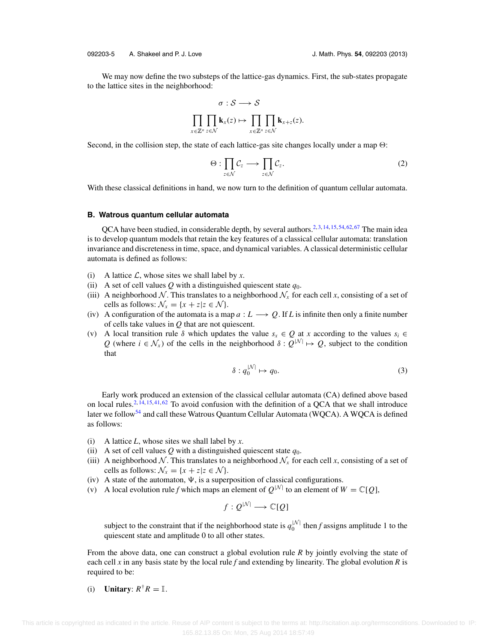092203-5 A. Shakeel and P. J. Love J. Math. Phys. **54**, 092203 (2013)

We may now define the two substeps of the lattice-gas dynamics. First, the sub-states propagate to the lattice sites in the neighborhood:

$$
\sigma : S \longrightarrow S
$$
  

$$
\prod_{x \in \mathbb{Z}^n} \prod_{z \in \mathcal{N}} \mathbf{k}_x(z) \mapsto \prod_{x \in \mathbb{Z}^n} \prod_{z \in \mathcal{N}} \mathbf{k}_{x+z}(z).
$$

Second, in the collision step, the state of each lattice-gas site changes locally under a map  $\Theta$ :

$$
\Theta: \prod_{z \in \mathcal{N}} \mathcal{C}_z \longrightarrow \prod_{z \in \mathcal{N}} \mathcal{C}_z. \tag{2}
$$

With these classical definitions in hand, we now turn to the definition of quantum cellular automata.

#### **B. Watrous quantum cellular automata**

QCA have been studied, in considerable depth, by several authors.<sup>2, [3,](#page-39-0) [14,](#page-39-0) [15,](#page-39-0) [54,](#page-40-0) [62,](#page-40-0) [67](#page-40-0)</sup> The main idea is to develop quantum models that retain the key features of a classical cellular automata: translation invariance and discreteness in time, space, and dynamical variables. A classical deterministic cellular automata is defined as follows:

- (i) A lattice  $\mathcal{L}$ , whose sites we shall label by *x*.
- (ii) A set of cell values  $Q$  with a distinguished quiescent state  $q_0$ .
- (iii) A neighborhood  $N$ . This translates to a neighborhood  $N_x$  for each cell *x*, consisting of a set of cells as follows:  $\mathcal{N}_x = \{x + z | z \in \mathcal{N}\}.$
- (iv) A configuration of the automata is a map  $a: L \longrightarrow Q$ . If *L* is infinite then only a finite number of cells take values in *Q* that are not quiescent.
- (v) A local transition rule  $\delta$  which updates the value  $s_x \in Q$  at *x* according to the values  $s_i \in Q$ *Q* (where  $i \in \mathcal{N}_x$ ) of the cells in the neighborhood  $\delta: Q^{|\mathcal{N}|} \mapsto Q$ , subject to the condition that

$$
\delta: q_0^{|\mathcal{N}|} \mapsto q_0. \tag{3}
$$

Early work produced an extension of the classical cellular automata (CA) defined above based on local rules.<sup>2,  $\bar{14}$ , [15,](#page-39-0) [41,](#page-40-0) [62](#page-40-0) To avoid confusion with the definition of a QCA that we shall introduce</sup> later we follow<sup>54</sup> and call these Watrous Quantum Cellular Automata (WQCA). A WQCA is defined as follows:

- (i) A lattice *L*, whose sites we shall label by *x*.
- (ii) A set of cell values  $Q$  with a distinguished quiescent state  $q_0$ .
- (iii) A neighborhood N. This translates to a neighborhood  $\mathcal{N}_x$  for each cell x, consisting of a set of cells as follows:  $\mathcal{N}_x = \{x + z | z \in \mathcal{N}\}.$
- (iv) A state of the automaton,  $\Psi$ , is a superposition of classical configurations.
- (v) A local evolution rule f which maps an element of  $Q^{|N|}$  to an element of  $W = \mathbb{C}[Q]$ ,

$$
f: Q^{|{\mathcal{N}}|} \longrightarrow \mathbb{C}[Q]
$$

subject to the constraint that if the neighborhood state is  $q_0^{|N|}$  then *f* assigns amplitude 1 to the quiescent state and amplitude 0 to all other states.

From the above data, one can construct a global evolution rule *R* by jointly evolving the state of each cell *x* in any basis state by the local rule *f* and extending by linearity. The global evolution *R* is required to be:

(i) **Unitary**:  $R^{\dagger}R = \mathbb{I}$ .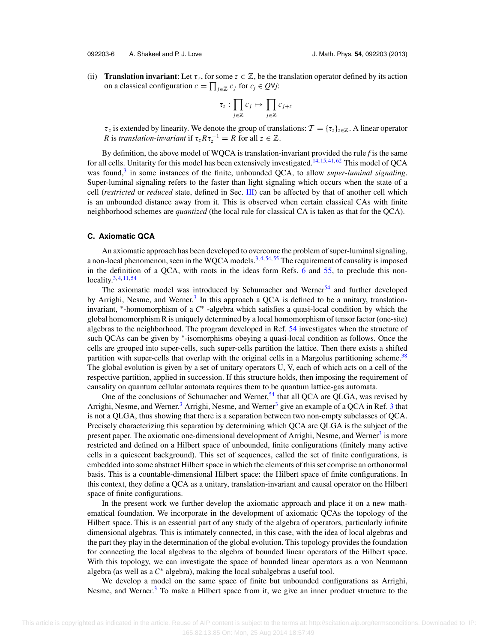092203-6 A. Shakeel and P. J. Love J. Math. Phys. **54**, 092203 (2013)

(ii) **Translation invariant**: Let  $\tau_z$ , for some  $z \in \mathbb{Z}$ , be the translation operator defined by its action on a classical configuration  $c = \prod_{j \in \mathbb{Z}} c_j$  for  $c_j \in Q \forall j$ :

$$
\tau_z : \prod_{j \in \mathbb{Z}} c_j \mapsto \prod_{j \in \mathbb{Z}} c_{j+z}
$$

 $\tau_z$  is extended by linearity. We denote the group of translations:  $\mathcal{T} = {\tau_z}_{z \in \mathbb{Z}}$ . A linear operator *R* is *translation-invariant* if  $\tau_z R \tau_z^{-1} = R$  for all  $z \in \mathbb{Z}$ .

By definition, the above model of WQCA is translation-invariant provided the rule *f* is the same for all cells. Unitarity for this model has been extensively investigated.<sup>14, [15,](#page-39-0) [41,](#page-40-0) [62](#page-40-0)</sup> This model of QCA was found,<sup>3</sup> in some instances of the finite, unbounded QCA, to allow *super-luminal signaling*. Super-luminal signaling refers to the faster than light signaling which occurs when the state of a cell (*restricted* or *reduced* state, defined in Sec. [III\)](#page-9-0) can be affected by that of another cell which is an unbounded distance away from it. This is observed when certain classical CAs with finite neighborhood schemes are *quantized* (the local rule for classical CA is taken as that for the QCA).

#### **C. Axiomatic QCA**

An axiomatic approach has been developed to overcome the problem of super-luminal signaling, a non-local phenomenon, seen in the WQCA models.<sup>3, [4,](#page-39-0) [54,](#page-40-0) [55](#page-40-0)</sup> The requirement of causality is imposed in the definition of a QCA, with roots in the ideas form Refs. [6](#page-39-0) and [55,](#page-40-0) to preclude this non-locality.<sup>3, [4,](#page-39-0) [11,](#page-39-0) [54](#page-40-0)</sup>

The axiomatic model was introduced by Schumacher and Werner<sup>[54](#page-40-0)</sup> and further developed by Arrighi, Nesme, and Werner.<sup>[3](#page-39-0)</sup> In this approach a QCA is defined to be a unitary, translationinvariant, <sup>∗</sup>-homomorphism of a *C*<sup>∗</sup> -algebra which satisfies a quasi-local condition by which the global homomorphism R is uniquely determined by a local homomorphism of tensor factor (one-site) algebras to the neighborhood. The program developed in Ref. [54](#page-40-0) investigates when the structure of such QCAs can be given by \*-isomorphisms obeying a quasi-local condition as follows. Once the cells are grouped into super-cells, such super-cells partition the lattice. Then there exists a shifted partition with super-cells that overlap with the original cells in a Margolus partitioning scheme.<sup>[38](#page-40-0)</sup> The global evolution is given by a set of unitary operators U, V, each of which acts on a cell of the respective partition, applied in succession. If this structure holds, then imposing the requirement of causality on quantum cellular automata requires them to be quantum lattice-gas automata.

One of the conclusions of Schumacher and Werner,  $54$  that all QCA are QLGA, was revised by Arrighi, Nesme, and Werner.<sup>[3](#page-39-0)</sup> Arrighi, Nesme, and Werner<sup>3</sup> give an example of a QCA in Ref. 3 that is not a QLGA, thus showing that there is a separation between two non-empty subclasses of QCA. Precisely characterizing this separation by determining which QCA are QLGA is the subject of the present paper. The axiomatic one-dimensional development of Arrighi, Nesme, and Werner<sup>3</sup> is more restricted and defined on a Hilbert space of unbounded, finite configurations (finitely many active cells in a quiescent background). This set of sequences, called the set of finite configurations, is embedded into some abstract Hilbert space in which the elements of this set comprise an orthonormal basis. This is a countable-dimensional Hilbert space: the Hilbert space of finite configurations. In this context, they define a QCA as a unitary, translation-invariant and causal operator on the Hilbert space of finite configurations.

In the present work we further develop the axiomatic approach and place it on a new mathematical foundation. We incorporate in the development of axiomatic QCAs the topology of the Hilbert space. This is an essential part of any study of the algebra of operators, particularly infinite dimensional algebras. This is intimately connected, in this case, with the idea of local algebras and the part they play in the determination of the global evolution. This topology provides the foundation for connecting the local algebras to the algebra of bounded linear operators of the Hilbert space. With this topology, we can investigate the space of bounded linear operators as a von Neumann algebra (as well as a *C*<sup>∗</sup> algebra), making the local subalgebras a useful tool.

We develop a model on the same space of finite but unbounded configurations as Arrighi, Nesme, and Werner.<sup>3</sup> To make a Hilbert space from it, we give an inner product structure to the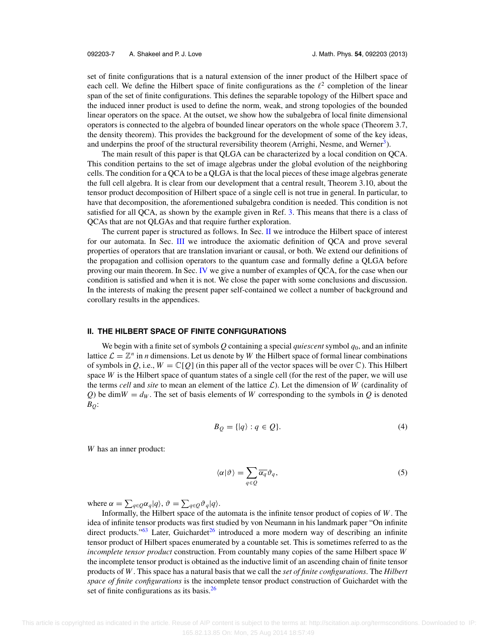#### <span id="page-8-0"></span>092203-7 A. Shakeel and P. J. Love J. Math. Phys. **54**, 092203 (2013)

set of finite configurations that is a natural extension of the inner product of the Hilbert space of each cell. We define the Hilbert space of finite configurations as the  $\ell^2$  completion of the linear span of the set of finite configurations. This defines the separable topology of the Hilbert space and the induced inner product is used to define the norm, weak, and strong topologies of the bounded linear operators on the space. At the outset, we show how the subalgebra of local finite dimensional operators is connected to the algebra of bounded linear operators on the whole space (Theorem 3.7, the density theorem). This provides the background for the development of some of the key ideas, and underpins the proof of the structural reversibility theorem (Arrighi, Nesme, and Werner<sup>3</sup>).

The main result of this paper is that QLGA can be characterized by a local condition on QCA. This condition pertains to the set of image algebras under the global evolution of the neighboring cells. The condition for a QCA to be a QLGA is that the local pieces of these image algebras generate the full cell algebra. It is clear from our development that a central result, Theorem 3.10, about the tensor product decomposition of Hilbert space of a single cell is not true in general. In particular, to have that decomposition, the aforementioned subalgebra condition is needed. This condition is not satisfied for all QCA, as shown by the example given in Ref. [3.](#page-39-0) This means that there is a class of QCAs that are not QLGAs and that require further exploration.

The current paper is structured as follows. In Sec. II we introduce the Hilbert space of interest for our automata. In Sec. [III](#page-9-0) we introduce the axiomatic definition of QCA and prove several properties of operators that are translation invariant or causal, or both. We extend our definitions of the propagation and collision operators to the quantum case and formally define a QLGA before proving our main theorem. In Sec. [IV](#page-27-0) we give a number of examples of QCA, for the case when our condition is satisfied and when it is not. We close the paper with some conclusions and discussion. In the interests of making the present paper self-contained we collect a number of background and corollary results in the appendices.

#### **II. THE HILBERT SPACE OF FINITE CONFIGURATIONS**

We begin with a finite set of symbols *Q* containing a special *quiescent* symbol *q*0, and an infinite lattice  $\mathcal{L} = \mathbb{Z}^n$  in *n* dimensions. Let us denote by *W* the Hilbert space of formal linear combinations of symbols in Q, i.e.,  $W = \mathbb{C}[Q]$  (in this paper all of the vector spaces will be over  $\mathbb{C}$ ). This Hilbert space *W* is the Hilbert space of quantum states of a single cell (for the rest of the paper, we will use the terms *cell* and *site* to mean an element of the lattice  $\mathcal{L}$ ). Let the dimension of *W* (cardinality of *Q*) be dim $W = d_W$ . The set of basis elements of *W* corresponding to the symbols in *Q* is denoted  $B_O$ :

$$
B_Q = \{|q\rangle : q \in Q\}.\tag{4}
$$

*W* has an inner product:

$$
\langle \alpha | \vartheta \rangle = \sum_{q \in \mathcal{Q}} \overline{\alpha_q} \vartheta_q,\tag{5}
$$

where  $\alpha = \sum_{q \in Q} \alpha_q |q\rangle$ ,  $\vartheta = \sum_{q \in Q} \vartheta_q |q\rangle$ .

Informally, the Hilbert space of the automata is the infinite tensor product of copies of *W*. The idea of infinite tensor products was first studied by von Neumann in his landmark paper "On infinite direct products."<sup>63</sup> Later, Guichardet<sup>26</sup> introduced a more modern way of describing an infinite tensor product of Hilbert spaces enumerated by a countable set. This is sometimes referred to as the *incomplete tensor product* construction. From countably many copies of the same Hilbert space *W* the incomplete tensor product is obtained as the inductive limit of an ascending chain of finite tensor products of *W*. This space has a natural basis that we call the *set of finite configurations*. The *Hilbert space of finite configurations* is the incomplete tensor product construction of Guichardet with the set of finite configurations as its basis.<sup>26</sup>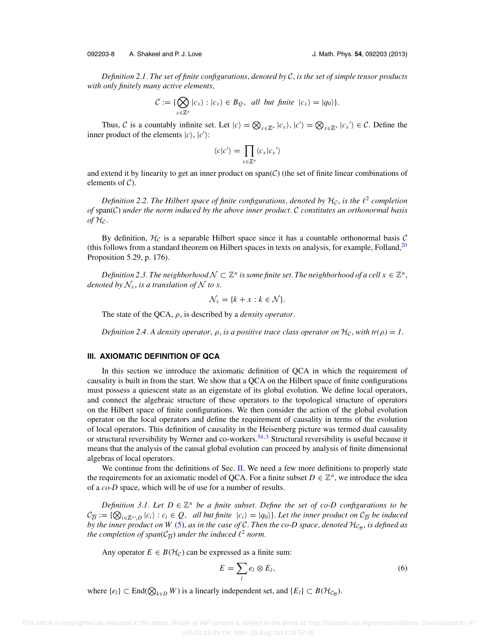<span id="page-9-0"></span>092203-8 A. Shakeel and P. J. Love J. Math. Phys. **54**, 092203 (2013)

*Definition 2.1. The set of finite configurations, denoted by* C, *is the set of simple tensor products with only finitely many active elements,*

$$
C := \{ \bigotimes_{x \in \mathbb{Z}^n} |c_x\rangle : |c_x\rangle \in B_Q, \ \text{all but finite} \ |c_x\rangle = |q_0\rangle \}.
$$

Thus, C is a countably infinite set. Let  $|c\rangle = \bigotimes_{x \in \mathbb{Z}^n} |c_x\rangle$ ,  $|c'\rangle = \bigotimes_{x \in \mathbb{Z}^n} |c_x'\rangle \in \mathcal{C}$ . Define the inner product of the elements  $|c\rangle$ ,  $|c'\rangle$ :

$$
\langle c|c'\rangle = \prod_{x\in\mathbb{Z}^n} \langle c_x|c_x'\rangle
$$

and extend it by linearity to get an inner product on  $\text{span}(\mathcal{C})$  (the set of finite linear combinations of elements of  $C$ ).

*Definition 2.2. The Hilbert space of finite configurations, denoted by*  $\mathcal{H}_c$ *, is the*  $\ell^2$  *completion of* span(C) *under the norm induced by the above inner product.* C *constitutes an orthonormal basis of*  $\mathcal{H}_c$ .

By definition,  $H_C$  is a separable Hilbert space since it has a countable orthonormal basis C (this follows from a standard theorem on Hilbert spaces in texts on analysis, for example, Folland, $20$ Proposition 5.29, p. 176).

*Definition 2.3. The neighborhood*  $\mathcal{N} \subset \mathbb{Z}^n$  *is some finite set. The neighborhood of a cell*  $x \in \mathbb{Z}^n$ , *denoted by*  $\mathcal{N}_x$ , *is a translation of*  $\mathcal N$  *to x*.

$$
\mathcal{N}_x = \{k + x : k \in \mathcal{N}\}.
$$

The state of the QCA, ρ, is described by a *density operator*.

*Definition 2.4. A density operator,*  $\rho$ *, is a positive trace class operator on*  $\mathcal{H}_c$ *, with tr(* $\rho$ *)* = *1*.

#### **III. AXIOMATIC DEFINITION OF QCA**

In this section we introduce the axiomatic definition of QCA in which the requirement of causality is built in from the start. We show that a QCA on the Hilbert space of finite configurations must possess a quiescent state as an eigenstate of its global evolution. We define local operators, and connect the algebraic structure of these operators to the topological structure of operators on the Hilbert space of finite configurations. We then consider the action of the global evolution operator on the local operators and define the requirement of causality in terms of the evolution of local operators. This definition of causality in the Heisenberg picture was termed dual causality or structural reversibility by Werner and co-workers.<sup>54,[3](#page-39-0)</sup> Structural reversibility is useful because it means that the analysis of the causal global evolution can proceed by analysis of finite dimensional algebras of local operators.

We continue from the definitions of Sec. [II.](#page-8-0) We need a few more definitions to properly state the requirements for an axiomatic model of QCA. For a finite subset  $D \in \mathbb{Z}^n$ , we introduce the idea of a *co*-*D* space, which will be of use for a number of results.

*Definition 3.1. Let*  $D \in \mathbb{Z}^n$  *be a finite subset. Define the set of co-D configurations to be*  $\mathcal{C}_{\overline{D}} := \{ \bigotimes_{i \in \mathbb{Z}^n \setminus D} |c_i\rangle : c_i \in \mathcal{Q}, \text{ all but finite } |c_i\rangle = |q_0\rangle \}.$  Let the inner product on  $\mathcal{C}_{\overline{D}}$  be induced *by the inner product on W* [\(5\)](#page-8-0), *as in the case of C*. *Then the co-D space, denoted*  $H_{C_{\overline{n}}}$ *, is defined as the completion of span*( $C_{\overline{D}}$ ) *under the induced*  $\ell^2$  *norm.* 

Any operator  $E \in B(\mathcal{H}_{\mathcal{C}})$  can be expressed as a finite sum:

$$
E = \sum_{l} e_l \otimes E_l, \tag{6}
$$

where  $\{e_l\}$  ⊂ End( $\bigotimes_{k \in D} W$ ) is a linearly independent set, and  $\{E_l\}$  ⊂  $B(\mathcal{H}_{\mathcal{C}_{\overline{D}}})$ .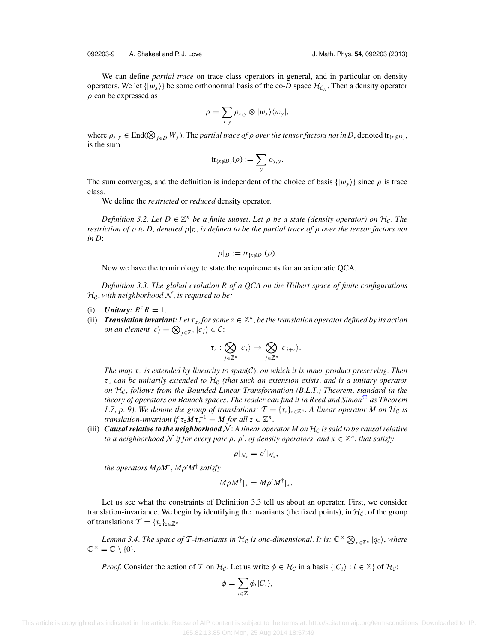092203-9 A. Shakeel and P. J. Love J. Math. Phys. **54**, 092203 (2013)

We can define *partial trace* on trace class operators in general, and in particular on density operators. We let  $\{w_x\}$  be some orthonormal basis of the co-*D* space  $\mathcal{H}_{C_{\overline{D}}}$ . Then a density operator  $\rho$  can be expressed as

$$
\rho = \sum_{x,y} \rho_{x,y} \otimes |w_x\rangle\langle w_y|,
$$

where  $\rho_{x,y} \in \text{End}(\bigotimes_{j \in D} W_j)$ . The *partial trace of*  $\rho$  *over the tensor factors not in D*, denoted tr<sub>{*x*∉*D*}</sub>, is the sum

$$
\mathrm{tr}_{\{x\notin D\}}(\rho) := \sum_{y} \rho_{y,y}.
$$

The sum converges, and the definition is independent of the choice of basis  $\{w_y\}$  since  $\rho$  is trace class.

We define the *restricted* or *reduced* density operator.

*Definition 3.2. Let*  $D \in \mathbb{Z}^n$  *be a finite subset. Let*  $\rho$  *be a state (density operator) on*  $H_c$ . The *restriction of* ρ *to D, denoted* ρ|*D*, *is defined to be the partial trace of* ρ *over the tensor factors not in D*:

$$
\rho|_D := tr_{\{x \notin D\}}(\rho).
$$

Now we have the terminology to state the requirements for an axiomatic QCA.

*Definition 3.3. The global evolution R of a QCA on the Hilbert space of finite configurations*  $\mathcal{H}_{\mathcal{C}}$ , with neighborhood  $\mathcal{N}$ , is required to be:

- (i) *Unitary:*  $R^{\dagger}R = \mathbb{I}$ .
- (ii) *Translation invariant: Let*  $\tau_z$ , *for some*  $z \in \mathbb{Z}^n$ , *be the translation operator defined by its action on an element*  $|c\rangle = \bigotimes_{j\in\mathbb{Z}^n} |c_j\rangle \in \mathcal{C}$ :

$$
\tau_z : \bigotimes_{j \in \mathbb{Z}^n} |c_j\rangle \mapsto \bigotimes_{j \in \mathbb{Z}^n} |c_{j+z}\rangle.
$$

*The map*  $\tau$ <sub>z</sub> *is extended by linearity to span(C), on which it is inner product preserving. Then*  $\tau_z$  *can be unitarily extended to*  $\mathcal{H}_c$  *(that such an extension exists, and is a unitary operator on*  $H_c$ , *follows from the Bounded Linear Transformation (B.L.T.) Theorem, standard in the theory of operators on Banach spaces. The reader can find it in Reed and Simo[n52](#page-40-0) as Theorem 1.7, p. 9). We denote the group of translations:*  $\mathcal{T} = {\tau_z}_{z \in \mathbb{Z}^n}$ . A linear operator M on  $\mathcal{H}_\mathcal{C}$  is *translation-invariant if*  $\tau_z M \tau_z^{-1} = M$  *for all*  $z \in \mathbb{Z}^n$ .

(iii) **Causal relative to the neighborhood**  $N$ : A linear operator M on  $H_C$  is said to be causal relative *to a neighborhood*  $N$  *if for every pair*  $\rho$ ,  $\rho'$ , *of density operators, and*  $x \in \mathbb{Z}^n$ , *that satisfy* 

$$
\rho|_{\mathcal{N}_x}=\rho'|_{\mathcal{N}_x},
$$

*the operators M*ρ*M*† , *M*ρ *M*† *satisfy*

$$
M\rho M^{\dagger}|_x = M\rho' M^{\dagger}|_x.
$$

Let us see what the constraints of Definition 3.3 tell us about an operator. First, we consider translation-invariance. We begin by identifying the invariants (the fixed points), in  $\mathcal{H}_c$ , of the group of translations  $\mathcal{T} = {\tau_z}_{z \in \mathbb{Z}^n}$ .

*Lemma 3.4. The space of T*-invariants in  $H_c$  is one-dimensional. It is:  $\mathbb{C}^\times \bigotimes_{x \in \mathbb{Z}^n} |q_0\rangle$ , where  $\mathbb{C}^{\times} = \mathbb{C} \setminus \{0\}.$ 

*Proof.* Consider the action of T on  $\mathcal{H}_{\mathcal{C}}$ . Let us write  $\phi \in \mathcal{H}_{\mathcal{C}}$  in a basis  $\{|C_i\rangle : i \in \mathbb{Z}\}\$  of  $\mathcal{H}_{\mathcal{C}}$ :

$$
\phi = \sum_{i \in \mathbb{Z}} \phi_i |C_i\rangle,
$$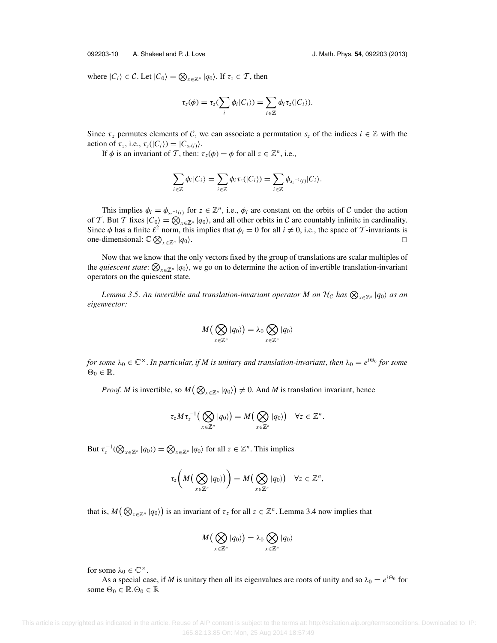092203-10 A. Shakeel and P. J. Love J. Math. Phys. **54**, 092203 (2013)

where  $|C_i\rangle \in \mathcal{C}$ . Let  $|C_0\rangle = \bigotimes_{x \in \mathbb{Z}^n} |q_0\rangle$ . If  $\tau_z \in \mathcal{T}$ , then

$$
\tau_z(\phi) = \tau_z(\sum_i \phi_i | C_i \rangle) = \sum_{i \in \mathbb{Z}} \phi_i \tau_z(|C_i \rangle).
$$

Since  $\tau_z$  permutes elements of C, we can associate a permutation  $s_z$  of the indices  $i \in \mathbb{Z}$  with the action of  $\tau_z$ , i.e.,  $\tau_z(|C_i\rangle) = |C_{s_2(i)}\rangle$ .

If  $\phi$  is an invariant of T, then:  $\tau_z(\phi) = \phi$  for all  $z \in \mathbb{Z}^n$ , i.e.,

$$
\sum_{i\in\mathbb{Z}}\phi_i|C_i\rangle=\sum_{i\in\mathbb{Z}}\phi_i\tau_z(|C_i\rangle)=\sum_{i\in\mathbb{Z}}\phi_{s_z^{-1}(i)}|C_i\rangle.
$$

This implies  $\phi_i = \phi_{s_i^{-1}(i)}$  for  $z \in \mathbb{Z}^n$ , i.e.,  $\phi_i$  are constant on the orbits of C under the action of T. But T fixes  $|C_0\rangle = \bigotimes_{x \in \mathbb{Z}^n} |q_0\rangle$ , and all other orbits in C are countably infinite in cardinality. Since  $\phi$  has a finite  $\ell^2$  norm, this implies that  $\phi_i = 0$  for all  $i \neq 0$ , i.e., the space of T-invariants is one-dimensional:  $\mathbb{C} \bigotimes_{x \in \mathbb{Z}^n} |q_0\rangle$ . *x*∈Z*n* |*q*<sub>0</sub>. -  $\Box$  $\Box$ 

Now that we know that the only vectors fixed by the group of translations are scalar multiples of the *quiescent state*:  $\bigotimes_{x \in \mathbb{Z}^n} |q_0\rangle$ , we go on to determine the action of invertible translation-invariant operators on the quiescent state.

*Lemma 3.5. An invertible and translation-invariant operator M on*  $H_c$  *has*  $\bigotimes_{x \in \mathbb{Z}^n} |q_0\rangle$  as an *eigenvector:*

$$
M\big(\bigotimes_{x\in\mathbb{Z}^n}|q_0\rangle\big)=\lambda_0\bigotimes_{x\in\mathbb{Z}^n}|q_0\rangle
$$

*for some*  $\lambda_0 \in \mathbb{C}^\times$ . *In particular, if M is unitary and translation-invariant, then*  $\lambda_0 = e^{i\Theta_0}$  *for some*  $\Theta_0 \in \mathbb{R}$ .

*Proof. M* is invertible, so  $M(\bigotimes_{x \in \mathbb{Z}^n} |q_0\rangle) \neq 0$ . And *M* is translation invariant, hence

$$
\tau_z M \tau_z^{-1} \big( \bigotimes_{x \in \mathbb{Z}^n} |q_0\rangle \big) = M \big( \bigotimes_{x \in \mathbb{Z}^n} |q_0\rangle \big) \quad \forall z \in \mathbb{Z}^n.
$$

But  $\tau_z^{-1}(\bigotimes_{x \in \mathbb{Z}^n} |q_0\rangle) = \bigotimes_{x \in \mathbb{Z}^n} |q_0\rangle$  for all  $z \in \mathbb{Z}^n$ . This implies

$$
\tau_z\bigg(M\big(\bigotimes_{x\in\mathbb{Z}^n}|q_0\rangle)\bigg)=M\big(\bigotimes_{x\in\mathbb{Z}^n}|q_0\rangle\big)\quad\forall z\in\mathbb{Z}^n,
$$

that is,  $M(\bigotimes_{x\in\mathbb{Z}^n} |q_0\rangle)$  is an invariant of  $\tau_z$  for all  $z\in\mathbb{Z}^n$ . Lemma 3.4 now implies that

$$
M\big(\bigotimes_{x\in\mathbb{Z}^n}|q_0\rangle\big)=\lambda_0\bigotimes_{x\in\mathbb{Z}^n}|q_0\rangle
$$

for some  $\lambda_0 \in \mathbb{C}^\times$ .

As a special case, if *M* is unitary then all its eigenvalues are roots of unity and so  $\lambda_0 = e^{i\Theta_0}$  for some  $\Theta_0 \in \mathbb{R} \cdot \Theta_0 \in \mathbb{R}$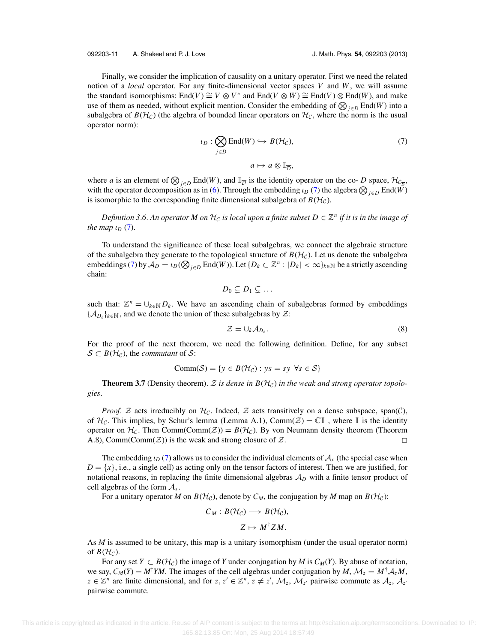<span id="page-12-0"></span>092203-11 A. Shakeel and P. J. Love J. Math. Phys. **54**, 092203 (2013)

Finally, we consider the implication of causality on a unitary operator. First we need the related notion of a *local* operator. For any finite-dimensional vector spaces *V* and *W*, we will assume the standard isomorphisms: End(*V*)  $\cong V \otimes V^*$  and End(*V*)  $\otimes W$ )  $\cong$  End(*V*)  $\otimes$  End(*W*), and make use of them as needed, without explicit mention. Consider the embedding of  $\bigotimes_{j\in D}$  End(*W*) into a subalgebra of  $B(\mathcal{H}_c)$  (the algebra of bounded linear operators on  $\mathcal{H}_c$ , where the norm is the usual operator norm):

$$
\iota_D: \bigotimes_{j \in D} \text{End}(W) \hookrightarrow B(\mathcal{H}_{\mathcal{C}}),\tag{7}
$$

 $a \mapsto a \otimes \mathbb{I}_{\overline{\mathcal{D}}},$ 

where *a* is an element of  $\bigotimes_{j\in D}$  End(*W*), and  $\mathbb{I}_{\overline{D}}$  is the identity operator on the co- *D* space,  $\mathcal{H}_{\mathcal{C}_{\overline{D}}}$ , with the operator decomposition as in [\(6\)](#page-9-0). Through the embedding  $\iota_D$  (7) the algebra  $\bigotimes_{j\in D}$  End(*W*) is isomorphic to the corresponding finite dimensional subalgebra of  $B(\mathcal{H}_{\mathcal{C}})$ .

*Definition 3.6. An operator M on*  $H_c$  *is local upon a finite subset D*  $\in \mathbb{Z}^n$  *if it is in the image of the map*  $\iota_D$  (7).

To understand the significance of these local subalgebras, we connect the algebraic structure of the subalgebra they generate to the topological structure of  $B(\mathcal{H}_{\mathcal{C}})$ . Let us denote the subalgebra embeddings (7) by  $A_D = \iota_D(\bigotimes_{j \in D} \text{End}(W))$ . Let  $\{D_k \subset \mathbb{Z}^n : |D_k| < \infty\}_{k \in \mathbb{N}}$  be a strictly ascending chain:

$$
D_0\subsetneq D_1\subsetneq \ldots
$$

such that:  $\mathbb{Z}^n = \bigcup_{k \in \mathbb{N}} D_k$ . We have an ascending chain of subalgebras formed by embeddings  $\{\mathcal{A}_{D_k}\}_{k\in\mathbb{N}}$ , and we denote the union of these subalgebras by  $\mathcal{Z}$ :

$$
\mathcal{Z} = \cup_k \mathcal{A}_{D_k}.\tag{8}
$$

For the proof of the next theorem, we need the following definition. Define, for any subset  $S \subset B(H_C)$ , the *commutant* of S:

$$
Comm(\mathcal{S}) = \{ y \in B(\mathcal{H}_{\mathcal{C}}) : ys = sy \ \forall s \in \mathcal{S} \}
$$

**Theorem 3.7** (Density theorem). Z is dense in  $B(\mathcal{H}_c)$  in the weak and strong operator topolo*gies.*

*Proof.*  $\mathcal Z$  acts irreducibly on  $\mathcal H_{\mathcal C}$ . Indeed,  $\mathcal Z$  acts transitively on a dense subspace, span(C), of  $H_c$ . This implies, by Schur's lemma (Lemma A.1), Comm $(\mathcal{Z}) = \mathbb{C} \mathbb{I}$ , where  $\mathbb{I}$  is the identity operator on  $\mathcal{H}_{\mathcal{C}}$ . Then Comm(Comm( $\mathcal{Z}$ )) =  $B(\mathcal{H}_{\mathcal{C}})$ . By von Neumann density theorem (Theorem A.8), Comm( $Comm(\mathcal{Z})$ ) is the weak and strong closure of  $\mathcal{Z}$ .

The embedding  $\iota_D$  (7) allows us to consider the individual elements of  $A_x$  (the special case when  $D = \{x\}$ , i.e., a single cell) as acting only on the tensor factors of interest. Then we are justified, for notational reasons, in replacing the finite dimensional algebras A*<sup>D</sup>* with a finite tensor product of cell algebras of the form  $A_x$ .

For a unitary operator *M* on  $B(\mathcal{H}_c)$ , denote by  $C_M$ , the conjugation by *M* map on  $B(\mathcal{H}_c)$ :

$$
C_M: B(\mathcal{H}_{\mathcal{C}}) \longrightarrow B(\mathcal{H}_{\mathcal{C}}),
$$

$$
Z \mapsto M^{\dagger} Z M.
$$

As *M* is assumed to be unitary, this map is a unitary isomorphism (under the usual operator norm) of  $B(\mathcal{H}_{\mathcal{C}})$ .

For any set  $Y \subset B(\mathcal{H}_{\mathcal{C}})$  the image of *Y* under conjugation by *M* is  $C_M(Y)$ . By abuse of notation, we say,  $C_M(Y) = M^{\dagger}YM$ . The images of the cell algebras under conjugation by  $M$ ,  $\mathcal{M}_z = M^{\dagger} \mathcal{A}_z M$ ,  $z \in \mathbb{Z}^n$  are finite dimensional, and for  $z, z' \in \mathbb{Z}^n$ ,  $z \neq z'$ ,  $\mathcal{M}_z$ ,  $\mathcal{M}_{z'}$  pairwise commute as  $\mathcal{A}_z$ ,  $\mathcal{A}_{z'}$ pairwise commute.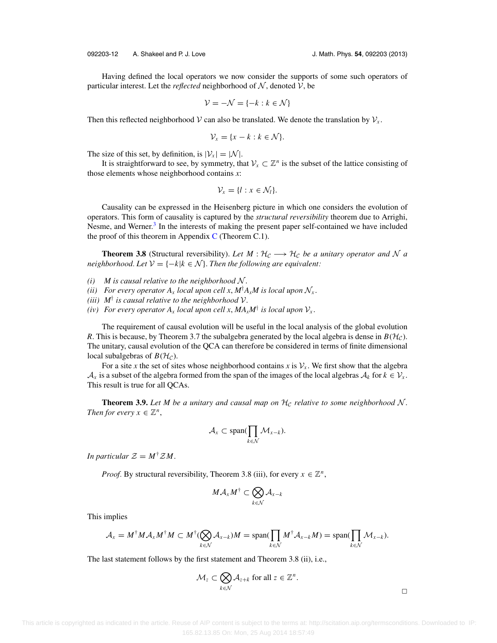092203-12 A. Shakeel and P. J. Love J. Math. Phys. **54**, 092203 (2013)

Having defined the local operators we now consider the supports of some such operators of particular interest. Let the *reflected* neighborhood of  $N$ , denoted  $V$ , be

$$
\mathcal{V} = -\mathcal{N} = \{-k : k \in \mathcal{N}\}
$$

Then this reflected neighborhood  $V$  can also be translated. We denote the translation by  $V_x$ .

$$
\mathcal{V}_x = \{x - k : k \in \mathcal{N}\}.
$$

The size of this set, by definition, is  $|\mathcal{V}_x| = |\mathcal{N}|$ .

It is straightforward to see, by symmetry, that  $V_x \subset \mathbb{Z}^n$  is the subset of the lattice consisting of those elements whose neighborhood contains *x*:

$$
\mathcal{V}_x = \{l : x \in \mathcal{N}_l\}.
$$

Causality can be expressed in the Heisenberg picture in which one considers the evolution of operators. This form of causality is captured by the *structural reversibility* theorem due to Arrighi, Nesme, and Werner. $3$  In the interests of making the present paper self-contained we have included the proof of this theorem in Appendix  $C$  (Theorem C.1).

**Theorem 3.8** (Structural reversibility). Let  $M : H<sub>C</sub> \longrightarrow H<sub>C</sub>$  be a unitary operator and N a *neighborhood. Let*  $V = \{-k | k \in \mathcal{N}\}$ . *Then the following are equivalent:* 

- $(i)$  *M* is causal relative to the neighborhood  $N$ .
- *(ii)* For every operator  $A_x$  local upon cell x,  $M^\dagger A_x M$  is local upon  $\mathcal{N}_x$ .
- *(iii) M*† *is causal relative to the neighborhood* V.
- *(iv)* For every operator  $A_x$  *local upon cell x,*  $MA_xM^{\dagger}$  *is local upon*  $V_x$ .

The requirement of causal evolution will be useful in the local analysis of the global evolution *R*. This is because, by Theorem 3.7 the subalgebra generated by the local algebra is dense in  $B(\mathcal{H}_c)$ . The unitary, causal evolution of the QCA can therefore be considered in terms of finite dimensional local subalgebras of  $B(\mathcal{H}_{\mathcal{C}})$ .

For a site *x* the set of sites whose neighborhood contains *x* is  $V_x$ . We first show that the algebra  $A_x$  is a subset of the algebra formed from the span of the images of the local algebras  $A_k$  for  $k \in V_x$ . This result is true for all QCAs.

**Theorem 3.9.** Let M be a unitary and causal map on  $\mathcal{H}_c$  relative to some neighborhood N. *Then for every*  $x \in \mathbb{Z}^n$ ,

$$
\mathcal{A}_x \subset \mathrm{span}(\prod_{k \in \mathcal{N}} \mathcal{M}_{x-k}).
$$

*In particular*  $\mathcal{Z} = M^{\dagger} \mathcal{Z} M$ .

*Proof.* By structural reversibility, Theorem 3.8 (iii), for every  $x \in \mathbb{Z}^n$ ,

$$
M {\mathcal A}_x M^\dagger \subset \bigotimes_{k \in {\mathcal N}} {\mathcal A}_{x-k}
$$

This implies

$$
\mathcal{A}_x = M^{\dagger} M \mathcal{A}_x M^{\dagger} M \subset M^{\dagger}(\bigotimes_{k \in \mathcal{N}} \mathcal{A}_{x-k})M = \text{span}(\prod_{k \in \mathcal{N}} M^{\dagger} \mathcal{A}_{x-k} M) = \text{span}(\prod_{k \in \mathcal{N}} \mathcal{M}_{x-k}).
$$

The last statement follows by the first statement and Theorem 3.8 (ii), i.e.,

$$
\mathcal{M}_z \subset \bigotimes_{k \in \mathcal{N}} \mathcal{A}_{z+k} \text{ for all } z \in \mathbb{Z}^n.
$$

 $\overline{\phantom{0}}$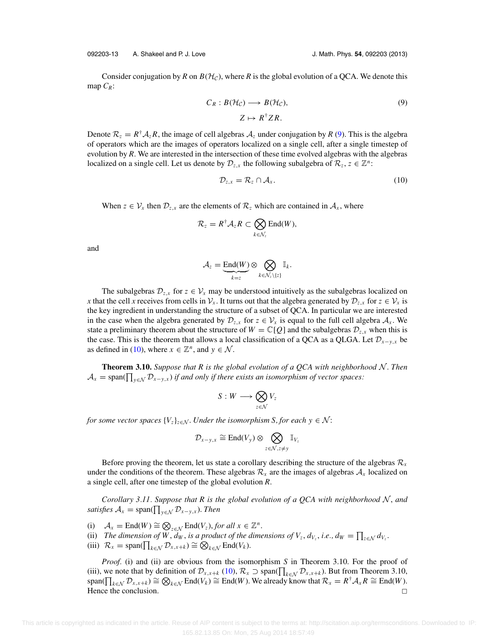<span id="page-14-0"></span>092203-13 A. Shakeel and P. J. Love J. Math. Phys. **54**, 092203 (2013)

Consider conjugation by *R* on  $B(\mathcal{H}_c)$ , where *R* is the global evolution of a QCA. We denote this map *CR*:

$$
C_R: B(\mathcal{H}_C) \longrightarrow B(\mathcal{H}_C),
$$
  
\n
$$
Z \mapsto R^{\dagger} Z R.
$$
\n(9)

Denote  $\mathcal{R}_z = R^{\dagger} \mathcal{A}_z R$ , the image of cell algebras  $\mathcal{A}_z$  under conjugation by *R* (9). This is the algebra of operators which are the images of operators localized on a single cell, after a single timestep of evolution by *R*. We are interested in the intersection of these time evolved algebras with the algebras localized on a single cell. Let us denote by  $\mathcal{D}_{z,x}$  the following subalgebra of  $\mathcal{R}_z$ ,  $z \in \mathbb{Z}^n$ :

$$
\mathcal{D}_{z,x} = \mathcal{R}_z \cap \mathcal{A}_x. \tag{10}
$$

When  $z \in V_x$  then  $\mathcal{D}_{z,x}$  are the elements of  $\mathcal{R}_z$  which are contained in  $\mathcal{A}_x$ , where

$$
\mathcal{R}_z = R^\dagger \mathcal{A}_z R \subset \bigotimes_{k \in \mathcal{N}_z} \mathrm{End}(W),
$$

and

$$
\mathcal{A}_z = \underbrace{\operatorname{End}(W)}_{k=z} \otimes \bigotimes_{k \in \mathcal{N}_z \setminus \{z\}} \mathbb{I}_k.
$$

The subalgebras  $\mathcal{D}_{z,x}$  for  $z \in \mathcal{V}_x$  may be understood intuitively as the subalgebras localized on *x* that the cell *x* receives from cells in  $V_x$ . It turns out that the algebra generated by  $\mathcal{D}_{z,x}$  for  $z \in V_x$  is the key ingredient in understanding the structure of a subset of QCA. In particular we are interested in the case when the algebra generated by  $\mathcal{D}_{z,x}$  for  $z \in \mathcal{V}_x$  is equal to the full cell algebra  $\mathcal{A}_x$ . We state a preliminary theorem about the structure of  $W = \mathbb{C}[Q]$  and the subalgebras  $\mathcal{D}_{z,x}$  when this is the case. This is the theorem that allows a local classification of a QCA as a QLGA. Let  $\mathcal{D}_{x-y,x}$  be as defined in (10), where  $x \in \mathbb{Z}^n$ , and  $y \in \mathcal{N}$ .

**Theorem 3.10.** Suppose that R is the global evolution of a QCA with neighborhood N. Then  $A_x = \text{span}(\prod_{y \in \mathcal{N}} \mathcal{D}_{x-y,x})$  *if and only if there exists an isomorphism of vector spaces:* 

$$
S:W\longrightarrow\bigotimes_{z\in\mathcal{N}}V_z
$$

*for some vector spaces*  $\{V_z\}_{z \in \mathcal{N}}$ . *Under the isomorphism S, for each*  $y \in \mathcal{N}$ :

$$
\mathcal{D}_{x-y,x} \cong \text{End}(V_y) \otimes \bigotimes_{z \in \mathcal{N}, z \neq y} \mathbb{I}_{V_z}
$$

Before proving the theorem, let us state a corollary describing the structure of the algebras  $\mathcal{R}_x$ under the conditions of the theorem. These algebras  $\mathcal{R}_x$  are the images of algebras  $\mathcal{A}_x$  localized on a single cell, after one timestep of the global evolution *R*.

*Corollary 3.11. Suppose that R is the global evolution of a QCA with neighborhood*  $N$ , and *satisfies*  $A_x = \text{span}(\prod_{y \in \mathcal{N}} \mathcal{D}_{x-y,x})$ . *Then* 

- $(i)$   $\mathcal{A}_x = \text{End}(W) \cong \bigotimes_{z \in \mathcal{N}} \text{End}(V_z)$ , *for all*  $x \in \mathbb{Z}^n$ .
- (ii) *The dimension of W,*  $d_W$ *, is a product of the dimensions of*  $V_z$ *,*  $d_{V_z}$ *, i.e.,*  $d_W = \prod_{z \in \mathcal{N}} d_{V_z}$ *.*
- (iii)  $\mathcal{R}_x = \text{span}(\prod_{k \in \mathcal{N}} \mathcal{D}_{x,x+k}) \cong \bigotimes_{k \in \mathcal{N}} \text{End}(V_k).$

*Proof.* (i) and (ii) are obvious from the isomorphism *S* in Theorem 3.10. For the proof of (iii), we note that by definition of  $\mathcal{D}_{x,x+k}$  (10),  $\mathcal{R}_x \supset \text{span}(\prod_{k \in \mathcal{N}} \mathcal{D}_{x,x+k})$ . But from Theorem 3.10,  $\operatorname{span}(\prod_{k\in\mathcal{N}}\mathcal{D}_{x,x+k})\cong\bigotimes_{k\in\mathcal{N}}\operatorname{End}(V_k)\cong\operatorname{End}(W)$ . We already know that  $\mathcal{R}_x=R^\dagger\mathcal{A}_xR\cong\operatorname{End}(W)$ . Hence the conclusion.  $\Box$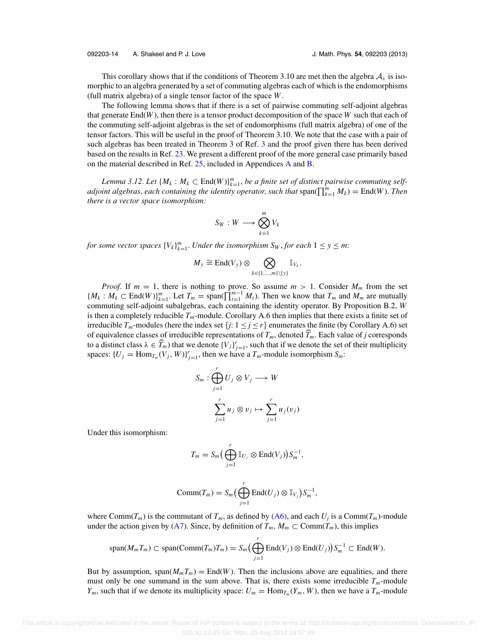092203-14 A. Shakeel and P. J. Love J. Math. Phys. **54**, 092203 (2013)

This corollary shows that if the conditions of Theorem 3.10 are met then the algebra  $A_x$  is isomorphic to an algebra generated by a set of commuting algebras each of which is the endomorphisms (full matrix algebra) of a single tensor factor of the space *W*.

The following lemma shows that if there is a set of pairwise commuting self-adjoint algebras that generate  $End(W)$ , then there is a tensor product decomposition of the space W such that each of the commuting self-adjoint algebras is the set of endomorphisms (full matrix algebra) of one of the tensor factors. This will be useful in the proof of Theorem 3.10. We note that the case with a pair of such algebras has been treated in Theorem 3 of Ref. [3](#page-39-0) and the proof given there has been derived based on the results in Ref. [23.](#page-39-0) We present a different proof of the more general case primarily based on the material described in Ref. [25,](#page-39-0) included in Appendices [A](#page-32-0) and [B.](#page-36-0)

*Lemma 3.12. Let*  $\{M_k : M_k \subset \text{End}(W)\}_{k=1}^m$ , *be a finite set of distinct pairwise commuting selfadjoint algebras, each containing the identity operator, such that* span( $\prod_{k=1}^{m} M_k$ ) = End(*W*). *Then there is a vector space isomorphism:*

$$
S_W: W \longrightarrow \bigotimes_{k=1}^m V_k
$$

*for some vector spaces*  ${V_k}_{k=1}^m$ . *Under the isomorphism*  $S_w$ , *for each*  $1 \le y \le m$ :

$$
M_{y} \cong \text{End}(V_{y}) \otimes \bigotimes_{k \in \{1, \ldots, m\} \setminus \{y\}} \mathbb{I}_{V_{k}}.
$$

*Proof.* If  $m = 1$ , there is nothing to prove. So assume  $m > 1$ . Consider  $M_m$  from the set  ${M_k : M_k \subset End(W)}_{k=1}^m$ . Let  $T_m = span(\prod_{t=1}^{m-1} M_t)$ . Then we know that  $T_m$  and  $M_m$  are mutually commuting self-adjoint subalgebras, each containing the identity operator. By Proposition B.2, *W* is then a completely reducible  $T_m$ -module. Corollary A.6 then implies that there exists a finite set of irreducible  $T_m$ -modules (here the index set  $\{j: 1 \le j \le r\}$  enumerates the finite (by Corollary A.6) set of equivalence classes of irreducible representations of  $T_m$ , denoted  $T_m$ . Each value of *j* corresponds to a distinct class  $\lambda \in \widehat{T}_m$ ) that we denote  $\{V_j\}_{j=1}^r$ , such that if we denote the set of their multiplicity spaces:  $\{U_j = \text{Hom}_{T_m}(V_j, W)\}_{j=1}^r$ , then we have a  $T_m$ -module isomorphism  $S_m$ :

$$
S_m: \bigoplus_{j=1}^r U_j \otimes V_j \longrightarrow W
$$
  

$$
\sum_{j=1}^r u_j \otimes v_j \mapsto \sum_{j=1}^r u_j(v_j)
$$

Under this isomorphism:

$$
T_m = S_m \left( \bigoplus_{j=1}^r \mathbb{I}_{U_j} \otimes \text{End}(V_j) \right) S_m^{-1},
$$

$$
\text{Comm}(T_m) = S_m \left( \bigoplus_{j=1}^r \text{End}(U_j) \otimes \mathbb{I}_{V_j} \right) S_m^{-1},
$$

where  $Comm(T_m)$  is the commutant of  $T_m$ , as defined by [\(A6\)](#page-33-0), and each  $U_i$  is a Comm $(T_m)$ -module under the action given by [\(A7\)](#page-33-0). Since, by definition of  $T_m$ ,  $M_m \subset \text{Comm}(T_m)$ , this implies

$$
\text{span}(M_m T_m) \subset \text{span}(\text{Comm}(T_m)T_m) = S_m\left(\bigoplus_{j=1}^r \text{End}(V_j) \otimes \text{End}(U_j)\right) S_m^{-1} \subset \text{End}(W).
$$

But by assumption,  $\text{span}(M_m T_m) = \text{End}(W)$ . Then the inclusions above are equalities, and there must only be one summand in the sum above. That is, there exists some irreducible  $T_m$ -module *Y<sub>m</sub>*, such that if we denote its multiplicity space:  $U_m = \text{Hom}_{T_m}(Y_m, W)$ , then we have a  $T_m$ -module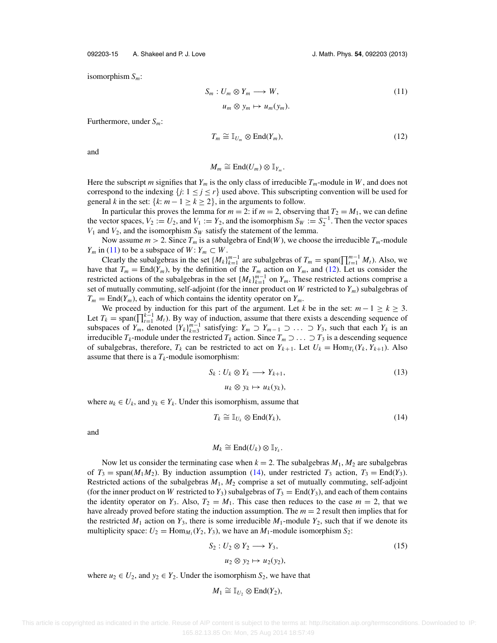<span id="page-16-0"></span>092203-15 A. Shakeel and P. J. Love J. Math. Phys. **54**, 092203 (2013)

isomorphism *Sm*:

$$
S_m: U_m \otimes Y_m \longrightarrow W,
$$
  
\n
$$
u_m \otimes y_m \mapsto u_m(y_m).
$$
\n(11)

Furthermore, under *Sm*:

$$
T_m \cong \mathbb{I}_{U_m} \otimes \text{End}(Y_m),\tag{12}
$$

and

$$
M_m \cong \mathrm{End}(U_m) \otimes \mathbb{I}_{Y_m}.
$$

Here the subscript *m* signifies that  $Y_m$  is the only class of irreducible  $T_m$ -module in *W*, and does not correspond to the indexing  $\{j: 1 \le j \le r\}$  used above. This subscripting convention will be used for general *k* in the set:  $\{k: m-1 \ge k \ge 2\}$ , in the arguments to follow.

In particular this proves the lemma for  $m = 2$ : if  $m = 2$ , observing that  $T_2 = M_1$ , we can define the vector spaces,  $V_2 := U_2$ , and  $V_1 := Y_2$ , and the isomorphism  $S_W := S_2^{-1}$ . Then the vector spaces  $V_1$  and  $V_2$ , and the isomorphism  $S_W$  satisfy the statement of the lemma.

Now assume  $m > 2$ . Since  $T_m$  is a subalgebra of End(*W*), we choose the irreducible  $T_m$ -module *Y<sub>m</sub>* in (11) to be a subspace of *W*:  $Y_m \subset W$ .

Clearly the subalgebras in the set  ${M_k}_{k=1}^{m-1}$  are subalgebras of  $T_m = \text{span}(\prod_{t=1}^{m-1} M_t)$ . Also, we have that  $T_m = \text{End}(Y_m)$ , by the definition of the  $T_m$  action on  $Y_m$ , and (12). Let us consider the restricted actions of the subalgebras in the set  ${M_k}_{k=1}^{m-1}$  on  $Y_m$ . These restricted actions comprise a set of mutually commuting, self-adjoint (for the inner product on *W* restricted to  $Y_m$ ) subalgebras of  $T_m = \text{End}(Y_m)$ , each of which contains the identity operator on  $Y_m$ .

We proceed by induction for this part of the argument. Let *k* be in the set:  $m-1 \ge k \ge 3$ . Let  $T_k = \text{span}(\prod_{t=1}^{k-1} M_t)$ . By way of induction, assume that there exists a descending sequence of subspaces of  $Y_m$ , denoted  ${Y_k}_{k=3}^{m-1}$  satisfying:  $Y_m \supset Y_{m-1} \supset \ldots \supset Y_3$ , such that each  $Y_k$  is an irreducible  $T_k$ -module under the restricted  $T_k$  action. Since  $T_m \supset \ldots \supset T_3$  is a descending sequence of subalgebras, therefore,  $T_k$  can be restricted to act on  $Y_{k+1}$ . Let  $U_k = \text{Hom}_{T_k}(Y_k, Y_{k+1})$ . Also assume that there is a  $T_k$ -module isomorphism:

$$
S_k: U_k \otimes Y_k \longrightarrow Y_{k+1},
$$
  
\n
$$
u_k \otimes y_k \mapsto u_k(y_k),
$$
\n(13)

where  $u_k \in U_k$ , and  $y_k \in Y_k$ . Under this isomorphism, assume that

$$
T_k \cong \mathbb{I}_{U_k} \otimes \text{End}(Y_k),\tag{14}
$$

and

$$
M_k \cong \mathrm{End}(U_k) \otimes \mathbb{I}_{Y_k}.
$$

Now let us consider the terminating case when  $k = 2$ . The subalgebras  $M_1$ ,  $M_2$  are subalgebras of  $T_3 = \text{span}(M_1M_2)$ . By induction assumption (14), under restricted  $T_3$  action,  $T_3 = \text{End}(Y_3)$ . Restricted actions of the subalgebras *M*1, *M*<sup>2</sup> comprise a set of mutually commuting, self-adjoint (for the inner product on *W* restricted to  $Y_3$ ) subalgebras of  $T_3 = \text{End}(Y_3)$ , and each of them contains the identity operator on  $Y_3$ . Also,  $T_2 = M_1$ . This case then reduces to the case  $m = 2$ , that we have already proved before stating the induction assumption. The  $m = 2$  result then implies that for the restricted  $M_1$  action on  $Y_3$ , there is some irreducible  $M_1$ -module  $Y_2$ , such that if we denote its multiplicity space:  $U_2 = \text{Hom}_{M_1}(Y_2, Y_3)$ , we have an  $M_1$ -module isomorphism  $S_2$ :

$$
S_2: U_2 \otimes Y_2 \longrightarrow Y_3,
$$
  
\n
$$
u_2 \otimes y_2 \mapsto u_2(y_2),
$$
\n(15)

where  $u_2 \in U_2$ , and  $y_2 \in Y_2$ . Under the isomorphism  $S_2$ , we have that

$$
M_1 \cong \mathbb{I}_{U_2} \otimes \mathrm{End}(Y_2),
$$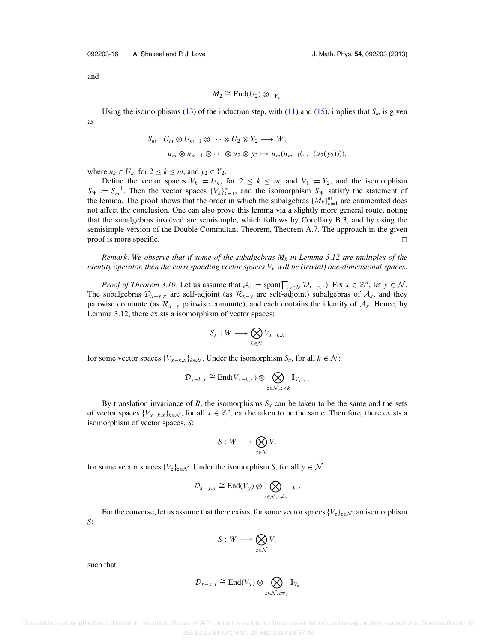092203-16 A. Shakeel and P. J. Love J. Math. Phys. **54**, 092203 (2013)

and

$$
M_2 \cong \mathrm{End}(U_2) \otimes \mathbb{I}_{Y_2}.
$$

Using the isomorphisms [\(13\)](#page-16-0) of the induction step, with [\(11\)](#page-16-0) and [\(15\)](#page-16-0), implies that  $S_m$  is given as

$$
S_m: U_m \otimes U_{m-1} \otimes \cdots \otimes U_2 \otimes Y_2 \longrightarrow W,
$$
  

$$
u_m \otimes u_{m-1} \otimes \cdots \otimes u_2 \otimes y_2 \mapsto u_m(u_{m-1}(\ldots(u_2(y_2))))
$$

where  $u_k \in U_k$ , for  $2 \le k \le m$ , and  $y_2 \in Y_2$ .

Define the vector spaces  $V_k := U_k$ , for  $2 \leq k \leq m$ , and  $V_1 := Y_2$ , and the isomorphism  $S_W := S_m^{-1}$ . Then the vector spaces  ${V_k}_{k=1}^m$ , and the isomorphism  $S_W$  satisfy the statement of the lemma. The proof shows that the order in which the subalgebras  $\{M_k\}_{k=1}^m$  are enumerated does not affect the conclusion. One can also prove this lemma via a slightly more general route, noting that the subalgebras involved are semisimple, which follows by Corollary B.3, and by using the semisimple version of the Double Commutant Theorem, Theorem A.7. The approach in the given proof is more specific.  $\Box$ 

*Remark. We observe that if some of the subalgebras Mk in Lemma 3.12 are multiples of the identity operator, then the corresponding vector spaces Vk will be (trivial) one-dimensional spaces.*

*Proof of Theorem 3.10.* Let us assume that  $A_x = \text{span}(\prod_{y \in \mathcal{N}} \mathcal{D}_{x-y,x})$ . Fix  $x \in \mathbb{Z}^n$ , let  $y \in \mathcal{N}$ . The subalgebras  $\mathcal{D}_{x-y,x}$  are self-adjoint (as  $\mathcal{R}_{x-y}$  are self-adjoint) subalgebras of  $\mathcal{A}_x$ , and they pairwise commute (as  $\mathcal{R}_{x-y}$  pairwise commute), and each contains the identity of  $\mathcal{A}_x$ . Hence, by Lemma 3.12, there exists a isomorphism of vector spaces:

$$
S_x:W\longrightarrow\bigotimes_{k\in\mathcal{N}}V_{x-k,x}
$$

for some vector spaces  $\{V_{x-k,x}\}_{k\in\mathcal{N}}$ . Under the isomorphism  $S_x$ , for all  $k \in \mathcal{N}$ :

$$
\mathcal{D}_{x-k,x} \cong \text{End}(V_{x-k,x}) \otimes \bigotimes_{z \in \mathcal{N}, z \neq k} \mathbb{I}_{V_{x-z,x}}
$$

By translation invariance of *R*, the isomorphisms  $S<sub>x</sub>$  can be taken to be the same and the sets of vector spaces  $\{V_{x-k,x}\}_{k\in\mathcal{N}}$ , for all  $x \in \mathbb{Z}^n$ , can be taken to be the same. Therefore, there exists a isomorphism of vector spaces, *S*:

$$
S:W\longrightarrow\bigotimes_{z\in\mathcal{N}}V_z
$$

for some vector spaces  $\{V_z\}_{z \in \mathcal{N}}$ . Under the isomorphism *S*, for all  $y \in \mathcal{N}$ :

$$
\mathcal{D}_{x-y,x} \cong \text{End}(V_y) \otimes \bigotimes_{z \in \mathcal{N}, z \neq y} \mathbb{I}_{V_z}.
$$

For the converse, let us assume that there exists, for some vector spaces  ${V_z}_{z \in N}$ , an isomorphism *S*:

$$
S:W\longrightarrow\bigotimes_{z\in\mathcal{N}}V_z
$$

such that

$$
\mathcal{D}_{x-y,x}\cong \mathrm{End}(V_y)\otimes \bigotimes_{z\in \mathcal{N}, z\neq y} \mathbb{I}_{V_z}
$$

This article is copyrighted as indicated in the article. Reuse of AIP content is subject to the terms at: http://scitation.aip.org/termsconditions. Downloaded to IP 165.82.13.85 On: Mon, 25 Aug 2014 18:57:49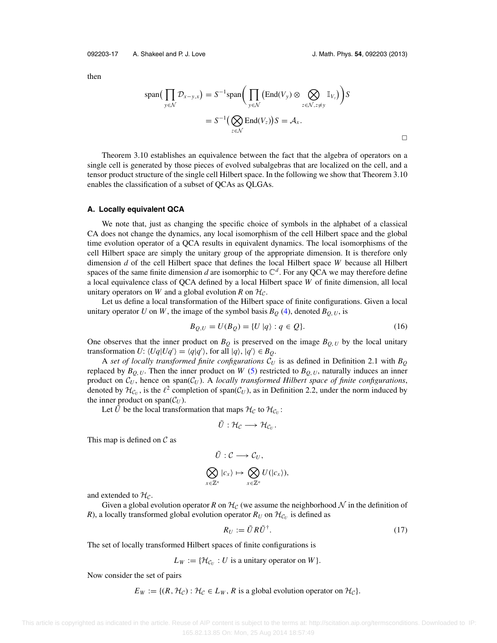<span id="page-18-0"></span>then

$$
\operatorname{span}\left(\prod_{y\in\mathcal{N}}\mathcal{D}_{x-y,x}\right) = S^{-1}\operatorname{span}\left(\prod_{y\in\mathcal{N}}\left(\operatorname{End}(V_y)\otimes\bigotimes_{z\in\mathcal{N},z\neq y}\mathbb{I}_{V_z}\right)\right)S
$$

$$
= S^{-1}\left(\bigotimes_{z\in\mathcal{N}}\operatorname{End}(V_z)\right)S = \mathcal{A}_x.
$$

Theorem 3.10 establishes an equivalence between the fact that the algebra of operators on a single cell is generated by those pieces of evolved subalgebras that are localized on the cell, and a tensor product structure of the single cell Hilbert space. In the following we show that Theorem 3.10 enables the classification of a subset of QCAs as QLGAs.

#### **A. Locally equivalent QCA**

We note that, just as changing the specific choice of symbols in the alphabet of a classical CA does not change the dynamics, any local isomorphism of the cell Hilbert space and the global time evolution operator of a QCA results in equivalent dynamics. The local isomorphisms of the cell Hilbert space are simply the unitary group of the appropriate dimension. It is therefore only dimension *d* of the cell Hilbert space that defines the local Hilbert space *W* because all Hilbert spaces of the same finite dimension *d* are isomorphic to  $\mathbb{C}^d$ . For any QCA we may therefore define a local equivalence class of QCA defined by a local Hilbert space *W* of finite dimension, all local unitary operators on *W* and a global evolution *R* on  $H_c$ .

Let us define a local transformation of the Hilbert space of finite configurations. Given a local unitary operator *U* on *W*, the image of the symbol basis  $B_Q$  [\(4\)](#page-8-0), denoted  $B_{Q,U}$ , is

$$
B_{Q,U} = U(B_Q) = \{U \mid q \rangle : q \in Q\}.
$$
\n<sup>(16)</sup>

One observes that the inner product on  $B_Q$  is preserved on the image  $B_{Q,U}$  by the local unitary transformation  $U$ :  $\langle Uq|Uq'\rangle = \langle q|q'\rangle$ , for all  $|q\rangle$ ,  $|q'\rangle \in B_Q$ .

A *set of locally transformed finite configurations*  $C_U$  is as defined in Definition 2.1 with  $B_O$ replaced by  $B_{Q,U}$ . Then the inner product on *W* [\(5\)](#page-8-0) restricted to  $B_{Q,U}$ , naturally induces an inner product on  $\mathcal{C}_U$ , hence on span( $\mathcal{C}_U$ ). A *locally transformed Hilbert space of finite configurations*, denoted by  $\mathcal{H}_{C_U}$ , is the  $\ell^2$  completion of span( $C_U$ ), as in Definition 2.2, under the norm induced by the inner product on span( $C_U$ ).

Let  $\tilde{U}$  be the local transformation that maps  $\mathcal{H}_{\mathcal{C}}$  to  $\mathcal{H}_{\mathcal{C}_{U}}$ :

$$
\tilde{U}:\mathcal{H}_{\mathcal{C}}\longrightarrow\mathcal{H}_{\mathcal{C}_U}.
$$

This map is defined on  $\mathcal C$  as

$$
\tilde{U}: \mathcal{C} \longrightarrow \mathcal{C}_U,
$$
  

$$
\bigotimes_{x \in \mathbb{Z}^n} |c_x\rangle \mapsto \bigotimes_{x \in \mathbb{Z}^n} U(|c_x\rangle),
$$

and extended to  $\mathcal{H}_{\mathcal{C}}$ .

Given a global evolution operator *R* on  $\mathcal{H}_{\mathcal{C}}$  (we assume the neighborhood  $\mathcal{N}$  in the definition of *R*), a locally transformed global evolution operator  $R_U$  on  $\mathcal{H}_{C_U}$  is defined as

$$
R_U := \tilde{U} R \tilde{U}^{\dagger}.
$$
 (17)

The set of locally transformed Hilbert spaces of finite configurations is

$$
L_W := \{ \mathcal{H}_{\mathcal{C}_U} : U \text{ is a unitary operator on } W \}.
$$

Now consider the set of pairs

$$
E_W := \{(R, \mathcal{H}_C) : \mathcal{H}_C \in L_W, R \text{ is a global evolution operator on } \mathcal{H}_C\}.
$$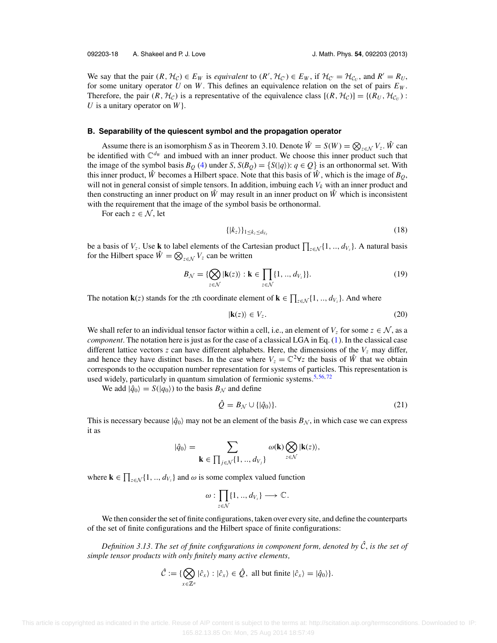<span id="page-19-0"></span>We say that the pair  $(R, H_{\mathcal{C}}) \in E_W$  is *equivalent* to  $(R', H_{\mathcal{C}'}) \in E_W$ , if  $H_{\mathcal{C}'} = H_{\mathcal{C}_U}$ , and  $R' = R_U$ , for some unitary operator *U* on *W*. This defines an equivalence relation on the set of pairs  $E_W$ . Therefore, the pair  $(R, H_c)$  is a representative of the equivalence class  $[(R, H_c)] = {(R_U, H_c)}$ : *U* is a unitary operator on *W*}.

#### **B. Separability of the quiescent symbol and the propagation operator**

Assume there is an isomorphism *S* as in Theorem 3.10. Denote  $\hat{W} = S(W) = \bigotimes_{z \in \mathcal{N}} V_z$ .  $\hat{W}$  can be identified with  $\mathbb{C}^{d_W}$  and imbued with an inner product. We choose this inner product such that the image of the symbol basis  $B_Q$  [\(4\)](#page-8-0) under *S*,  $S(B_Q) = \{S(|q): q \in Q\}$  is an orthonormal set. With this inner product,  $\hat{W}$  becomes a Hilbert space. Note that this basis of  $\hat{W}$ , which is the image of  $B_O$ , will not in general consist of simple tensors. In addition, imbuing each  $V_k$  with an inner product and then constructing an inner product on  $\hat{W}$  may result in an inner product on  $\hat{W}$  which is inconsistent with the requirement that the image of the symbol basis be orthonormal.

For each  $z \in \mathcal{N}$ , let

$$
\{|k_z\rangle\}_{1 \le k_z \le d_{V_z}} \tag{18}
$$

be a basis of  $V_z$ . Use **k** to label elements of the Cartesian product  $\prod_{z \in \mathcal{N}} \{1, ..., d_{V_z}\}\$ . A natural basis for the Hilbert space  $\hat{W} = \bigotimes_{z \in \mathcal{N}} V_z$  can be written

$$
B_{\mathcal{N}} = \{ \bigotimes_{z \in \mathcal{N}} |\mathbf{k}(z)\rangle : \mathbf{k} \in \prod_{z \in \mathcal{N}} \{1, ..., d_{V_z}\} \}.
$$
 (19)

The notation **k**(*z*) stands for the *z*th coordinate element of **k**  $\in \prod_{z \in \mathcal{N}} \{1, ..., d_{V_z}\}\)$ . And where

$$
|\mathbf{k}(z)\rangle \in V_z. \tag{20}
$$

We shall refer to an individual tensor factor within a cell, i.e., an element of  $V_z$  for some  $z \in \mathcal{N}$ , as a *component*. The notation here is just as for the case of a classical LGA in Eq. [\(1\)](#page-5-0). In the classical case different lattice vectors  $z$  can have different alphabets. Here, the dimensions of the  $V<sub>z</sub>$  may differ, and hence they have distinct bases. In the case where  $V_z = \mathbb{C}^2 \forall z$  the basis of  $\hat{W}$  that we obtain corresponds to the occupation number representation for systems of particles. This representation is used widely, particularly in quantum simulation of fermionic systems.<sup>[5,](#page-39-0) [56,](#page-40-0) [72](#page-41-0)</sup>

We add  $|\hat{q}_0\rangle = S(|q_0\rangle)$  to the basis  $B_N$  and define

$$
\hat{Q} = B_N \cup \{ |\hat{q}_0 \rangle \}. \tag{21}
$$

This is necessary because  $|\hat{q}_0\rangle$  may not be an element of the basis  $B_N$ , in which case we can express it as

$$
|\hat{q}_0\rangle = \sum_{\mathbf{k} \in \prod_{j \in \mathcal{N}} \{1, ..., d_{V_j}\}} \omega(\mathbf{k}) \bigotimes_{z \in \mathcal{N}} |\mathbf{k}(z)\rangle,
$$

where  $\mathbf{k} \in \prod_{z \in \mathcal{N}} \{1, ..., d_{V_z}\}\$  and  $\omega$  is some complex valued function

$$
\omega: \prod_{z \in \mathcal{N}} \{1, ..., d_{V_z}\} \longrightarrow \mathbb{C}.
$$

We then consider the set of finite configurations, taken over every site, and define the counterparts of the set of finite configurations and the Hilbert space of finite configurations:

*Definition 3.13. The set of finite configurations in component form, denoted by* $\hat{\mathcal{C}}$ *, is the set of simple tensor products with only finitely many active elements,*

$$
\hat{\mathcal{C}} := \{ \bigotimes_{x \in \mathbb{Z}^n} |\hat{c}_x\rangle : |\hat{c}_x\rangle \in \hat{Q}, \text{ all but finite } |\hat{c}_x\rangle = |\hat{q}_0\rangle \}.
$$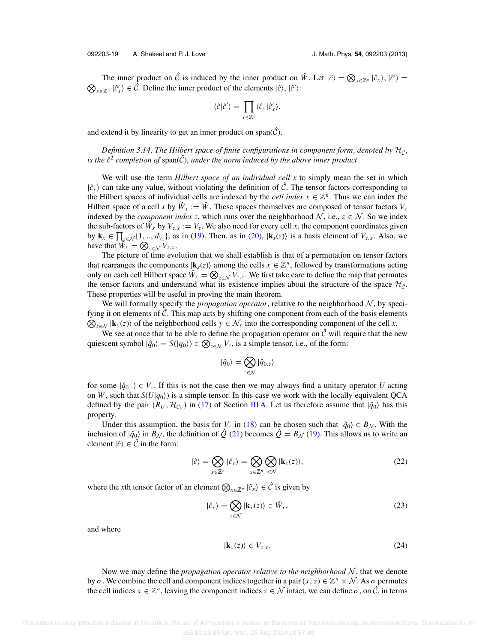<span id="page-20-0"></span>092203-19 A. Shakeel and P. J. Love J. Math. Phys. **54**, 092203 (2013)

The inner product on  $\hat{C}$  is induced by the inner product on  $\hat{W}$ . Let  $|\hat{c}\rangle = \bigotimes_{x \in \mathbb{Z}^n} |\hat{c}_x\rangle$ ,  $|\hat{c}'\rangle =$  $\bigotimes_{x \in \mathbb{Z}^n} |\hat{c}'_x\rangle \in \hat{\mathcal{C}}$ . Define the inner product of the elements  $|\hat{c}\rangle, |\hat{c}'\rangle$ :

$$
\langle \hat{c} | \hat{c}' \rangle = \prod_{x \in \mathbb{Z}^n} \langle \hat{c}_x | \hat{c}'_x \rangle,
$$

and extend it by linearity to get an inner product on span $(\hat{C})$ .

*Definition 3.14. The Hilbert space of finite configurations in component form, denoted by*  $H_{\rho}$ , *is the*  $\ell^2$  *completion of* span( $\hat{\mathcal{C}}$ ), *under the norm induced by the above inner product.* 

We will use the term *Hilbert space of an individual cell x* to simply mean the set in which  $|\hat{c}_x|$  can take any value, without violating the definition of  $\hat{C}$ . The tensor factors corresponding to the Hilbert spaces of individual cells are indexed by the *cell index*  $x \in \mathbb{Z}^n$ . Thus we can index the Hilbert space of a cell *x* by  $\hat{W}_x := \hat{W}$ . These spaces themselves are composed of tensor factors  $V_z$ indexed by the *component index z*, which runs over the neighborhood  $N$ , i.e.,  $z \in N$ . So we index the sub-factors of  $\hat{W}_x$  by  $V_{z,x} := V_z$ . We also need for every cell *x*, the component coordinates given by  $\mathbf{k}_x \in \prod_{z \in \mathcal{N}} \{1, ..., d_{V_z}\}\)$ , as in [\(19\)](#page-19-0). Then, as in [\(20\)](#page-19-0),  $|\mathbf{k}_x(z)\rangle$  is a basis element of  $V_{z,x}$ . Also, we have that  $\widetilde{W}_x = \bigotimes_{z \in \mathcal{N}} V_{z,x}$ .

The picture of time evolution that we shall establish is that of a permutation on tensor factors that rearranges the components  $|\mathbf{k}_x(z)\rangle$  among the cells  $x \in \mathbb{Z}^n$ , followed by transformations acting only on each cell Hilbert space  $\hat{W}_x = \bigotimes_{z \in \mathcal{N}} V_{z,x}$ . We first take care to define the map that permutes the tensor factors and understand what its existence implies about the structure of the space  $\mathcal{H}_{\hat{C}}$ . These properties will be useful in proving the main theorem.

We will formally specify the *propagation operator*, relative to the neighborhood  $N$ , by specifying it on elements of  $\hat{C}$ . This map acts by shifting one component from each of the basis elements  $\bigotimes_{z \in \mathcal{N}} |\mathbf{k}_y(z)\rangle$  of the neighborhood cells  $y \in \mathcal{N}_x$  into the corresponding component of the cell *x*.

We see at once that to be able to define the propagation operator on  $\hat{C}$  will require that the new quiescent symbol  $|\hat{q}_0\rangle = S(|q_0\rangle) \in \bigotimes_{z \in \mathcal{N}} V_z$ , is a simple tensor, i.e., of the form:

$$
|\hat{q}_0\rangle = \bigotimes_{z \in \mathcal{N}} |\hat{q}_{0,z}\rangle
$$

for some  $|\hat{q}_{0,z}\rangle \in V_z$ . If this is not the case then we may always find a unitary operator *U* acting on *W*, such that  $S(U|q_0)$  is a simple tensor. In this case we work with the locally equivalent QCA defined by the pair ( $R_U$ ,  $H_{C_U}$ ) in [\(17\)](#page-18-0) of Section [III A.](#page-18-0) Let us therefore assume that  $|\hat{q}_0\rangle$  has this property.

Under this assumption, the basis for  $V_z$  in [\(18\)](#page-19-0) can be chosen such that  $|\hat{q}_0\rangle \in B_N$ . With the inclusion of  $|\hat{q}_0\rangle$  in  $B_N$ , the definition of  $\hat{Q}$  [\(21\)](#page-19-0) becomes  $\hat{Q} = B_N$  [\(19\)](#page-19-0). This allows us to write an element  $|\hat{c}\rangle \in \hat{C}$  in the form:

$$
|\hat{c}\rangle = \bigotimes_{x \in \mathbb{Z}^n} |\hat{c}_x\rangle = \bigotimes_{x \in \mathbb{Z}^n} \bigotimes_{z \in \mathcal{N}} |\mathbf{k}_x(z)\rangle, \tag{22}
$$

where the *x*th tensor factor of an element  $\bigotimes_{x \in \mathbb{Z}^n} |\hat{c}_x\rangle \in \hat{\mathcal{C}}$  is given by

$$
|\hat{c}_x\rangle = \bigotimes_{z \in \mathcal{N}} |\mathbf{k}_x(z)\rangle \in \hat{W}_x,\tag{23}
$$

and where

$$
|\mathbf{k}_x(z)\rangle \in V_{z,x}.\tag{24}
$$

Now we may define the *propagation operator relative to the neighborhood*  $N$ , that we denote by  $\sigma$ . We combine the cell and component indices together in a pair  $(x, z) \in \mathbb{Z}^n \times \mathcal{N}$ . As  $\sigma$  permutes the cell indices  $x \in \mathbb{Z}^n$ , leaving the component indices  $z \in \mathcal{N}$  intact, we can define  $\sigma$ , on  $\mathcal{C}$ , in terms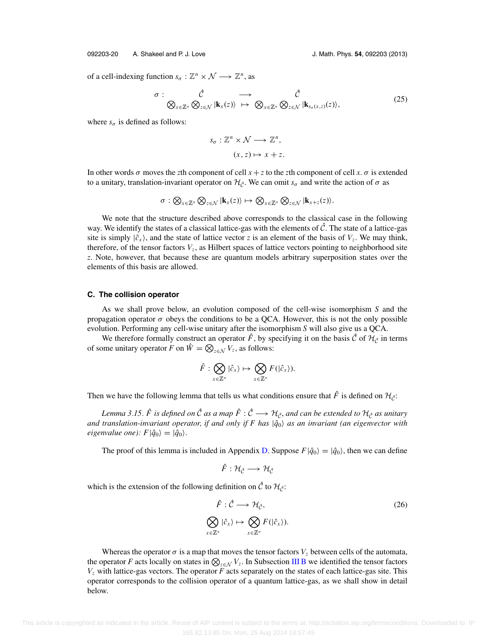<span id="page-21-0"></span>092203-20 A. Shakeel and P. J. Love J. Math. Phys. **54**, 092203 (2013)

of a cell-indexing function  $s_{\sigma} : \mathbb{Z}^n \times \mathcal{N} \longrightarrow \mathbb{Z}^n$ , as

$$
\sigma: \hat{\mathcal{C}} \longrightarrow \hat{\mathcal{C}} \longrightarrow \hat{\mathcal{C}}
$$
  

$$
\otimes_{x \in \mathbb{Z}^n} \otimes_{z \in \mathcal{N}} |\mathbf{k}_x(z)\rangle \mapsto \otimes_{x \in \mathbb{Z}^n} \otimes_{z \in \mathcal{N}} |\mathbf{k}_{s_{\sigma}(x,z)}(z)\rangle,
$$
 (25)

where  $s_{\sigma}$  is defined as follows:

$$
s_{\sigma}: \mathbb{Z}^n \times \mathcal{N} \longrightarrow \mathbb{Z}^n,
$$
  

$$
(x, z) \mapsto x + z.
$$

In other words  $\sigma$  moves the *z*th component of cell  $x + z$  to the *z*th component of cell  $x$ .  $\sigma$  is extended to a unitary, translation-invariant operator on  $H_{\hat{C}}$ . We can omit  $s_{\sigma}$  and write the action of  $\sigma$  as

$$
\sigma : \bigotimes_{x \in \mathbb{Z}^n} \bigotimes_{z \in \mathcal{N}} |\mathbf{k}_x(z)\rangle \mapsto \bigotimes_{x \in \mathbb{Z}^n} \bigotimes_{z \in \mathcal{N}} |\mathbf{k}_{x+z}(z)\rangle.
$$

We note that the structure described above corresponds to the classical case in the following way. We identify the states of a classical lattice-gas with the elements of  $\hat{C}$ . The state of a lattice-gas site is simply  $|\hat{c}_x\rangle$ , and the state of lattice vector *z* is an element of the basis of  $V_z$ . We may think, therefore, of the tensor factors  $V_z$ , as Hilbert spaces of lattice vectors pointing to neighborhood site *z*. Note, however, that because these are quantum models arbitrary superposition states over the elements of this basis are allowed.

#### **C. The collision operator**

As we shall prove below, an evolution composed of the cell-wise isomorphism *S* and the propagation operator  $\sigma$  obeys the conditions to be a QCA. However, this is not the only possible evolution. Performing any cell-wise unitary after the isomorphism *S* will also give us a QCA.

We therefore formally construct an operator  $\hat{F}$ , by specifying it on the basis  $\hat{C}$  of  $\mathcal{H}_{\hat{C}}$  in terms of some unitary operator *F* on  $\hat{W} = \bigotimes_{z \in \mathcal{N}} V_z$ , as follows:

$$
\hat{F}: \bigotimes_{x \in \mathbb{Z}^n} |\hat{c}_x\rangle \mapsto \bigotimes_{x \in \mathbb{Z}^n} F(|\hat{c}_x\rangle).
$$

Then we have the following lemma that tells us what conditions ensure that  $\hat{F}$  is defined on  $\mathcal{H}_{\hat{C}}$ :

*Lemma 3.15.*  $\hat{F}$  *is defined on*  $\hat{C}$  *as a map*  $\hat{F}$  :  $\hat{C}$   $\longrightarrow$   $\mathcal{H}_{\hat{C}}$ *, and can be extended to*  $\mathcal{H}_{\hat{C}}$  *as unitary and translation-invariant operator, if and only if F has*  $|\hat{q}_0\rangle$  *as an invariant (an eigenvector with eigenvalue one):*  $F|\hat{q}_0\rangle = |\hat{q}_0\rangle$ .

The proof of this lemma is included in Appendix [D.](#page-38-0) Suppose  $F|\hat{q}_0\rangle = |\hat{q}_0\rangle$ , then we can define

$$
\hat{F}: \mathcal{H}_{\hat{\mathcal{C}}}\longrightarrow \mathcal{H}_{\hat{\mathcal{C}}}
$$

which is the extension of the following definition on  $\hat{\mathcal{C}}$  to  $\mathcal{H}_{\hat{\mathcal{C}}}$ :

$$
\hat{F} : \hat{\mathcal{C}} \longrightarrow \mathcal{H}_{\hat{\mathcal{C}}},
$$
\n
$$
\bigotimes_{x \in \mathbb{Z}^n} |\hat{c}_x\rangle \mapsto \bigotimes_{x \in \mathbb{Z}^n} F(|\hat{c}_x\rangle).
$$
\n(26)

Whereas the operator  $\sigma$  is a map that moves the tensor factors  $V_z$  between cells of the automata, the operator *F* acts locally on states in  $\bigotimes_{z \in \mathcal{N}} V_z$ . In Subsection [III B](#page-19-0) we identified the tensor factors *Vz* with lattice-gas vectors. The operator *F* acts separately on the states of each lattice-gas site. This operator corresponds to the collision operator of a quantum lattice-gas, as we shall show in detail below.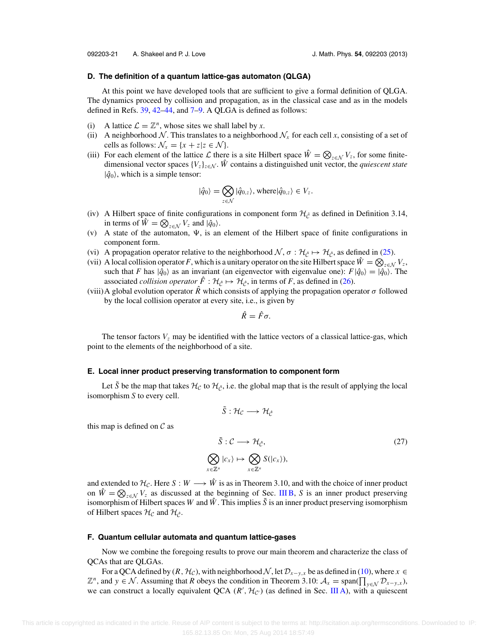<span id="page-22-0"></span>092203-21 A. Shakeel and P. J. Love J. Math. Phys. **54**, 092203 (2013)

#### **D. The definition of a quantum lattice-gas automaton (QLGA)**

At this point we have developed tools that are sufficient to give a formal definition of QLGA. The dynamics proceed by collision and propagation, as in the classical case and as in the models defined in Refs. [39,](#page-40-0) [42–44,](#page-40-0) and [7–9.](#page-39-0) A QLGA is defined as follows:

- (i) A lattice  $\mathcal{L} = \mathbb{Z}^n$ , whose sites we shall label by *x*.
- (ii) A neighborhood  $N$ . This translates to a neighborhood  $\mathcal{N}_x$  for each cell *x*, consisting of a set of cells as follows:  $\mathcal{N}_x = \{x + z | z \in \mathcal{N}\}.$
- (iii) For each element of the lattice  $\mathcal L$  there is a site Hilbert space  $\hat W = \bigotimes_{z \in \mathcal N} V_z$ , for some finitedimensional vector spaces  ${V_z}_{z \in \mathcal{N}}$ .  $\hat{W}$  contains a distinguished unit vector, the *quiescent state*  $|\hat{q}_0\rangle$ , which is a simple tensor:

$$
|\hat{q}_0\rangle = \bigotimes_{z \in \mathcal{N}} |\hat{q}_{0,z}\rangle, \text{ where } |\hat{q}_{0,z}\rangle \in V_z.
$$

- (iv) A Hilbert space of finite configurations in component form  $\mathcal{H}_{\hat{C}}$  as defined in Definition 3.14, in terms of  $\hat{W} = \bigotimes_{z \in \mathcal{N}} V_z$  and  $|\hat{q}_0\rangle$ .
- (v) A state of the automaton,  $\Psi$ , is an element of the Hilbert space of finite configurations in component form.
- (vi) A propagation operator relative to the neighborhood  $\mathcal{N}, \sigma : \mathcal{H}_{\hat{C}} \mapsto \mathcal{H}_{\hat{C}}$ , as defined in [\(25\)](#page-21-0).
- (vii) A local collision operator *F*, which is a unitary operator on the site Hilbert space  $\hat{W} = \bigotimes_{z \in \mathcal{N}} V_z$ , such that *F* has  $|\hat{q}_0\rangle$  as an invariant (an eigenvector with eigenvalue one):  $F|\hat{q}_0\rangle = |\hat{q}_0\rangle$ . The associated *collision operator*  $\hat{F}: \mathcal{H}_{\hat{C}} \mapsto \mathcal{H}_{\hat{C}}$ , in terms of *F*, as defined in [\(26\)](#page-21-0).
- (viii) A global evolution operator  $\hat{R}$ <sup>n which</sup> consists of applying the propagation operator  $\sigma$  followed by the local collision operator at every site, i.e., is given by

$$
\hat{R}=\hat{F}\sigma.
$$

The tensor factors  $V_z$  may be identified with the lattice vectors of a classical lattice-gas, which point to the elements of the neighborhood of a site.

#### **E. Local inner product preserving transformation to component form**

Let  $\tilde{S}$  be the map that takes  $\mathcal{H}_C$  to  $\mathcal{H}_C$ , i.e. the global map that is the result of applying the local isomorphism *S* to every cell.

$$
\tilde{S}:\mathcal{H}_{\mathcal{C}}\longrightarrow\mathcal{H}_{\hat{\mathcal{C}}}
$$

this map is defined on  $\mathcal C$  as

$$
\tilde{S}: \mathcal{C} \longrightarrow \mathcal{H}_{\hat{\mathcal{C}}},
$$
\n
$$
\bigotimes_{x \in \mathbb{Z}^n} |c_x\rangle \mapsto \bigotimes_{x \in \mathbb{Z}^n} S(|c_x\rangle),
$$
\n(27)

and extended to  $\mathcal{H}_{\mathcal{C}}$ . Here *S* : *W* →  $\hat{W}$  is as in Theorem 3.10, and with the choice of inner product on  $\hat{W} = \bigotimes_{z \in \mathcal{N}} V_z$  as discussed at the beginning of Sec. [III B,](#page-19-0) *S* is an inner product preserving isomorphism of Hilbert spaces *W* and  $\hat{W}$ . This implies  $\tilde{S}$  is an inner product preserving isomorphism of Hilbert spaces  $\mathcal{H}_{\mathcal{C}}$  and  $\mathcal{H}_{\hat{\mathcal{C}}}$ .

#### **F. Quantum cellular automata and quantum lattice-gases**

Now we combine the foregoing results to prove our main theorem and characterize the class of QCAs that are QLGAs.

For a QCA defined by  $(R, H<sub>C</sub>)$ , with neighborhood  $\mathcal{N}$ , let  $\mathcal{D}_{x-y,x}$  be as defined in [\(10\)](#page-14-0), where  $x \in$  $\mathbb{Z}^n$ , and *y* ∈ N. Assuming that *R* obeys the condition in Theorem 3.10:  $\mathcal{A}_x$  = span( $\prod_{y \in \mathcal{N}} \mathcal{D}_{x-y,x}$ ), we can construct a locally equivalent QCA  $(R', H_{C'})$  (as defined in Sec. [III A\)](#page-18-0), with a quiescent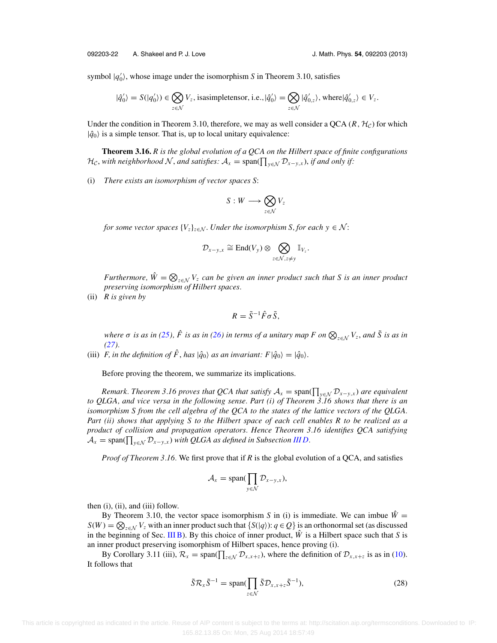<span id="page-23-0"></span>092203-22 A. Shakeel and P. J. Love J. Math. Phys. **54**, 092203 (2013)

symbol  $|q'_0\rangle$ , whose image under the isomorphism *S* in Theorem 3.10, satisfies

$$
|\hat{q}'_0\rangle = S(|q'_0\rangle) \in \bigotimes_{z \in \mathcal{N}} V_z, \text{ is a simple tensor, i.e., } |\hat{q}'_0\rangle = \bigotimes_{z \in \mathcal{N}} |\hat{q}'_{0,z}\rangle, \text{ where } |\hat{q}'_{0,z}\rangle \in V_z.
$$

Under the condition in Theorem 3.10, therefore, we may as well consider a QCA  $(R, H<sub>C</sub>)$  for which  $|\hat{q}_0\rangle$  is a simple tensor. That is, up to local unitary equivalence:

**Theorem 3.16.** *R is the global evolution of a QCA on the Hilbert space of finite configurations*  $H_c$ , with neighborhood  $N$ , and satisfies:  $A_x = \text{span}(\prod_{y \in \mathcal{N}} \mathcal{D}_{x-y,x})$ , if and only if:

(i) *There exists an isomorphism of vector spaces S*:

$$
S:W\longrightarrow\bigotimes_{z\in\mathcal{N}}V_z
$$

*for some vector spaces*  $\{V_z\}_{z \in \mathcal{N}}$ . *Under the isomorphism S, for each*  $y \in \mathcal{N}$ :

$$
\mathcal{D}_{x-y,x} \cong \text{End}(V_y) \otimes \bigotimes_{z \in \mathcal{N}, z \neq y} \mathbb{I}_{V_z}.
$$

*Furthermore,*  $\hat{W} = \bigotimes_{z \in \mathcal{N}} V_z$  can be given an inner product such that S is an inner product *preserving isomorphism of Hilbert spaces.*

(ii) *R is given by*

$$
R=\tilde{S}^{-1}\hat{F}\sigma\tilde{S},
$$

*where*  $\sigma$  *is as in* [\(25\)](#page-21-0)*,*  $\hat{F}$  *is as in* ([26\)](#page-21-0) *in terms of a unitary map*  $F$  *on*  $\bigotimes_{z \in \mathcal{N}} V_z$ *, and*  $\tilde{S}$  *is as in [\(27\)](#page-22-0).*

(iii) *F*, in the definition of  $\hat{F}$ , has  $|\hat{q}_0\rangle$  as an invariant:  $F|\hat{q}_0\rangle = |\hat{q}_0\rangle$ .

Before proving the theorem, we summarize its implications.

*Remark. Theorem 3.16 proves that QCA that satisfy*  $A_x = \text{span}(\prod_{y \in \mathcal{N}} \mathcal{D}_{x-y,x})$  are equivalent *to QLGA, and vice versa in the following sense. Part (i) of Theorem 3.16 shows that there is an isomorphism S from the cell algebra of the QCA to the states of the lattice vectors of the QLGA. Part (ii) shows that applying S to the Hilbert space of each cell enables R to be realized as a product of collision and propagation operators. Hence Theorem 3.16 identifies QCA satisfying*  $A_x = \text{span}(\prod_{y \in \mathcal{N}} \mathcal{D}_{x-y,x})$  *with QLGA as defined in Subsection [III D.](#page-22-0)* 

*Proof of Theorem 3.16.* We first prove that if *R* is the global evolution of a QCA, and satisfies

$$
\mathcal{A}_x = \text{span}(\prod_{y \in \mathcal{N}} \mathcal{D}_{x-y,x}),
$$

then (i), (ii), and (iii) follow.

By Theorem 3.10, the vector space isomorphism *S* in (i) is immediate. We can imbue  $\hat{W}$  =  $S(W) = \bigotimes_{z \in \mathcal{N}} V_z$  with an inner product such that  $\{S(|q\rangle): q \in \mathcal{Q}\}\$  is an orthonormal set (as discussed in the beginning of Sec. [III B\)](#page-19-0). By this choice of inner product,  $\hat{W}$  is a Hilbert space such that *S* is an inner product preserving isomorphism of Hilbert spaces, hence proving (i).

By Corollary 3.11 (iii),  $\mathcal{R}_x = \text{span}(\prod_{z \in \mathcal{N}} \mathcal{D}_{x,x+z})$ , where the definition of  $\mathcal{D}_{x,x+z}$  is as in [\(10\)](#page-14-0). It follows that

$$
\tilde{S}\mathcal{R}_x\tilde{S}^{-1} = \text{span}(\prod_{z \in \mathcal{N}} \tilde{S}\mathcal{D}_{x,x+z}\tilde{S}^{-1}),\tag{28}
$$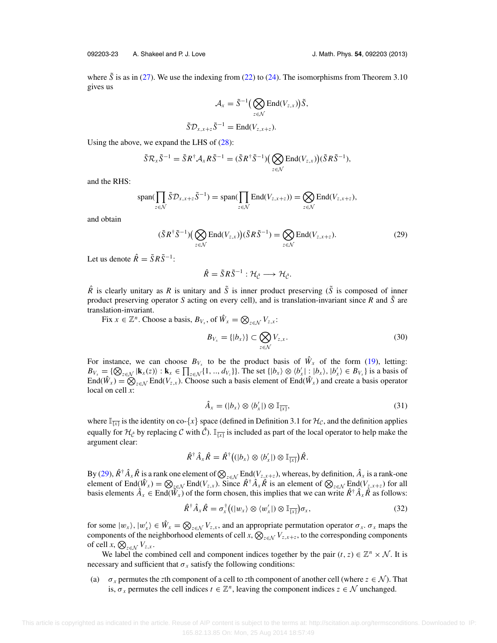<span id="page-24-0"></span>092203-23 A. Shakeel and P. J. Love J. Math. Phys. **54**, 092203 (2013)

where  $\tilde{S}$  is as in [\(27\)](#page-22-0). We use the indexing from [\(22\)](#page-20-0) to [\(24\)](#page-20-0). The isomorphisms from Theorem 3.10 gives us

$$
A_x = \tilde{S}^{-1} \big( \bigotimes_{z \in \mathcal{N}} \text{End}(V_{z,x}) \big) \tilde{S},
$$
  

$$
\tilde{S} \mathcal{D}_{x,x+z} \tilde{S}^{-1} = \text{End}(V_{z,x+z}).
$$

Using the above, we expand the LHS of  $(28)$ :

$$
\tilde{S}\mathcal{R}_x\tilde{S}^{-1}=\tilde{S}R^{\dagger}\mathcal{A}_xR\tilde{S}^{-1}=(\tilde{S}R^{\dagger}\tilde{S}^{-1})(\bigotimes_{z\in\mathcal{N}}\text{End}(V_{z,x}))(\tilde{S}R\tilde{S}^{-1}),
$$

and the RHS:

$$
\mathrm{span}(\prod_{z\in\mathcal{N}}\tilde{S}\mathcal{D}_{x,x+z}\tilde{S}^{-1})=\mathrm{span}(\prod_{z\in\mathcal{N}}\mathrm{End}(V_{z,x+z}))=\bigotimes_{z\in\mathcal{N}}\mathrm{End}(V_{z,x+z}),
$$

and obtain

$$
(\tilde{S}R^{\dagger}\tilde{S}^{-1})\big(\bigotimes_{z\in\mathcal{N}}\text{End}(V_{z,x})\big)(\tilde{S}R\tilde{S}^{-1})=\bigotimes_{z\in\mathcal{N}}\text{End}(V_{z,x+z}).\tag{29}
$$

Let us denote  $\hat{R} = \tilde{S}R\tilde{S}^{-1}$ :

$$
\hat{R} = \tilde{S}R\tilde{S}^{-1} : \mathcal{H}_{\hat{C}} \longrightarrow \mathcal{H}_{\hat{C}}.
$$

 $\hat{R}$  is clearly unitary as *R* is unitary and  $\tilde{S}$  is inner product preserving ( $\tilde{S}$  is composed of inner product preserving operator *S* acting on every cell), and is translation-invariant since *R* and  $\tilde{S}$  are translation-invariant.

Fix  $x \in \mathbb{Z}^n$ . Choose a basis,  $B_{V_x}$ , of  $\hat{W}_x = \bigotimes_{z \in \mathcal{N}} V_{z,x}$ :

$$
B_{V_x} = \{|b_x\rangle\} \subset \bigotimes_{z \in \mathcal{N}} V_{z,x}.
$$
\n(30)

For instance, we can choose  $B_{V_x}$  to be the product basis of  $\hat{W}_x$  of the form [\(19\)](#page-19-0), letting:  $B_{V_x} = \{ \bigotimes_{z \in \mathcal{N}} |\mathbf{k}_x(z)\rangle : \mathbf{k}_x \in \prod_{z \in \mathcal{N}} \{1, ..., d_{V_z}\}\}\.$  The set  $\{|b_x\rangle \otimes \langle b'_x| : |b_x\rangle, |b'_x\rangle \in B_{V_x}\}\)$  is a basis of  $\text{End}(\hat{W}_x) = \bigotimes_{z \in \mathcal{N}} \text{End}(V_{z,x})$ . Choose such a basis element of End $(\hat{W}_x)$  and create a basis operator local on cell *x*:

$$
\hat{A}_x = (|b_x\rangle \otimes \langle b'_x|) \otimes \mathbb{I}_{\overline{\{x\}}},\tag{31}
$$

where  $\mathbb{I}_{\overline{x}}$  is the identity on co-{*x*} space (defined in Definition 3.1 for  $\mathcal{H}_{\mathcal{C}}$ , and the definition applies equally for  $H_{\hat{C}}$  by replacing C with  $\hat{C}$ ).  $\mathbb{I}_{\overline{x}}$  is included as part of the local operator to help make the argument clear:

$$
\hat{R}^\dagger \hat{A}_x \hat{R} = \hat{R}^\dagger \big( (|b_x\rangle \otimes \langle b'_x|) \otimes \mathbb{I}_{\overline{\{x\}}} \big) \hat{R}.
$$

By (29),  $\hat{R}^{\dagger} \hat{A}_x \hat{R}$  is a rank one element of  $\bigotimes_{z \in \mathcal{N}} \text{End}(V_{z,x+z})$ , whereas, by definition,  $\hat{A}_x$  is a rank-one element of End $(\hat{W}_x) = \bigotimes_{z \in \mathcal{N}} \text{End}(V_{z,x})$ . Since  $\hat{R}^\dagger \hat{A}_x \hat{R}$  is an element of  $\bigotimes_{z \in \mathcal{N}} \text{End}(V_{z,x+z})$  for all basis elements  $\hat{A}_x \in End(\hat{W}_x)$  of the form chosen, this implies that we can write  $\hat{R}^\dagger \hat{A}_x \hat{R}$  as follows:

$$
\hat{R}^{\dagger} \hat{A}_x \hat{R} = \sigma_x^{\dagger} \big( (|w_x\rangle \otimes \langle w'_x|) \otimes \mathbb{I}_{\overline{\{x\}}} \big) \sigma_x, \tag{32}
$$

for some  $|w_x\rangle$ ,  $|w'_x\rangle \in \hat{W}_x = \bigotimes_{z \in \mathcal{N}} V_{z,x}$ , and an appropriate permutation operator  $\sigma_x$ .  $\sigma_x$  maps the components of the neighborhood elements of cell *x*,  $\bigotimes_{z \in \mathcal{N}} V_{z,x+z}$ , to the corresponding components of cell  $x$ ,  $\bigotimes_{z \in \mathcal{N}} V_{z,x}$ .

We label the combined cell and component indices together by the pair  $(t, z) \in \mathbb{Z}^n \times \mathcal{N}$ . It is necessary and sufficient that  $\sigma_x$  satisfy the following conditions:

(a)  $\sigma_x$  permutes the *z*th component of a cell to *z*th component of another cell (where  $z \in \mathcal{N}$ ). That is,  $\sigma_x$  permutes the cell indices  $t \in \mathbb{Z}^n$ , leaving the component indices  $z \in \mathcal{N}$  unchanged.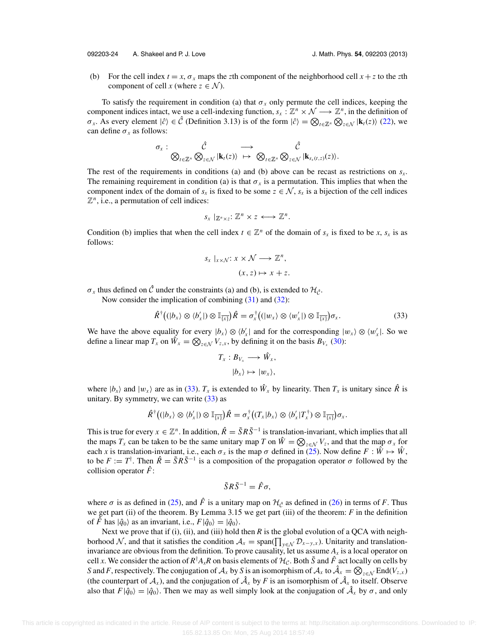092203-24 A. Shakeel and P. J. Love J. Math. Phys. **54**, 092203 (2013)

(b) For the cell index  $t = x$ ,  $\sigma_x$  maps the *z*th component of the neighborhood cell  $x + z$  to the *z*th component of cell *x* (where  $z \in \mathcal{N}$ ).

To satisfy the requirement in condition (a) that  $\sigma_x$  only permute the cell indices, keeping the component indices intact, we use a cell-indexing function,  $s_x : \mathbb{Z}^n \times \mathcal{N} \longrightarrow \mathbb{Z}^n$ , in the definition of  $\sigma_x$ . As every element  $|\hat{c}\rangle \in \hat{\mathcal{C}}$  (Definition 3.13) is of the form  $|\hat{c}\rangle = \bigotimes_{t \in \mathbb{Z}^n} \bigotimes_{z \in \mathcal{N}} |\mathbf{k}_t(z)\rangle$  [\(22\)](#page-20-0), we can define  $\sigma_x$  as follows:

$$
\sigma_x: \qquad \hat{\mathcal{C}} \qquad \longrightarrow \qquad \hat{\mathcal{C}} \qquad \qquad \longrightarrow \qquad \hat{\mathcal{C}} \qquad \qquad \hat{\mathcal{C}} \qquad \qquad \otimes_{t \in \mathbb{Z}^n} \bigotimes_{z \in \mathcal{N}} |\mathbf{k}_{s_x(t,z)}(z)\rangle.
$$

The rest of the requirements in conditions (a) and (b) above can be recast as restrictions on  $s<sub>x</sub>$ . The remaining requirement in condition (a) is that  $\sigma_x$  is a permutation. This implies that when the component index of the domain of  $s_x$  is fixed to be some  $z \in \mathcal{N}$ ,  $s_x$  is a bijection of the cell indices  $\mathbb{Z}^n$ , i.e., a permutation of cell indices:

$$
S_X \mid_{\mathbb{Z}^n \times z} : \mathbb{Z}^n \times z \longleftrightarrow \mathbb{Z}^n.
$$

Condition (b) implies that when the cell index  $t \in \mathbb{Z}^n$  of the domain of  $s_x$  is fixed to be  $x, s_x$  is as follows:

$$
S_X \mid_{x \times \mathcal{N}} : x \times \mathcal{N} \longrightarrow \mathbb{Z}^n,
$$

$$
(x, z) \mapsto x + z.
$$

 $\sigma_x$  thus defined on  $\hat{C}$  under the constraints (a) and (b), is extended to  $\mathcal{H}_{\hat{C}}$ .

Now consider the implication of combining [\(31\)](#page-24-0) and [\(32\)](#page-24-0):

$$
\hat{R}^{\dagger}((|b_x\rangle \otimes \langle b'_x|) \otimes \mathbb{I}_{\overline{\{x\}}})\hat{R} = \sigma_x^{\dagger}((|w_x\rangle \otimes \langle w'_x|) \otimes \mathbb{I}_{\overline{\{x\}}})\sigma_x.
$$
\n(33)

We have the above equality for every  $|b_x\rangle \otimes \langle b'_x|$  and for the corresponding  $|w_x\rangle \otimes \langle w'_x|$ . So we define a linear map  $T_x$  on  $\hat{W}_x = \bigotimes_{z \in \mathcal{N}} V_{z,x}$ , by defining it on the basis  $B_{V_x}$  [\(30\)](#page-24-0):

$$
T_x: B_{V_x} \longrightarrow \hat{W}_x,
$$
  

$$
|b_x\rangle \mapsto |w_x\rangle,
$$

where  $|b_x\rangle$  and  $|w_x\rangle$  are as in (33).  $T_x$  is extended to  $\hat{W}_x$  by linearity. Then  $T_x$  is unitary since  $\hat{R}$  is unitary. By symmetry, we can write  $(33)$  as

$$
\hat{R}^{\dagger}((|b_x\rangle\otimes\langle b_x'|)\otimes \mathbb{I}_{\overline{\{x\}}})\hat{R}=\sigma_x^{\dagger}\big((T_x|b_x\rangle\otimes\langle b_x'|T_x^{\dagger})\otimes \mathbb{I}_{\overline{\{x\}}}\big)\sigma_x.
$$

This is true for every  $x \in \mathbb{Z}^n$ . In addition,  $\hat{R} = \tilde{S}R\tilde{S}^{-1}$  is translation-invariant, which implies that all the maps  $T_x$  can be taken to be the same unitary map *T* on  $\hat{W} = \bigotimes_{z \in \mathcal{N}} V_z$ , and that the map  $\sigma_x$  for each *x* is translation-invariant, i.e., each  $\sigma_x$  is the map  $\sigma$  defined in [\(25\)](#page-21-0). Now define  $F : \hat{W} \mapsto \hat{W}$ , to be  $F := T^{\dagger}$ . Then  $\hat{R} = \tilde{S}R\tilde{S}^{-1}$  is a composition of the propagation operator  $\sigma$  followed by the collision operator *F*ˆ:

$$
\tilde{S}R\tilde{S}^{-1}=\hat{F}\sigma,
$$

where  $\sigma$  is as defined in [\(25\)](#page-21-0), and  $\hat{F}$  is a unitary map on  $\mathcal{H}_{\hat{C}}$  as defined in [\(26\)](#page-21-0) in terms of *F*. Thus we get part (ii) of the theorem. By Lemma 3.15 we get part (iii) of the theorem: *F* in the definition of *F* has  $|\hat{q}_0\rangle$  as an invariant, i.e.,  $F|\hat{q}_0\rangle = |\hat{q}_0\rangle$ .

Next we prove that if (i), (ii), and (iii) hold then *R* is the global evolution of a QCA with neighborhood N, and that it satisfies the condition  $A_x = \text{span}(\prod_{y \in \mathcal{N}} \mathcal{D}_{x-y,x})$ . Unitarity and translationinvariance are obvious from the definition. To prove causality, let us assume  $A_x$  is a local operator on cell *x*. We consider the action of  $R^{\dagger}A_xR$  on basis elements of  $\mathcal{H}_{\mathcal{C}}$ . Both  $\tilde{S}$  and  $\hat{F}$  act locally on cells by *S* and *F*, respectively. The conjugation of  $A_x$  by *S* is an isomorphism of  $A_x$  to  $\hat{A}_x = \bigotimes_{z \in \mathcal{N}} End(V_{z,x})$ (the counterpart of  $A_x$ ), and the conjugation of  $\hat{A}_x$  by F is an isomorphism of  $\hat{A}_x$  to itself. Observe also that  $F|\hat{q}_0\rangle = |\hat{q}_0\rangle$ . Then we may as well simply look at the conjugation of  $\hat{A}_x$  by  $\sigma$ , and only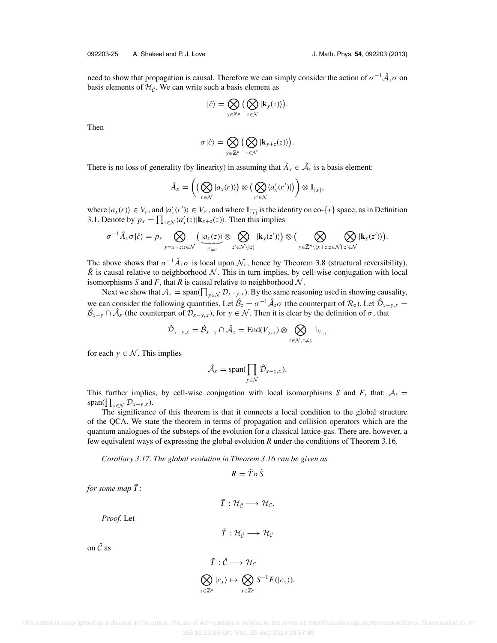092203-25 A. Shakeel and P. J. Love J. Math. Phys. **54**, 092203 (2013)

need to show that propagation is causal. Therefore we can simply consider the action of  $\sigma^{-1}\hat{\mathcal{A}}_x\sigma$  on basis elements of  $\mathcal{H}_{\hat{C}}$ . We can write such a basis element as

$$
|\hat{c}\rangle = \bigotimes_{y\in\mathbb{Z}^n} \big(\bigotimes_{z\in\mathcal{N}} |{\bf k}_y(z)\rangle\big).
$$

Then

$$
\sigma|\hat{c}\rangle = \bigotimes_{y\in\mathbb{Z}^n} \big(\bigotimes_{z\in\mathcal{N}} |{\bf k}_{y+z}(z)\rangle\big).
$$

There is no loss of generality (by linearity) in assuming that  $\hat{A}_x \in \hat{\mathcal{A}}_x$  is a basis element:

$$
\hat{A}_x = \left( \left( \bigotimes_{r \in \mathcal{N}} |a_x(r) \rangle \right) \otimes \left( \bigotimes_{r' \in \mathcal{N}} \langle a'_x(r')| \right) \right) \otimes \mathbb{I}_{\overline{\{x\}}},
$$

where  $|a_x(r)\rangle \in V_r$ , and  $|a'_x(r')\rangle \in V_{r'}$ , and where  $\mathbb{I}_{\overline{\{x\}}}$  is the identity on co- $\{x\}$  space, as in Definition 3.1. Denote by  $p_x = \prod_{z \in \mathcal{N}} \langle a'_x(z) | \mathbf{k}_{x+z}(z) \rangle$ . Then this implies

$$
\sigma^{-1}\hat{A}_x\sigma|\hat{c}\rangle = p_x \bigotimes_{y=x+z:z\in\mathcal{N}} \left( \underbrace{|a_x(z)\rangle}_{z'=z} \otimes \bigotimes_{z'\in\mathcal{N}\setminus\{z\}} \ket{\mathbf{k}_y(z')}\right) \otimes \big(\bigotimes_{y\in\mathbb{Z}^n\setminus\{x+z:z\in\mathcal{N}\}} \bigotimes_{z'\in\mathcal{N}} \ket{\mathbf{k}_y(z')}\right).
$$

The above shows that  $\sigma^{-1}\hat{A}_x\sigma$  is local upon  $\mathcal{N}_x$ , hence by Theorem 3.8 (structural reversibility),  $\hat{R}$  is causal relative to neighborhood  $N$ . This in turn implies, by cell-wise conjugation with local isomorphisms *S* and *F*, that *R* is causal relative to neighborhood  $N$ .

Next we show that  $A_x = \text{span}(\prod_{y \in \mathcal{N}} \mathcal{D}_{x-y,x})$ . By the same reasoning used in showing causality, we can consider the following quantities. Let  $\hat{\mathcal{B}}_z = \sigma^{-1} \hat{\mathcal{A}}_z \sigma$  (the counterpart of  $\mathcal{R}_z$ ). Let  $\hat{\mathcal{D}}_{x-y,x} =$  $\hat{\mathcal{B}}_{x-y} \cap \hat{\mathcal{A}}_x$  (the counterpart of  $\mathcal{D}_{x-y,x}$ ), for  $y \in \mathcal{N}$ . Then it is clear by the definition of  $\sigma$ , that

$$
\hat{\mathcal{D}}_{x-y,x} = \hat{\mathcal{B}}_{x-y} \cap \hat{\mathcal{A}}_x = \text{End}(V_{y,x}) \otimes \bigotimes_{z \in \mathcal{N}, z \neq y} \mathbb{I}_{V_{z,x}}
$$

for each  $y \in \mathcal{N}$ . This implies

$$
\hat{\mathcal{A}}_x = \text{span}(\prod_{y \in \mathcal{N}} \hat{\mathcal{D}}_{x-y,x}).
$$

This further implies, by cell-wise conjugation with local isomorphisms *S* and *F*, that:  $A_x$  = span( $\prod_{y \in \mathcal{N}} \mathcal{D}_{x-y,x}$ ).

The significance of this theorem is that it connects a local condition to the global structure of the QCA. We state the theorem in terms of propagation and collision operators which are the quantum analogues of the substeps of the evolution for a classical lattice-gas. There are, however, a few equivalent ways of expressing the global evolution *R* under the conditions of Theorem 3.16.

*Corollary 3.17. The global evolution in Theorem 3.16 can be given as*

$$
R=\tilde{T}\sigma\tilde{S}
$$

*for some map*  $\tilde{T}$ :

$$
\tilde{T}: \mathcal{H}_{\hat{\mathcal{C}}}\longrightarrow \mathcal{H}_{\mathcal{C}}.
$$

*Proof.* Let

$$
\tilde{T}: \mathcal{H}_{\hat{\mathcal{C}}} \longrightarrow \mathcal{H}_{\mathcal{C}}
$$

on  $\hat{\mathcal{C}}$  as

$$
\tilde{T}: \hat{\mathcal{C}} \longrightarrow \mathcal{H}_{\mathcal{C}}
$$

$$
\bigotimes_{x \in \mathbb{Z}^n} |c_x\rangle \mapsto \bigotimes_{x \in \mathbb{Z}^n} S^{-1}F(|c_x\rangle).
$$

 This article is copyrighted as indicated in the article. Reuse of AIP content is subject to the terms at: http://scitation.aip.org/termsconditions. Downloaded to IP: 165.82.13.85 On: Mon, 25 Aug 2014 18:57:49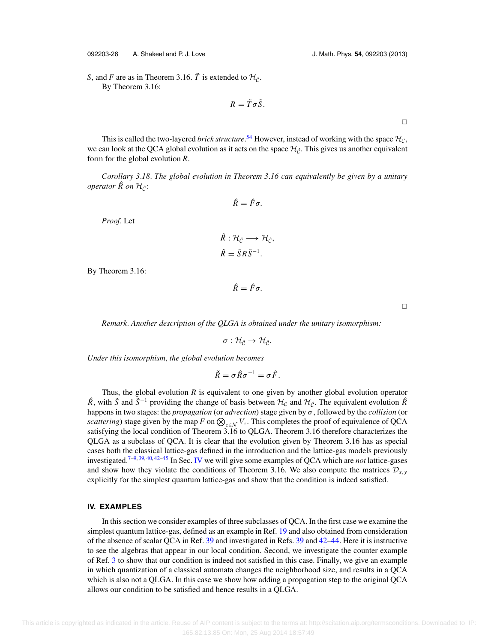<span id="page-27-0"></span>092203-26 A. Shakeel and P. J. Love J. Math. Phys. **54**, 092203 (2013)

*S*, and *F* are as in Theorem 3.16.  $\tilde{T}$  is extended to  $\mathcal{H}_{\rho}$ . By Theorem 3.16:

$$
R=\tilde{T}\sigma\tilde{S}.
$$

This is called the two-layered *brick structure*.<sup>[54](#page-40-0)</sup> However, instead of working with the space  $\mathcal{H}_{\mathcal{C}}$ , we can look at the QCA global evolution as it acts on the space  $\mathcal{H}_{\rho}$ . This gives us another equivalent form for the global evolution *R*.

*Corollary 3.18. The global evolution in Theorem 3.16 can equivalently be given by a unitary operator*  $\hat{R}$  *on*  $\mathcal{H}_{\hat{C}}$ :

$$
\hat{R}=\hat{F}\sigma.
$$

*Proof.* Let

$$
\hat{R}: \mathcal{H}_{\hat{C}} \longrightarrow \mathcal{H}_{\hat{C}},
$$
  

$$
\hat{R} = \tilde{S}R\tilde{S}^{-1}.
$$

By Theorem 3.16:

 $\hat{R} = \hat{F}\sigma$ .

 $\overline{\phantom{0}}$ 

*Remark. Another description of the QLGA is obtained under the unitary isomorphism:*

 $\sigma: \mathcal{H}_{\hat{C}} \to \mathcal{H}_{\hat{C}}$ .

*Under this isomorphism, the global evolution becomes*

$$
\check{R} = \sigma \hat{R} \sigma^{-1} = \sigma \hat{F}.
$$

Thus, the global evolution  $R$  is equivalent to one given by another global evolution operator *R*̂, with *S* and  $\tilde{S}^{-1}$  providing the change of basis between  $\mathcal{H}_{\mathcal{C}}$  and  $\mathcal{H}_{\hat{\mathcal{C}}}$ . The equivalent evolution  $\hat{R}$ happens in two stages: the *propagation* (or *advection*) stage given by σ, followed by the *collision* (or *scattering*) stage given by the map *F* on  $\bigotimes_{z \in \mathcal{N}} V_z$ . This completes the proof of equivalence of QCA satisfying the local condition of Theorem 3.16 to QLGA. Theorem 3.16 therefore characterizes the QLGA as a subclass of QCA. It is clear that the evolution given by Theorem 3.16 has as special cases both the classical lattice-gas defined in the introduction and the lattice-gas models previously investigated.[7–9,](#page-39-0) [39,](#page-40-0) [40,](#page-40-0) [42–45](#page-40-0) In Sec. IV we will give some examples of QCA which are *not* lattice-gases and show how they violate the conditions of Theorem 3.16. We also compute the matrices  $\mathcal{D}_{x,y}$ explicitly for the simplest quantum lattice-gas and show that the condition is indeed satisfied.

#### **IV. EXAMPLES**

In this section we consider examples of three subclasses of QCA. In the first case we examine the simplest quantum lattice-gas, defined as an example in Ref. [19](#page-39-0) and also obtained from consideration of the absence of scalar QCA in Ref. [39](#page-40-0) and investigated in Refs. [39](#page-40-0) and [42–44.](#page-40-0) Here it is instructive to see the algebras that appear in our local condition. Second, we investigate the counter example of Ref. [3](#page-39-0) to show that our condition is indeed not satisfied in this case. Finally, we give an example in which quantization of a classical automata changes the neighborhood size, and results in a QCA which is also not a QLGA. In this case we show how adding a propagation step to the original QCA allows our condition to be satisfied and hence results in a QLGA.

 $\overline{\phantom{0}}$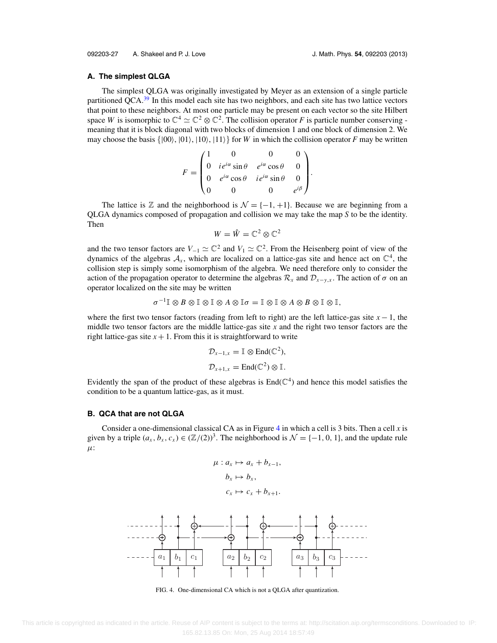#### **A. The simplest QLGA**

The simplest QLGA was originally investigated by Meyer as an extension of a single particle partitioned QCA.<sup>39</sup> In this model each site has two neighbors, and each site has two lattice vectors that point to these neighbors. At most one particle may be present on each vector so the site Hilbert space *W* is isomorphic to  $\mathbb{C}^4 \simeq \mathbb{C}^2 \otimes \mathbb{C}^2$ . The collision operator *F* is particle number conserving meaning that it is block diagonal with two blocks of dimension 1 and one block of dimension 2. We may choose the basis  $\{|00\rangle, |01\rangle, |10\rangle, |11\rangle\}$  for *W* in which the collision operator *F* may be written

$$
F = \begin{pmatrix} 1 & 0 & 0 & 0 \\ 0 & ie^{i\alpha}\sin\theta & e^{i\alpha}\cos\theta & 0 \\ 0 & e^{i\alpha}\cos\theta & ie^{i\alpha}\sin\theta & 0 \\ 0 & 0 & 0 & e^{i\beta} \end{pmatrix}.
$$

The lattice is Z and the neighborhood is  $\mathcal{N} = \{-1, +1\}$ . Because we are beginning from a QLGA dynamics composed of propagation and collision we may take the map *S* to be the identity. Then

$$
W = \hat{W} = \mathbb{C}^2 \otimes \mathbb{C}^2
$$

and the two tensor factors are  $V_{-1} \simeq \mathbb{C}^2$  and  $V_1 \simeq \mathbb{C}^2$ . From the Heisenberg point of view of the dynamics of the algebras  $A_x$ , which are localized on a lattice-gas site and hence act on  $\mathbb{C}^4$ , the collision step is simply some isomorphism of the algebra. We need therefore only to consider the action of the propagation operator to determine the algebras  $\mathcal{R}_x$  and  $\mathcal{D}_{x-y,x}$ . The action of  $\sigma$  on an operator localized on the site may be written

$$
\sigma^{-1}\mathbb{I}\otimes B\otimes\mathbb{I}\otimes\mathbb{I}\otimes A\otimes\mathbb{I}\sigma=\mathbb{I}\otimes\mathbb{I}\otimes A\otimes B\otimes\mathbb{I}\otimes\mathbb{I},
$$

where the first two tensor factors (reading from left to right) are the left lattice-gas site  $x - 1$ , the middle two tensor factors are the middle lattice-gas site *x* and the right two tensor factors are the right lattice-gas site  $x + 1$ . From this it is straightforward to write

$$
\mathcal{D}_{x-1,x} = \mathbb{I} \otimes \text{End}(\mathbb{C}^2),
$$
  

$$
\mathcal{D}_{x+1,x} = \text{End}(\mathbb{C}^2) \otimes \mathbb{I}.
$$

Evidently the span of the product of these algebras is  $End(\mathbb{C}^4)$  and hence this model satisfies the condition to be a quantum lattice-gas, as it must.

#### **B. QCA that are not QLGA**

Consider a one-dimensional classical CA as in Figure 4 in which a cell is 3 bits. Then a cell *x* is given by a triple  $(a_x, b_x, c_x) \in (\mathbb{Z}/(2))^3$ . The neighborhood is  $\mathcal{N} = \{-1, 0, 1\}$ , and the update rule μ:

$$
\mu: a_x \mapsto a_x + b_{x-1},
$$

$$
b_x \mapsto b_x,
$$

$$
c_x \mapsto c_x + b_{x+1}.
$$



FIG. 4. One-dimensional CA which is not a QLGA after quantization.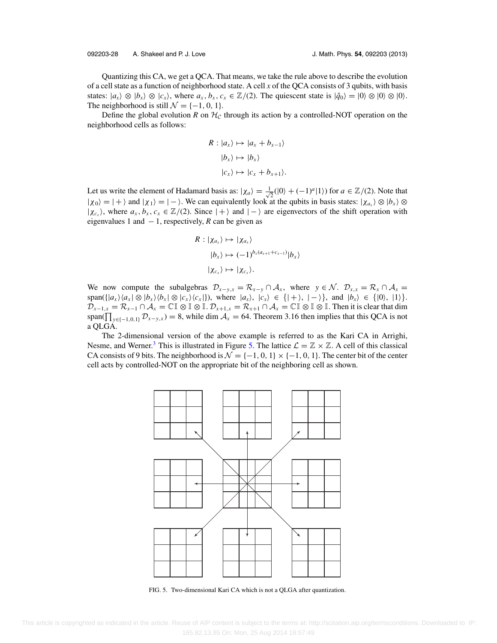092203-28 A. Shakeel and P. J. Love J. Math. Phys. **54**, 092203 (2013)

Quantizing this CA, we get a QCA. That means, we take the rule above to describe the evolution of a cell state as a function of neighborhood state. A cell *x* of the QCA consists of 3 qubits, with basis states:  $|a_x\rangle \otimes |b_x\rangle \otimes |c_x\rangle$ , where  $a_x, b_x, c_x \in \mathbb{Z}/(2)$ . The quiescent state is  $|\hat{q}_0\rangle = |0\rangle \otimes |0\rangle \otimes |0\rangle$ . The neighborhood is still  $\mathcal{N} = \{-1, 0, 1\}.$ 

Define the global evolution *R* on  $H_c$  through its action by a controlled-NOT operation on the neighborhood cells as follows:

$$
R: |a_x\rangle \mapsto |a_x + b_{x-1}\rangle
$$
  
\n
$$
|b_x\rangle \mapsto |b_x\rangle
$$
  
\n
$$
|c_x\rangle \mapsto |c_x + b_{x+1}\rangle.
$$

Let us write the element of Hadamard basis as:  $|\chi_a\rangle = \frac{1}{\sqrt{2}}$  $\frac{1}{2}(|0\rangle + (-1)^{a}|1\rangle)$  for  $a \in \mathbb{Z}/(2)$ . Note that  $|\chi_0\rangle = |+\rangle$  and  $|\chi_1\rangle = |-\rangle$ . We can equivalently look at the qubits in basis states:  $|\chi_{a_x}\rangle \otimes |b_x\rangle \otimes$  $|\chi_{c_x}\rangle$ , where  $a_x$ ,  $b_x$ ,  $c_x \in \mathbb{Z}/(2)$ . Since  $|+\rangle$  and  $|-\rangle$  are eigenvectors of the shift operation with eigenvalues 1 and  $-1$ , respectively, *R* can be given as

$$
R: |\chi_{a_x}\rangle \mapsto |\chi_{a_x}\rangle
$$
  
\n
$$
|b_x\rangle \mapsto (-1)^{b_x(a_{x+1}+c_{x-1})}|b_x\rangle
$$
  
\n
$$
|\chi_{c_x}\rangle \mapsto |\chi_{c_x}\rangle.
$$

We now compute the subalgebras  $\mathcal{D}_{x-y,x} = \mathcal{R}_{x-y} \cap \mathcal{A}_x$ , where  $y \in \mathcal{N}$ .  $\mathcal{D}_{x,x} = \mathcal{R}_x \cap \mathcal{A}_x$  $span({\{|a_x\rangle\langle a_x| \otimes |b_x\rangle\langle b_x| \otimes |c_x\rangle\langle c_x|})},$  where  $|a_x\rangle, |c_x\rangle \in {\{| + \rangle, | - \rangle}},$  and  $|b_x\rangle \in {\{|0\rangle, |1\rangle}}.$  $\mathcal{D}_{x-1,x} = \mathcal{R}_{x-1} \cap \mathcal{A}_x = \mathbb{C} \mathbb{I} \otimes \mathbb{I} \otimes \mathbb{I}$ .  $\mathcal{D}_{x+1,x} = \mathcal{R}_{x+1} \cap \mathcal{A}_x = \mathbb{C} \mathbb{I} \otimes \mathbb{I} \otimes \mathbb{I}$ . Then it is clear that dim span( $\prod_{y \in \{-1,0,1\}} \mathcal{D}_{x-y,x}$ ) = 8, while dim  $\mathcal{A}_x$  = 64. Theorem 3.16 then implies that this QCA is not a QLGA.

The 2-dimensional version of the above example is referred to as the Kari CA in Arrighi, Nesme, and Werner.<sup>3</sup> This is illustrated in Figure 5. The lattice  $\mathcal{L} = \mathbb{Z} \times \mathbb{Z}$ . A cell of this classical CA consists of 9 bits. The neighborhood is  $\mathcal{N} = \{-1, 0, 1\} \times \{-1, 0, 1\}$ . The center bit of the center cell acts by controlled-NOT on the appropriate bit of the neighboring cell as shown.



FIG. 5. Two-dimensional Kari CA which is not a QLGA after quantization.

 This article is copyrighted as indicated in the article. Reuse of AIP content is subject to the terms at: http://scitation.aip.org/termsconditions. Downloaded to IP: 165.82.13.85 On: Mon, 25 Aug 2014 18:57:49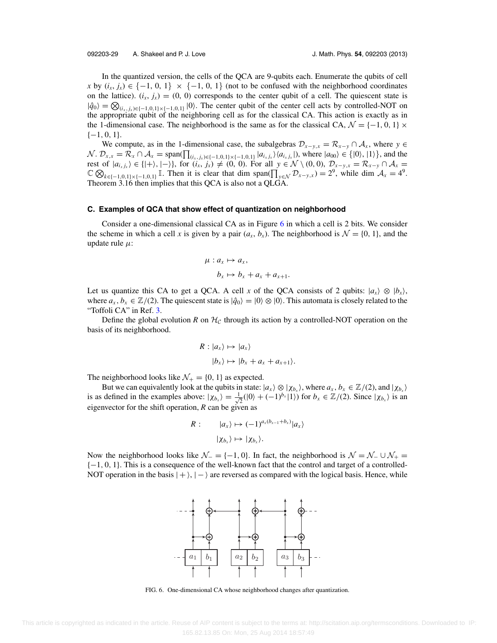<span id="page-30-0"></span>092203-29 A. Shakeel and P. J. Love J. Math. Phys. **54**, 092203 (2013)

In the quantized version, the cells of the QCA are 9-qubits each. Enumerate the qubits of cell *x* by  $(i_x, j_x) \in \{-1, 0, 1\} \times \{-1, 0, 1\}$  (not to be confused with the neighborhood coordinates on the lattice).  $(i_x, j_x) = (0, 0)$  corresponds to the center qubit of a cell. The quiescent state is  $|\hat{q}_0\rangle = \bigotimes_{(i_x, j_x) \in \{-1, 0, 1\} \times \{-1, 0, 1\}} |0\rangle$ . The center qubit of the center cell acts by controlled-NOT on the appropriate qubit of the neighboring cell as for the classical CA. This action is exactly as in the 1-dimensional case. The neighborhood is the same as for the classical CA,  $\mathcal{N} = \{-1, 0, 1\} \times$  $\{-1, 0, 1\}.$ 

We compute, as in the 1-dimensional case, the subalgebras  $\mathcal{D}_{x-y,x} = \mathcal{R}_{x-y} \cap \mathcal{A}_x$ , where  $y \in$  $N. D_{x,x} = R_x ∩ A_x = span(\prod_{(i_x, j_x) \in \{-1, 0, 1\} \times \{-1, 0, 1\}} |a_{i_x, j_x}\rangle \langle a_{i_x, j_x}|)$ , where  $|a_{00}\rangle \in \{|0\rangle, |1\rangle\}$ , and the rest of  $|a_{i_xj_x} \rangle \in \{ |+ \rangle, |-\rangle \}$ , for  $(i_x, j_x) \neq (0, 0)$ . For all  $y \in \mathcal{N} \setminus (0, 0)$ ,  $\mathcal{D}_{x-y,x} = \mathcal{R}_{x-y} \cap \mathcal{A}_x =$  $\mathbb{C} \bigotimes_{k \in \{-1,0,1\} \times \{-1,0,1\}} \mathbb{I}$ . Then it is clear that dim span( $\prod_{y \in \mathcal{N}} \mathcal{D}_{x-y,x}$ ) = 2<sup>9</sup>, while dim  $\mathcal{A}_x = 4^9$ . Theorem 3.16 then implies that this QCA is also not a QLGA.

#### **C. Examples of QCA that show effect of quantization on neighborhood**

Consider a one-dimensional classical CA as in Figure 6 in which a cell is 2 bits. We consider the scheme in which a cell *x* is given by a pair  $(a_x, b_x)$ . The neighborhood is  $\mathcal{N} = \{0, 1\}$ , and the update rule  $\mu$ :

$$
\mu: a_x \mapsto a_x,
$$
  

$$
b_x \mapsto b_x + a_x + a_{x+1}.
$$

Let us quantize this CA to get a QCA. A cell *x* of the QCA consists of 2 qubits:  $|a_x\rangle \otimes |b_x\rangle$ , where  $a_x$ ,  $b_x \in \mathbb{Z}/(2)$ . The quiescent state is  $|\hat{q}_0\rangle = |0\rangle \otimes |0\rangle$ . This automata is closely related to the "Toffoli CA" in Ref. [3.](#page-39-0)

Define the global evolution *R* on  $H_C$  through its action by a controlled-NOT operation on the basis of its neighborhood.

$$
R: |a_x\rangle \mapsto |a_x\rangle
$$
  

$$
|b_x\rangle \mapsto |b_x + a_x + a_{x+1}\rangle.
$$

The neighborhood looks like  $\mathcal{N}_+ = \{0, 1\}$  as expected.

But we can equivalently look at the qubits in state:  $|a_x\rangle \otimes |\chi_{b_x}\rangle$ , where  $a_x, b_x \in \mathbb{Z}/(2)$ , and  $|\chi_{b_x}\rangle$ is as defined in the examples above:  $|\chi_{b_x}\rangle = \frac{1}{\sqrt{2}}$  $\overline{z}(|0\rangle + (-1)^{b_x}|1\rangle)$  for  $b_x \in \mathbb{Z}/(2)$ . Since  $|\chi_{b_x}\rangle$  is an eigenvector for the shift operation, *R* can be given as

$$
R: |a_{x}\rangle \mapsto (-1)^{a_{x}(b_{x-1}+b_{x})}|a_{x}\rangle
$$

$$
|\chi_{b_{x}}\rangle \mapsto |\chi_{b_{x}}\rangle.
$$

Now the neighborhood looks like  $\mathcal{N} = \{-1, 0\}$ . In fact, the neighborhood is  $\mathcal{N} = \mathcal{N}_- \cup \mathcal{N}_+$ {−1, 0, 1}. This is a consequence of the well-known fact that the control and target of a controlled-NOT operation in the basis  $|+ \rangle$ ,  $| - \rangle$  are reversed as compared with the logical basis. Hence, while



FIG. 6. One-dimensional CA whose neighborhood changes after quantization.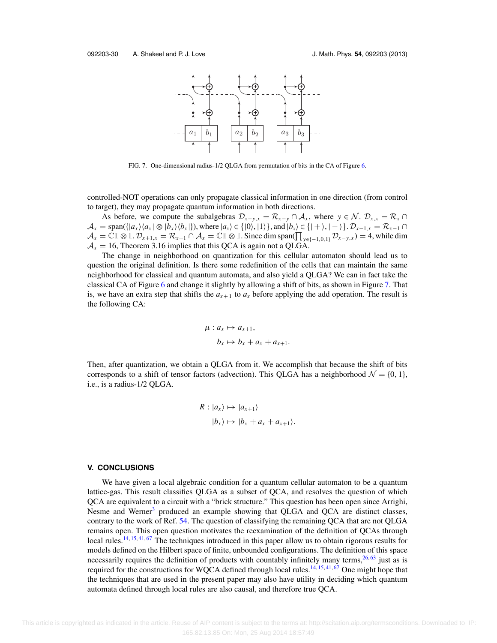

FIG. 7. One-dimensional radius-1/2 QLGA from permutation of bits in the CA of Figure [6.](#page-30-0)

controlled-NOT operations can only propagate classical information in one direction (from control to target), they may propagate quantum information in both directions.

As before, we compute the subalgebras  $\mathcal{D}_{x-y,x} = \mathcal{R}_{x-y} \cap \mathcal{A}_x$ , where  $y \in \mathcal{N}$ .  $\mathcal{D}_{x,x} = \mathcal{R}_x \cap \mathcal{A}_x$  $\mathcal{A}_x = \text{span}(\{|a_x\rangle\langle a_x| \otimes |b_x\rangle\langle b_x|)\},\$  where  $|a_x\rangle \in \{|0\rangle, |1\rangle\},\$  and  $|b_x\rangle \in \{| + \rangle, | - \rangle\}.$   $\mathcal{D}_{x-1,x} = \mathcal{R}_{x-1} \cap \mathcal{R}_{x-1,x}$  $\mathcal{A}_x = \mathbb{C} \mathbb{I} \otimes \mathbb{I}$ .  $\mathcal{D}_{x+1,x} = \mathcal{R}_{x+1} \cap \mathcal{A}_x = \mathbb{C} \mathbb{I} \otimes \mathbb{I}$ . Since dim span( $\prod_{y \in \{-1,0,1\}} \mathcal{D}_{x-y,x}$ ) = 4, while dim  $A_x = 16$ , Theorem 3.16 implies that this QCA is again not a QLGA.

The change in neighborhood on quantization for this cellular automaton should lead us to question the original definition. Is there some redefinition of the cells that can maintain the same neighborhood for classical and quantum automata, and also yield a QLGA? We can in fact take the classical CA of Figure [6](#page-30-0) and change it slightly by allowing a shift of bits, as shown in Figure 7. That is, we have an extra step that shifts the  $a_{x+1}$  to  $a_x$  before applying the add operation. The result is the following CA:

$$
\mu: a_x \mapsto a_{x+1},
$$
  

$$
b_x \mapsto b_x + a_x + a_{x+1}.
$$

Then, after quantization, we obtain a QLGA from it. We accomplish that because the shift of bits corresponds to a shift of tensor factors (advection). This QLGA has a neighborhood  $\mathcal{N} = \{0, 1\}$ , i.e., is a radius-1/2 QLGA.

$$
R: |a_x\rangle \mapsto |a_{x+1}\rangle
$$
  

$$
|b_x\rangle \mapsto |b_x + a_x + a_{x+1}\rangle.
$$

#### **V. CONCLUSIONS**

We have given a local algebraic condition for a quantum cellular automaton to be a quantum lattice-gas. This result classifies QLGA as a subset of QCA, and resolves the question of which QCA are equivalent to a circuit with a "brick structure." This question has been open since Arrighi, Nesme and Werner<sup>[3](#page-39-0)</sup> produced an example showing that QLGA and QCA are distinct classes, contrary to the work of Ref. [54.](#page-40-0) The question of classifying the remaining QCA that are not QLGA remains open. This open question motivates the reexamination of the definition of QCAs through local rules.<sup>[14,](#page-39-0) [15,](#page-39-0) [41,](#page-40-0) [67](#page-40-0)</sup> The techniques introduced in this paper allow us to obtain rigorous results for models defined on the Hilbert space of finite, unbounded configurations. The definition of this space necessarily requires the definition of products with countably infinitely many terms,  $26, 63$  $26, 63$  just as is required for the constructions for WQCA defined through local rules.<sup>[14,](#page-39-0) [15,](#page-39-0) [41,](#page-40-0) [67](#page-40-0)</sup> One might hope that the techniques that are used in the present paper may also have utility in deciding which quantum automata defined through local rules are also causal, and therefore true QCA.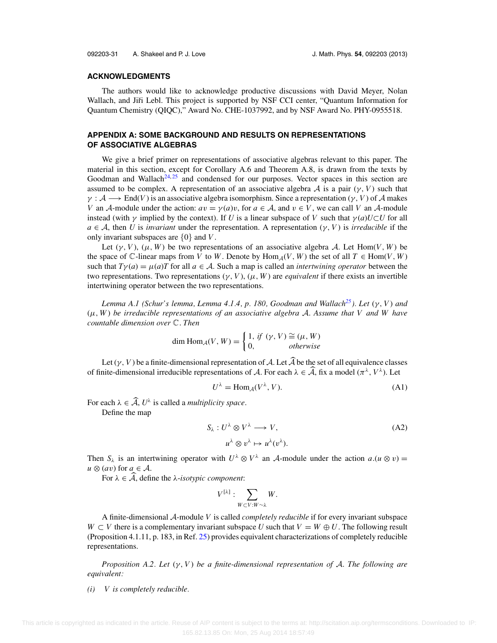#### <span id="page-32-0"></span>**ACKNOWLEDGMENTS**

The authors would like to acknowledge productive discussions with David Meyer, Nolan Wallach, and Jiři Lebl. This project is supported by NSF CCI center, "Quantum Information for Quantum Chemistry (QIQC)," Award No. CHE-1037992, and by NSF Award No. PHY-0955518.

#### **APPENDIX A: SOME BACKGROUND AND RESULTS ON REPRESENTATIONS OF ASSOCIATIVE ALGEBRAS**

We give a brief primer on representations of associative algebras relevant to this paper. The material in this section, except for Corollary A.6 and Theorem A.8, is drawn from the texts by Goodman and Wallach<sup>24, [25](#page-39-0)</sup> and condensed for our purposes. Vector spaces in this section are assumed to be complex. A representation of an associative algebra A is a pair  $(\gamma, V)$  such that  $\gamma : \mathcal{A} \longrightarrow \text{End}(V)$  is an associative algebra isomorphism. Since a representation  $(\gamma, V)$  of A makes *V* an A-module under the action:  $av = \gamma(a)v$ , for  $a \in A$ , and  $v \in V$ , we can call *V* an A-module instead (with  $\gamma$  implied by the context). If *U* is a linear subspace of *V* such that  $\gamma(a)U\subset U$  for all  $a \in A$ , then *U* is *invariant* under the representation. A representation  $(\gamma, V)$  is *irreducible* if the only invariant subspaces are {0} and *V*.

Let  $(\gamma, V)$ ,  $(\mu, W)$  be two representations of an associative algebra A. Let Hom $(V, W)$  be the space of  $\mathbb{C}$ -linear maps from *V* to *W*. Denote by Hom<sub>A</sub>(*V*, *W*) the set of all  $T \in Hom(V, W)$ such that  $T\gamma(a) = \mu(a)T$  for all  $a \in A$ . Such a map is called an *intertwining operator* between the two representations. Two representations  $(\gamma, V)$ ,  $(\mu, W)$  are *equivalent* if there exists an invertible intertwining operator between the two representations.

*Lemma A.1 (Schur's lemma, Lemma 4.1.4, p. 180, Goodman and Wallach[25\)](#page-39-0). Let* (γ, *V*) *and* (μ, *W*) *be irreducible representations of an associative algebra* A. *Assume that V and W have countable dimension over* C. *Then*

$$
\dim \text{Hom}_{\mathcal{A}}(V, W) = \begin{cases} 1, & \text{if } (\gamma, V) \cong (\mu, W) \\ 0, & \text{otherwise} \end{cases}
$$

Let  $(\gamma, V)$  be a finite-dimensional representation of A. Let  $\widehat{A}$  be the set of all equivalence classes of finite-dimensional irreducible representations of A. For each  $\lambda \in \mathcal{A}$ , fix a model  $(\pi^{\lambda}, V^{\lambda})$ . Let

$$
U^{\lambda} = \text{Hom}_{\mathcal{A}}(V^{\lambda}, V). \tag{A1}
$$

For each  $\lambda \in \widehat{A}$ ,  $U^{\lambda}$  is called a *multiplicity space*. Define the map

$$
S_{\lambda}: U^{\lambda} \otimes V^{\lambda} \longrightarrow V,
$$
  
\n
$$
u^{\lambda} \otimes v^{\lambda} \mapsto u^{\lambda}(v^{\lambda}).
$$
\n(A2)

Then  $S_\lambda$  is an intertwining operator with  $U^\lambda \otimes V^\lambda$  an A-module under the action  $a.(u \otimes v) =$  $u \otimes (av)$  for  $a \in \mathcal{A}$ .

For  $\lambda \in \widehat{A}$ , define the  $\lambda$ -*isotypic component*:

$$
V^{[\lambda]}:\sum_{W\subset V:W\sim\lambda}W.
$$

A finite-dimensional A-module *V* is called *completely reducible* if for every invariant subspace *W*  $\subset$  *V* there is a complementary invariant subspace *U* such that  $V = W \oplus U$ . The following result (Proposition 4.1.11, p. 183, in Ref. [25\)](#page-39-0) provides equivalent characterizations of completely reducible representations.

*Proposition A.2. Let* (γ, *V*) *be a finite-dimensional representation of* A. *The following are equivalent:*

*(i) V is completely reducible.*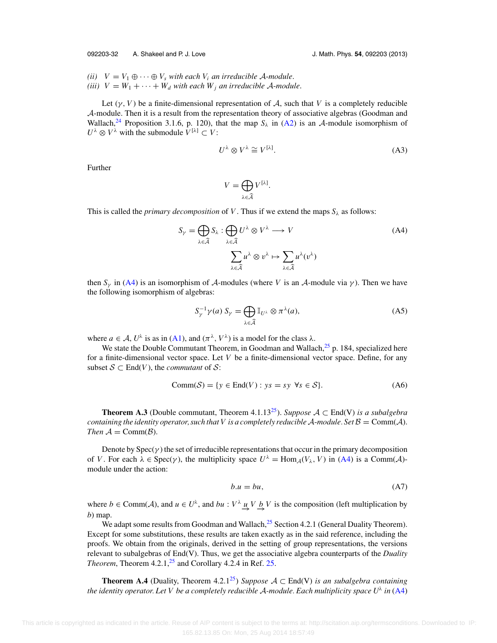<span id="page-33-0"></span>092203-32 A. Shakeel and P. J. Love J. Math. Phys. **54**, 092203 (2013)

*(ii)*  $V = V_1 \oplus \cdots \oplus V_s$  *with each*  $V_i$  *an irreducible A-module. (iii)*  $V = W_1 + \cdots + W_d$  *with each*  $W_i$  *an irreducible A-module.* 

Let  $(\gamma, V)$  be a finite-dimensional representation of A, such that V is a completely reducible A-module. Then it is a result from the representation theory of associative algebras (Goodman and Wallach,<sup>[24](#page-39-0)</sup> Proposition 3.1.6, p. 120), that the map  $S_\lambda$  in [\(A2\)](#page-32-0) is an A-module isomorphism of  $U^{\lambda} \otimes V^{\lambda}$  with the submodule  $V^{[\lambda]} \subset V$ :

$$
U^{\lambda} \otimes V^{\lambda} \cong V^{[\lambda]}.\tag{A3}
$$

Further

$$
V = \bigoplus_{\lambda \in \widehat{\mathcal{A}}} V^{[\lambda]}.
$$

This is called the *primary decomposition* of *V*. Thus if we extend the maps  $S_\lambda$  as follows:

$$
S_{\gamma} = \bigoplus_{\lambda \in \widehat{\mathcal{A}}} S_{\lambda} : \bigoplus_{\lambda \in \widehat{\mathcal{A}}} U^{\lambda} \otimes V^{\lambda} \longrightarrow V
$$
(A4)  

$$
\sum_{\lambda \in \widehat{\mathcal{A}}} u^{\lambda} \otimes v^{\lambda} \mapsto \sum_{\lambda \in \widehat{\mathcal{A}}} u^{\lambda}(v^{\lambda})
$$

then  $S_\gamma$  in (A4) is an isomorphism of A-modules (where *V* is an A-module via  $\gamma$ ). Then we have the following isomorphism of algebras:

$$
S_{\gamma}^{-1} \gamma(a) S_{\gamma} = \bigoplus_{\lambda \in \widehat{\mathcal{A}}} \mathbb{I}_{U^{\lambda}} \otimes \pi^{\lambda}(a), \tag{A5}
$$

where  $a \in A$ ,  $U^{\lambda}$  is as in [\(A1\)](#page-32-0), and  $(\pi^{\lambda}, V^{\lambda})$  is a model for the class  $\lambda$ .

We state the Double Commutant Theorem, in Goodman and Wallach, $^{25}$  p. 184, specialized here for a finite-dimensional vector space. Let *V* be a finite-dimensional vector space. Define, for any subset  $S \subset End(V)$ , the *commutant* of S:

$$
Comm(\mathcal{S}) = \{ y \in End(V) : ys = sy \ \forall s \in \mathcal{S} \}. \tag{A6}
$$

**Theorem A.3** (Double commutant, Theorem 4.1.13<sup>25</sup>). *Suppose*  $\mathcal{A} \subset$  End(V) *is a subalgebra containing the identity operator, such that V is a completely reducible*  $\mathcal{A}$ -*module.* Set  $\mathcal{B} = \text{Comm}(\mathcal{A})$ . *Then*  $A = \text{Comm}(\mathcal{B})$ *.* 

Denote by  $Spec(\gamma)$  the set of irreducible representations that occur in the primary decomposition of *V*. For each  $\lambda \in \text{Spec}(\gamma)$ , the multiplicity space  $U^{\lambda} = \text{Hom}_{\mathcal{A}}(V_{\lambda}, V)$  in (A4) is a Comm(A)module under the action:

$$
b.u = bu,\tag{A7}
$$

where  $b \in \text{Comm}(\mathcal{A})$ , and  $u \in U^{\lambda}$ , and  $bu : V^{\lambda} \underset{\longrightarrow}{\longrightarrow} V$  is the composition (left multiplication by *b*) map.

We adapt some results from Goodman and Wallach, $^{25}$  $^{25}$  $^{25}$  Section 4.2.1 (General Duality Theorem). Except for some substitutions, these results are taken exactly as in the said reference, including the proofs. We obtain from the originals, derived in the setting of group representations, the versions relevant to subalgebras of End(V). Thus, we get the associative algebra counterparts of the *Duality Theorem*, Theorem  $4.2.1<sup>25</sup>$  and Corollary  $4.2.4$  in Ref. [25.](#page-39-0)

**Theorem A.4** (Duality, Theorem 4.2.1<sup>25</sup>) *Suppose*  $\mathcal{A} \subset \text{End}(V)$  *is an subalgebra containing the identity operator. Let V be a completely reducible* A*-module. Each multiplicity space U*<sup>λ</sup> *in* (A4)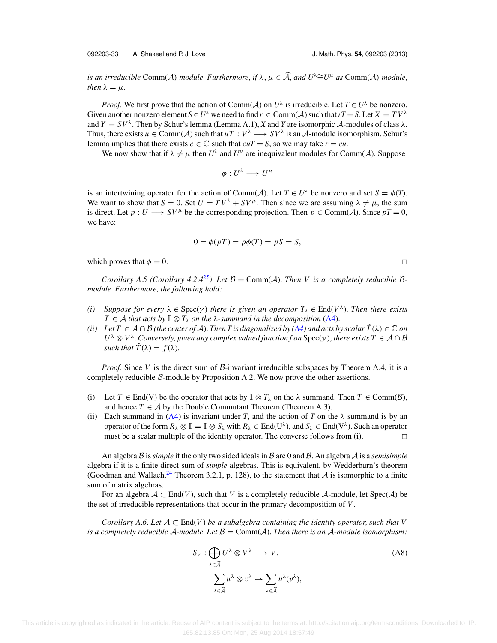092203-33 A. Shakeel and P. J. Love J. Math. Phys. **54**, 092203 (2013)

 $\Box$ 

*is an irreducible* Comm(A)-module. Furthermore, if  $\lambda, \mu \in \widehat{A}$ , and  $U^{\lambda} \cong U^{\mu}$  as Comm(A)-module, *then*  $\lambda = \mu$ .

*Proof.* We first prove that the action of Comm( $\mathcal{A}$ ) on  $U^{\lambda}$  is irreducible. Let  $T \in U^{\lambda}$  be nonzero. Given another nonzero element  $S \in U^{\lambda}$  we need to find  $r \in \text{Comm}(\mathcal{A})$  such that  $rT = S$ . Let  $X = TV^{\lambda}$ and  $Y = SV^{\lambda}$ . Then by Schur's lemma (Lemma A.1), *X* and *Y* are isomorphic *A*-modules of class  $\lambda$ . Thus, there exists  $u \in \text{Comm}(\mathcal{A})$  such that  $uT : V^{\lambda} \longrightarrow SV^{\lambda}$  is an  $\mathcal{A}$ -module isomorphism. Schur's lemma implies that there exists  $c \in \mathbb{C}$  such that  $cuT = S$ , so we may take  $r = cu$ .

We now show that if  $\lambda \neq \mu$  then  $U^{\lambda}$  and  $U^{\mu}$  are inequivalent modules for Comm(A). Suppose

$$
\phi:U^{\lambda}\longrightarrow U^{\mu}
$$

is an intertwining operator for the action of Comm(A). Let  $T \in U^{\lambda}$  be nonzero and set  $S = \phi(T)$ . We want to show that  $S = 0$ . Set  $U = TV^{\lambda} + SV^{\mu}$ . Then since we are assuming  $\lambda \neq \mu$ , the sum is direct. Let  $p: U \longrightarrow SV^{\mu}$  be the corresponding projection. Then  $p \in Comm(\mathcal{A})$ . Since  $pT = 0$ , we have:

$$
0 = \phi(pT) = p\phi(T) = pS = S,
$$

which proves that  $\phi = 0$ .

*Corollary A.5 (Corollary 4.2.4<sup>25</sup>). Let*  $\mathcal{B} = \text{Comm}(\mathcal{A})$ . Then V is a completely reducible  $\mathcal{B}$ *module. Furthermore, the following hold:*

- *(i)* Suppose for every  $\lambda \in \text{Spec}(\gamma)$  *there is given an operator*  $T_{\lambda} \in \text{End}(V^{\lambda})$ . *Then there exists*  $T \in \mathcal{A}$  *that acts by*  $\mathbb{I} \otimes T_\lambda$  *on the*  $\lambda$ -summand *in the decomposition* [\(A4\)](#page-33-0).
- *(ii)* Let  $T \in A \cap B$  *(the center of A). Then T* is diagonalized by [\(A4\)](#page-33-0) and acts by scalar  $\hat{T}(\lambda) \in \mathbb{C}$  on  $U^{\lambda} \otimes V^{\lambda}$ . *Conversely, given any complex valued function f on* Spec( $\gamma$ )*, there exists*  $T \in A \cap B$ *such that*  $\hat{T}(\lambda) = f(\lambda)$ .

*Proof.* Since *V* is the direct sum of B-invariant irreducible subspaces by Theorem A.4, it is a completely reducible  $\beta$ -module by Proposition A.2. We now prove the other assertions.

- (i) Let  $T \in End(V)$  be the operator that acts by  $\mathbb{I} \otimes T_\lambda$  on the  $\lambda$  summand. Then  $T \in Comm(\mathcal{B}),$ and hence  $T \in A$  by the Double Commutant Theorem (Theorem A.3).
- (ii) Each summand in  $(A4)$  is invariant under *T*, and the action of *T* on the  $\lambda$  summand is by an operator of the form  $R_\lambda \otimes \mathbb{I} = \mathbb{I} \otimes S_\lambda$  with  $R_\lambda \in \text{End}(U^\lambda)$ , and  $S_\lambda \in \text{End}(V^\lambda)$ . Such an operator must be a scalar multiple of the identity operator. The converse follows from (i).

An algebra B is*simple* if the only two sided ideals in B are 0 and B. An algebra A is a *semisimple* algebra if it is a finite direct sum of *simple* algebras. This is equivalent, by Wedderburn's theorem (Goodman and Wallach,  $^{24}$  $^{24}$  $^{24}$  Theorem 3.2.1, p. 128), to the statement that A is isomorphic to a finite sum of matrix algebras.

For an algebra  $A \subset End(V)$ , such that V is a completely reducible A-module, let Spec(A) be the set of irreducible representations that occur in the primary decomposition of *V*.

*Corollary A.6. Let*  $\mathcal{A} \subset \text{End}(V)$  *be a subalgebra containing the identity operator, such that* V *is a completely reducible*  $A$ -*module. Let*  $B = \text{Comm}(A)$ *. Then there is an A-module isomorphism:* 

$$
S_V : \bigoplus_{\lambda \in \widehat{\mathcal{A}}} U^{\lambda} \otimes V^{\lambda} \longrightarrow V,
$$
\n
$$
\sum_{\lambda \in \widehat{\mathcal{A}}} u^{\lambda} \otimes v^{\lambda} \mapsto \sum_{\lambda \in \widehat{\mathcal{A}}} u^{\lambda}(v^{\lambda}),
$$
\n(A8)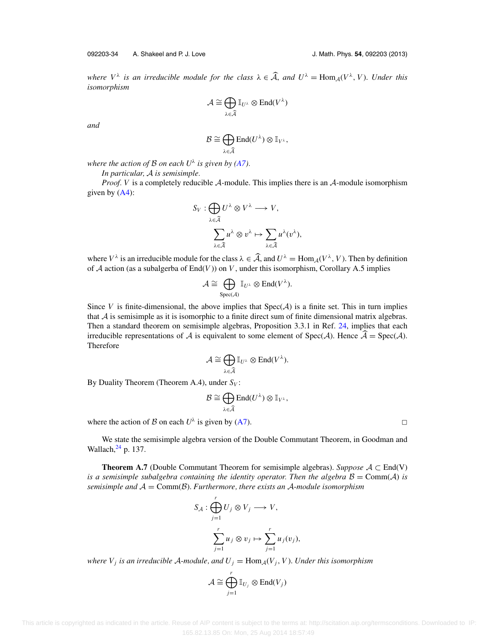092203-34 A. Shakeel and P. J. Love J. Math. Phys. **54**, 092203 (2013)

*where*  $V^{\lambda}$  *is an irreducible module for the class*  $\lambda \in \widehat{A}$ , *and*  $U^{\lambda} = \text{Hom}_{A}(V^{\lambda}, V)$ *. Under this isomorphism*

$$
\mathcal{A} \cong \bigoplus_{\lambda \in \widehat{\mathcal{A}}} \mathbb{I}_{U^{\lambda}} \otimes \text{End}(V^{\lambda})
$$

*and*

$$
\mathcal{B} \cong \bigoplus_{\lambda \in \widehat{\mathcal{A}}} \mathrm{End}(U^{\lambda}) \otimes \mathbb{I}_{V^{\lambda}},
$$

*where the action of*  $\beta$  *on each*  $U^{\lambda}$  *is given by [\(A7\)](#page-33-0).* 

*In particular,* A *is semisimple.*

*Proof. V* is a completely reducible A-module. This implies there is an A-module isomorphism given by  $(A4)$ :

$$
S_V: \bigoplus_{\lambda \in \widehat{\mathcal{A}}} U^{\lambda} \otimes V^{\lambda} \longrightarrow V,
$$

$$
\sum_{\lambda \in \widehat{\mathcal{A}}} u^{\lambda} \otimes v^{\lambda} \mapsto \sum_{\lambda \in \widehat{\mathcal{A}}} u^{\lambda}(v^{\lambda}),
$$

where  $V^{\lambda}$  is an irreducible module for the class  $\lambda \in \widehat{A}$ , and  $U^{\lambda} = \text{Hom}_{A}(V^{\lambda}, V)$ . Then by definition of  $A$  action (as a subalgerba of  $End(V)$ ) on  $V$ , under this isomorphism, Corollary A.5 implies

$$
\mathcal{A} \cong \bigoplus_{\text{Spec}(\mathcal{A})} \mathbb{I}_{U^\lambda} \otimes \text{End}(V^\lambda).
$$

Since *V* is finite-dimensional, the above implies that  $Spec(A)$  is a finite set. This in turn implies that  $A$  is semisimple as it is isomorphic to a finite direct sum of finite dimensional matrix algebras. Then a standard theorem on semisimple algebras, Proposition 3.3.1 in Ref. [24,](#page-39-0) implies that each irreducible representations of A is equivalent to some element of  $Spec(\mathcal{A})$ . Hence  $\mathcal{A} = Spec(\mathcal{A})$ . Therefore

$$
\mathcal{A} \cong \bigoplus_{\lambda \in \widehat{\mathcal{A}}} \mathbb{I}_{U^{\lambda}} \otimes \mathrm{End}(V^{\lambda}).
$$

By Duality Theorem (Theorem A.4), under  $S_V$ :

$$
\mathcal{B} \cong \bigoplus_{\lambda \in \widehat{\mathcal{A}}} \mathrm{End}(U^{\lambda}) \otimes \mathbb{I}_{V^{\lambda}},
$$

where the action of  $\beta$  on each  $U^{\lambda}$  is given by [\(A7\)](#page-33-0).

We state the semisimple algebra version of the Double Commutant Theorem, in Goodman and Wallach, $^{24}$  $^{24}$  $^{24}$  p. 137.

**Theorem A.7** (Double Commutant Theorem for semisimple algebras). *Suppose*  $\mathcal{A} \subset \text{End}(V)$ *is a semisimple subalgebra containing the identity operator. Then the algebra*  $B = \text{Comm}(A)$  *is semisimple and* A = Comm(B). *Furthermore, there exists an* A-*module isomorphism*

$$
S_{\mathcal{A}}: \bigoplus_{j=1}^{r} U_{j} \otimes V_{j} \longrightarrow V,
$$
  

$$
\sum_{j=1}^{r} u_{j} \otimes v_{j} \mapsto \sum_{j=1}^{r} u_{j}(v_{j}),
$$

*where*  $V_j$  *is an irreducible A-module, and*  $U_j = \text{Hom}_{\mathcal{A}}(V_j, V)$ *. Under this isomorphism* 

$$
\mathcal{A} \cong \bigoplus_{j=1}^r \mathbb{I}_{U_j} \otimes \text{End}(V_j)
$$

This article is copyrighted as indicated in the article. Reuse of AIP content is subject to the terms at: http://scitation.aip.org/termsconditions. Downloaded to IP: 165.82.13.85 On: Mon, 25 Aug 2014 18:57:49

 $\Box$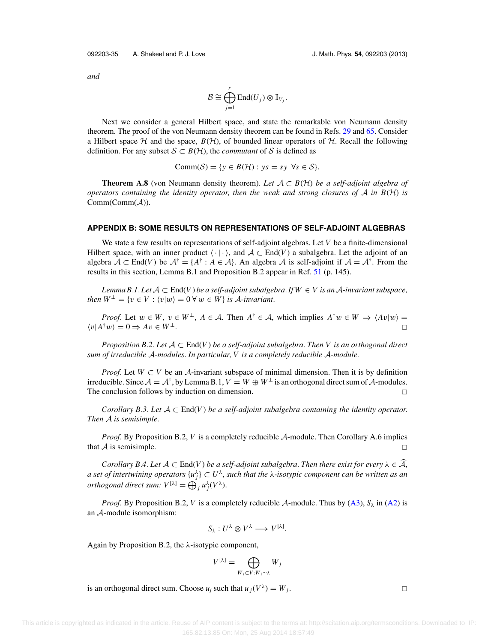<span id="page-36-0"></span>092203-35 A. Shakeel and P. J. Love J. Math. Phys. **54**, 092203 (2013)

*and*

$$
\mathcal{B} \cong \bigoplus_{j=1}^r \mathrm{End}(U_j) \otimes \mathbb{I}_{V_j}.
$$

Next we consider a general Hilbert space, and state the remarkable von Neumann density theorem. The proof of the von Neumann density theorem can be found in Refs. [29](#page-40-0) and [65.](#page-40-0) Consider a Hilbert space  $H$  and the space,  $B(H)$ , of bounded linear operators of H. Recall the following definition. For any subset  $S \subset B(H)$ , the *commutant* of S is defined as

$$
Comm(\mathcal{S}) = \{ y \in B(\mathcal{H}) : ys = sy \,\,\forall s \in \mathcal{S} \}.
$$

**Theorem A.8** (von Neumann density theorem). Let  $A \subset B(H)$  be a self-adjoint algebra of *operators containing the identity operator, then the weak and strong closures of*  $\mathcal A$  *in B(H) is*  $Comm(Comm(\mathcal{A}))$ .

#### **APPENDIX B: SOME RESULTS ON REPRESENTATIONS OF SELF-ADJOINT ALGEBRAS**

We state a few results on representations of self-adjoint algebras. Let *V* be a finite-dimensional Hilbert space, with an inner product  $\langle \cdot | \cdot \rangle$ , and  $\mathcal{A} \subset \text{End}(V)$  a subalgebra. Let the adjoint of an algebra  $A \subset End(V)$  be  $A^{\dagger} = \{A^{\dagger} : A \in A\}$ . An algebra A is self-adjoint if  $A = A^{\dagger}$ . From the results in this section, Lemma B.1 and Proposition B.2 appear in Ref. [51](#page-40-0) (p. 145).

*Lemma B.1. Let*  $A ⊂ End(V)$  *be a self-adjoint subalgebra. If*  $W ∈ V$  *is an*  $A$ -*invariant subspace*, *then*  $W^{\perp} = \{v \in V : \langle v|w \rangle = 0 \,\forall w \in W\}$  *is A-invariant.* 

*Proof.* Let  $w \in W$ ,  $v \in W^{\perp}$ ,  $A \in \mathcal{A}$ . Then  $A^{\dagger} \in \mathcal{A}$ , which implies  $A^{\dagger}w \in W \Rightarrow \langle Av|w \rangle =$  $\langle v|A^{\dagger}w\rangle = 0 \Rightarrow Av \in W^{\perp}$ .

*Proposition B.2. Let*  $\mathcal{A} \subset \text{End}(V)$  *be a self-adjoint subalgebra. Then* V *is an orthogonal direct sum of irreducible* A-*modules. In particular, V is a completely reducible* A-*module.*

*Proof.* Let  $W \subset V$  be an A-invariant subspace of minimal dimension. Then it is by definition irreducible. Since  $A = A^{\dagger}$ , by Lemma B.1,  $V = W \oplus W^{\perp}$  is an orthogonal direct sum of A-modules. The conclusion follows by induction on dimension.  $\Box$ 

*Corollary B.3. Let*  $A \subset End(V)$  *be a self-adjoint subalgebra containing the identity operator. Then* A *is semisimple.*

*Proof.* By Proposition B.2, *V* is a completely reducible A-module. Then Corollary A.6 implies that A is semisimple.  $\Box$ 

*Corollary B.4. Let*  $A \subset End(V)$  *be a self-adjoint subalgebra. Then there exist for every*  $\lambda \in \mathcal{A}$ , *a set of intertwining operators* {*u*<sup>λ</sup> *<sup>j</sup>*} ⊂ *U*<sup>λ</sup>, *such that the* λ*-isotypic component can be written as an orthogonal direct sum:*  $V^{[\lambda]} = \bigoplus_j u_j^{\lambda}(V^{\lambda})$ .

*Proof.* By Proposition B.2, *V* is a completely reducible A-module. Thus by  $(A3)$ ,  $S_\lambda$  in  $(A2)$  is an A-module isomorphism:

$$
S_{\lambda}:U^{\lambda}\otimes V^{\lambda}\longrightarrow V^{[\lambda]}.
$$

Again by Proposition B.2, the  $\lambda$ -isotypic component,

$$
V^{[\lambda]} = \bigoplus_{W_j \subset V: W_j \sim \lambda} W_j
$$

is an orthogonal direct sum. Choose  $u_j$  such that  $u_j(V^{\lambda}) = W_j$ .

 $\Box$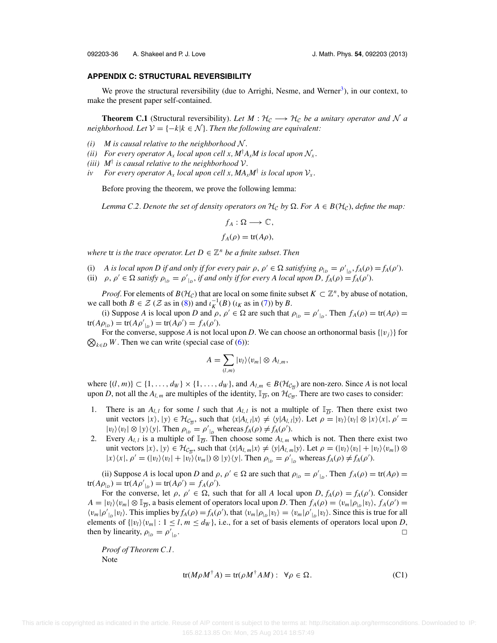<span id="page-37-0"></span>092203-36 A. Shakeel and P. J. Love J. Math. Phys. **54**, 092203 (2013)

#### **APPENDIX C: STRUCTURAL REVERSIBILITY**

We prove the structural reversibility (due to Arrighi, Nesme, and Werner<sup>3</sup>), in our context, to make the present paper self-contained.

**Theorem C.1** (Structural reversibility). Let  $M : \mathcal{H}_{\mathcal{C}} \longrightarrow \mathcal{H}_{\mathcal{C}}$  be a unitary operator and N a *neighborhood. Let*  $V = \{-k | k \in \mathcal{N}\}$ . *Then the following are equivalent:* 

- $(i)$  *M* is causal relative to the neighborhood  $N$ .
- (*ii*) For every operator  $A_x$  local upon cell x,  $M^{\dagger}A_xM$  is local upon  $\mathcal{N}_x$ .
- *(iii)*  $M^{\dagger}$  *is causal relative to the neighborhood*  $V$ *.*
- *iv* For every operator  $A_x$  *local upon cell x,*  $MA_xM^{\dagger}$  *is local upon*  $V_x$ .

Before proving the theorem, we prove the following lemma:

*Lemma C.2. Denote the set of density operators on*  $H_C$  *by*  $\Omega$ *. For*  $A \in B(H_C)$ *, define the map:* 

$$
f_A : \Omega \longrightarrow \mathbb{C},
$$
  

$$
f_A(\rho) = tr(A\rho),
$$

*where* **tr** *is the trace operator. Let*  $D \in \mathbb{Z}^n$  *be a finite subset. Then* 

- (i) *A is local upon D if and only if for every pair*  $\rho, \rho' \in \Omega$  satisfying  $\rho_{|D} = \rho'_{|D}, f_A(\rho) = f_A(\rho').$
- (ii)  $\rho, \rho' \in \Omega$  satisfy  $\rho_{|D} = \rho'_{|D}$ , if and only if for every A local upon D,  $f_A(\rho) = f_A(\rho')$ .

*Proof.* For elements of  $B(\mathcal{H}_c)$  that are local on some finite subset  $K \subset \mathbb{Z}^n$ , by abuse of notation, we call both  $B \in \mathcal{Z}$  ( $\mathcal{Z}$  as in [\(8\)](#page-12-0)) and  $\iota_K^{-1}(B)$  ( $\iota_K$  as in [\(7\)](#page-12-0)) by  $B$ .

(i) Suppose *A* is local upon *D* and  $\rho$ ,  $\rho' \in \Omega$  are such that  $\rho_{|D} = \rho'_{|D}$ . Then  $f_A(\rho) = \text{tr}(A\rho) =$  $tr(A\rho_{|_D}) = tr(A\rho'_{|_D}) = tr(A\rho') = f_A(\rho').$ 

 $\bigotimes_{k \in D} W$ . Then we can write (special case of [\(6\)](#page-9-0)): For the converse, suppose *A* is not local upon *D*. We can choose an orthonormal basis  $\{|v_i\rangle\}$  for

$$
A=\sum_{(l,m)}|v_l\rangle\langle v_m|\otimes A_{l,m},
$$

where  $\{(l, m)\}\subset\{1,\ldots,d_W\}\times\{1,\ldots,d_W\}$ , and  $A_{l,m}\in B(\mathcal{H}_{\mathcal{C}_D})$  are non-zero. Since *A* is not local upon *D*, not all the  $A_{l,m}$  are multiples of the identity,  $\mathbb{I}_{\overline{D}}$ , on  $\mathcal{H}_{C_{\overline{D}}}$ . There are two cases to consider:

- 1. There is an  $A_{l,l}$  for some *l* such that  $A_{l,l}$  is not a multiple of  $\mathbb{I}_{\overline{D}}$ . Then there exist two unit vectors  $|x\rangle$ ,  $|y\rangle \in \mathcal{H}_{\mathcal{C}_{\overline{D}}}$ , such that  $\langle x|A_{l, l}|x\rangle \neq \langle y|A_{l, l}|y\rangle$ . Let  $\rho = |v_l\rangle \langle v_l| \otimes |x\rangle \langle x|$ ,  $\rho' =$  $|v_l\rangle\langle v_l| \otimes |y\rangle\langle y|$ . Then  $\rho_{|D} = \rho'_{|D}$  whereas  $f_A(\rho) \neq f_A(\rho')$ .
- 2. Every  $A_{l,l}$  is a multiple of  $\mathbb{I}_{\overline{D}}$ . Then choose some  $A_{l,m}$  which is not. Then there exist two unit vectors  $|x\rangle$ ,  $|y\rangle \in \mathcal{H}_{\mathcal{C}_{\overline{D}}}$ , such that  $\langle x|A_{l,m}|x\rangle \neq \langle y|A_{l,m}|y\rangle$ . Let  $\rho = (\langle v_l \rangle \langle v_l | + |v_l \rangle \langle v_m |) \otimes$  $|x\rangle\langle x|, \rho' = (|v_l\rangle\langle v_l| + |v_l\rangle\langle v_m|) \otimes |y\rangle\langle y|$ . Then  $\rho_{|D} = \rho'_{|D}$  whereas  $f_A(\rho) \neq f_A(\rho')$ .

(ii) Suppose *A* is local upon *D* and  $\rho$ ,  $\rho' \in \Omega$  are such that  $\rho_{|D} = \rho'_{|D}$ . Then  $f_A(\rho) = \text{tr}(A\rho) =$  $tr(A\rho_{|_D}) = tr(A\rho'_{|_D}) = tr(A\rho') = f_A(\rho').$ 

For the converse, let  $\rho$ ,  $\rho' \in \Omega$ , such that for all *A* local upon *D*,  $f_A(\rho) = f_A(\rho')$ . Consider  $A = |v_l\rangle\langle v_m| \otimes \mathbb{I}_{\overline{D}}$ , a basis element of operators local upon *D*. Then  $f_A(\rho) = \langle v_m | \rho_{|D} | v_l \rangle$ ,  $f_A(\rho') =$  $\langle v_m|\rho'|_D|v_l\rangle$ . This implies by  $f_A(\rho) = f_A(\rho')$ , that  $\langle v_m|\rho|_D|v_l\rangle = \langle v_m|\rho'|_D|v_l\rangle$ . Since this is true for all elements of  $\{|v_l\rangle\langle v_m| : 1 \le l, m \le d_W\}$ , i.e., for a set of basis elements of operators local upon *D*, then by linearity,  $\rho_{|D} = \rho'_{|D}$ .  $|D$  **.**  $\Box$  $\Box$ 

*Proof of Theorem C.1.* Note

$$
tr(M\rho M^{\dagger}A) = tr(\rho M^{\dagger}AM): \ \forall \rho \in \Omega.
$$
 (C1)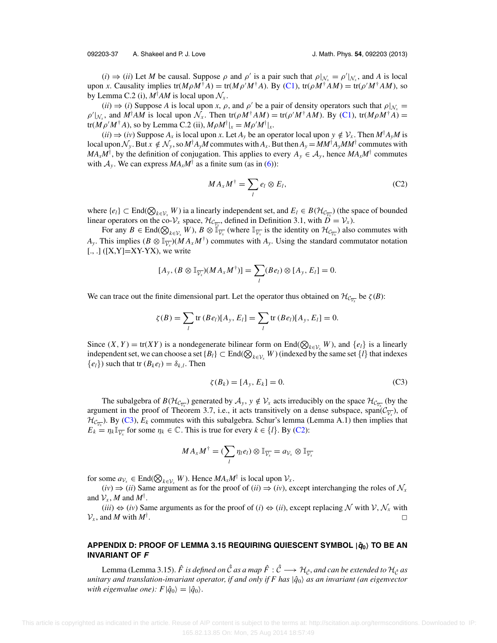<span id="page-38-0"></span>092203-37 A. Shakeel and P. J. Love J. Math. Phys. **54**, 092203 (2013)

 $(i) \Rightarrow (ii)$  Let *M* be causal. Suppose  $\rho$  and  $\rho'$  is a pair such that  $\rho|_{\mathcal{N}_x} = \rho'|_{\mathcal{N}_x}$ , and *A* is local upon *x*. Causality implies tr( $M\rho M^{\dagger}A$ ) = tr( $M\rho'M^{\dagger}A$ ). By [\(C1\)](#page-37-0), tr( $\rho M^{\dagger}AM$ ) = tr( $\rho'M^{\dagger}AM$ ), so by Lemma C.2 (i),  $M^{\dagger}AM$  is local upon  $\mathcal{N}_x$ .

 $(iii) \Rightarrow (i)$  Suppose *A* is local upon *x*,  $\rho$ , and  $\rho'$  be a pair of density operators such that  $\rho|_{\mathcal{N}_x} =$  $\rho'|_{\mathcal{N}_x}$ , and  $M^{\dagger}AM$  is local upon  $\mathcal{N}_x$ . Then tr( $\rho M^{\dagger}AM$ ) = tr( $\rho' M^{\dagger}AM$ ). By [\(C1\)](#page-37-0), tr( $M\rho M^{\dagger}A$ ) =  $tr(M \rho' M^{\dagger} A)$ , so by Lemma C.2 (ii),  $M \rho M^{\dagger}|_x = M \rho' M^{\dagger}|_x$ .

 $(iii) \Rightarrow (iv)$  Suppose  $A_x$  is local upon *x*. Let  $A_y$  be an operator local upon  $y \notin V_x$ . Then  $M^{\dagger}A_yM$  is local upon  $\mathcal{N}_y$ . But  $x \notin \mathcal{N}_y$ , so  $M^\dagger A_y M$  commutes with  $A_x$ . But then  $A_y = MM^\dagger A_y MM^\dagger$  commutes with  $MA_xM^{\dagger}$ , by the definition of conjugation. This applies to every  $A_y \in A_y$ , hence  $MA_xM^{\dagger}$  commutes with  $A_y$ . We can express  $MA_xM^{\dagger}$  as a finite sum (as in [\(6\)](#page-9-0)):

$$
M A_x M^{\dagger} = \sum_l e_l \otimes E_l, \tag{C2}
$$

where  $\{e_l\} \subset \text{End}(\bigotimes_{k \in \mathcal{V}_x} W)$  ia a linearly independent set, and  $E_l \in B(\mathcal{H}_{\mathcal{C}_{\overline{\mathcal{V}_x}}})$  (the space of bounded linear operators on the co- $V_x$  space,  $H_{\mathcal{C}_{\overline{\mathcal{V}_x}}}$ , defined in Definition 3.1, with  $\hat{D} = V_x$ ).

For any  $B \in \text{End}(\bigotimes_{k \in \mathcal{V}_x} W)$ ,  $B \otimes \mathbb{I}_{\overline{\mathcal{V}_x}}$  (where  $\mathbb{I}_{\overline{\mathcal{V}_x}}$  is the identity on  $\mathcal{H}_{\mathcal{C}_{\overline{\mathcal{V}_x}}}$ ) also commutes with *A<sub>y</sub>*. This implies  $(B \otimes \mathbb{I}_{\overline{V_x}})(M A_x M^{\dagger})$  commutes with *A<sub>y</sub>*. Using the standard commutator notation  $[.,.]$  ([X,Y]=XY-YX), we write

$$
[A_y, (B \otimes \mathbb{I}_{\overline{\mathcal{V}_x}})(M A_x M^{\dagger})] = \sum_l (B e_l) \otimes [A_y, E_l] = 0.
$$

We can trace out the finite dimensional part. Let the operator thus obtained on  $\mathcal{H}_{\mathcal{C}_{\overline{V}\mathcal{L}}}$  be  $\zeta(\mathcal{B})$ :

$$
\zeta(B) = \sum_{l} \text{tr}(Be_l)[A_y, E_l] = \sum_{l} \text{tr}(Be_l)[A_y, E_l] = 0.
$$

Since  $(X, Y) = \text{tr}(XY)$  is a nondegenerate bilinear form on End( $\bigotimes_{k \in V_X} W$ ), and  $\{e_i\}$  is a linearly independent set, we can choose a set  ${B_l} \subset End(\bigotimes_{k \in \mathcal{V}_x} W)$  (indexed by the same set  ${l}$  that indexes  ${e_l}$ ) such that tr  $(B_k e_l) = \delta_{k,l}$ . Then

$$
\zeta(B_k) = [A_y, E_k] = 0. \tag{C3}
$$

The subalgebra of  $B(\mathcal{H}_{\mathcal{C}_{\overline{\mathcal{V}_x}}}$  generated by  $\mathcal{A}_y$ ,  $y \notin \mathcal{V}_x$  acts irreducibly on the space  $\mathcal{H}_{\mathcal{C}_{\overline{\mathcal{V}_x}}}$  (by the argument in the proof of Theorem 3.7, i.e., it acts transitively on a dense subspace, span $(\mathcal{C}_{\overline{\mathcal{V}_x}})$ , of  $H_{\mathcal{C}_{\overline{Y_X}}}.$  By (C3),  $E_k$  commutes with this subalgebra. Schur's lemma (Lemma A.1) then implies that  $E_k = \eta_k \mathbb{I}_{\overline{\mathcal{V}}_k}$  for some  $\eta_k \in \mathbb{C}$ . This is true for every  $k \in \{l\}$ . By (C2):

$$
M A_x M^{\dagger} = (\sum_l \eta_l e_l) \otimes \mathbb{I}_{\overline{\mathcal{V}_x}} = a_{\mathcal{V}_x} \otimes \mathbb{I}_{\overline{\mathcal{V}_x}}
$$

for some  $a_{\mathcal{V}_x} \in \text{End}(\bigotimes_{k \in \mathcal{V}_x} W)$ . Hence  $MA_xM^{\dagger}$  is local upon  $\mathcal{V}_x$ .

 $(iv) \Rightarrow (ii)$  Same argument as for the proof of  $(ii) \Rightarrow (iv)$ , except interchanging the roles of  $\mathcal{N}_x$ and  $\mathcal{V}_x$ , *M* and  $M^{\dagger}$ .

(*iii*)  $\Leftrightarrow$  (*iv*) Same arguments as for the proof of (*i*)  $\Leftrightarrow$  (*ii*), except replacing N with V,  $\mathcal{N}_x$  with  $V_x$ , and *M* with *M*<sup>†</sup>. . The contract of the contract of the contract of the contract of the contract of the contract of the contract of the contract of the contract of the contract of the contract of the contract of the contract of the contrac  $\Box$ 

#### **APPENDIX D: PROOF OF LEMMA 3.15 REQUIRING QUIESCENT SYMBOL |qˆ <sup>0</sup>- TO BE AN INVARIANT OF F**

Lemma (Lemma 3.15).  $\hat{F}$  *is defined on*  $\hat{C}$  *as a map*  $\hat{F}: \hat{C} \longrightarrow \mathcal{H}_{\hat{C}}$ *, and can be extended to*  $\mathcal{H}_{\hat{C}}$  *as unitary and translation-invariant operator, if and only if F has*  $|q_0\rangle$  *as an invariant (an eigenvector with eigenvalue one):*  $F|\hat{q}_0\rangle = |\hat{q}_0\rangle$ .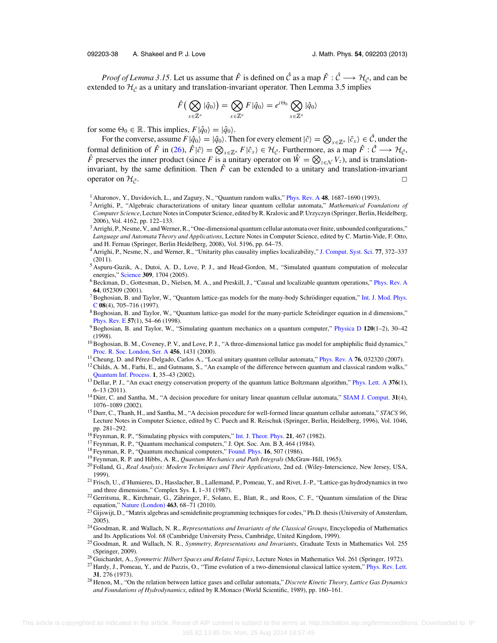<span id="page-39-0"></span>092203-38 A. Shakeel and P. J. Love J. Math. Phys. **54**, 092203 (2013)

*Proof of Lemma 3.15.* Let us assume that  $\hat{F}$  is defined on  $\hat{C}$  as a map  $\hat{F}: \hat{C} \longrightarrow H_{\hat{C}}$ , and can be extended to  $\mathcal{H}_{\hat{C}}$  as a unitary and translation-invariant operator. Then Lemma 3.5 implies

$$
\widehat{F}\left(\bigotimes_{x\in\mathbb{Z}^n}\ket{\widehat{q}_0}\right)=\bigotimes_{x\in\mathbb{Z}^n}F\ket{\widehat{q}_0}=e^{i\Theta_0}\bigotimes_{x\in\mathbb{Z}^n}\ket{\widehat{q}_0}
$$

for some  $\Theta_0 \in \mathbb{R}$ . This implies,  $F|\hat{q}_0\rangle = |\hat{q}_0\rangle$ .

For the converse, assume  $F|\hat{q}_0\rangle = |\hat{q}_0\rangle$ . Then for every element  $|\hat{c}\rangle = \bigotimes_{x \in \mathbb{Z}^n} |\hat{c}_x\rangle \in \hat{\mathcal{C}}$ , under the formal definition of  $\hat{F}$  in [\(26\)](#page-21-0),  $\hat{F}|\hat{c}\rangle = \bigotimes_{x \in \mathbb{Z}^n} F|\hat{c}_x\rangle \in \mathcal{H}_{\hat{c}}$ . Furthermore, as a map  $\hat{F}: \hat{C} \longrightarrow \mathcal{H}_{\hat{C}}$ ,  $\hat{F}$  preserves the inner product (since *F* is a unitary operator on  $\hat{W} = \bigotimes_{z \in \mathcal{N}} V_z$ ), and is translationinvariant, by the same definition. Then  $\hat{F}$  can be extended to a unitary and translation-invariant operator on  $\mathcal{H}_{\hat{C}}$ .

- <sup>1</sup> Aharonov, Y., Davidovich, L., and Zagury, N., "Quantum random walks," [Phys. Rev. A](http://dx.doi.org/10.1103/PhysRevA.48.1687) **48**, 1687–1690 (1993).
- <sup>2</sup> Arrighi, P., "Algebraic characterizations of unitary linear quantum cellular automata," *Mathematical Foundations of Computer Science*, Lecture Notes in Computer Science, edited by R. Kralovic and P. Urzyczyn (Springer, Berlin, Heidelberg, 2006), Vol. 4162, pp. 122–133.
- <sup>3</sup> Arrighi, P., Nesme, V., and Werner, R., "One-dimensional quantum cellular automata over finite, unbounded configurations," *Language and Automata Theory and Applications*, Lecture Notes in Computer Science, edited by C. Martin-Vide, F. Otto, and H. Fernau (Springer, Berlin Heidelberg, 2008), Vol. 5196, pp. 64–75.
- <sup>4</sup> Arrighi, P., Nesme, N., and Werner, R., "Unitarity plus causality implies localizability," [J. Comput. Syst. Sci.](http://dx.doi.org/10.1016/j.jcss.2010.05.004) **77**, 372–337 (2011).
- <sup>5</sup> Aspuru-Guzik, A., Dutoi, A. D., Love, P. J., and Head-Gordon, M., "Simulated quantum computation of molecular energies," [Science](http://dx.doi.org/10.1126/science.1113479) **309**, 1704 (2005).
- 6Beckman, D., Gottesman, D., Nielsen, M. A., and Preskill, J., "Causal and localizable quantum operations," [Phys. Rev. A](http://dx.doi.org/10.1103/PhysRevA.64.052309) **64**, 052309 (2001).
- $<sup>7</sup>$  Boghosian, B. and Taylor, W., "Quantum lattice-gas models for the many-body Schrödinger equation," [Int. J. Mod. Phys.](http://dx.doi.org/10.1142/S0129183197000606)</sup> [C](http://dx.doi.org/10.1142/S0129183197000606) **08**(4), 705–716 (1997).
- 8 Boghosian, B. and Taylor, W., "Quantum lattice-gas model for the many-particle Schrödinger equation in d dimensions," [Phys. Rev. E](http://dx.doi.org/10.1103/PhysRevE.57.54) **57**(1), 54–66 (1998).
- 9Boghosian, B. and Taylor, W., "Simulating quantum mechanics on a quantum computer," [Physica D](http://dx.doi.org/10.1016/S0167-2789(98)00042-6) **120**(1–2), 30–42 (1998).
- $10$  Boghosian, B. M., Coveney, P. V., and Love, P. J., "A three-dimensional lattice gas model for amphiphilic fluid dynamics," [Proc. R. Soc. London, Ser. A](http://dx.doi.org/10.1098/rspa.2000.0570) **456**, 1431 (2000).
- <sup>11</sup> Cheung, D. and Pérez-Delgado, Carlos A., "Local unitary quantum cellular automata," [Phys. Rev. A](http://dx.doi.org/10.1103/PhysRevA.76.032320) **76**, 032320 (2007).
- $12$ Childs, A. M., Farhi, E., and Gutmann, S., "An example of the difference between quantum and classical random walks," [Quantum Inf. Process.](http://dx.doi.org/10.1023/A:1019609420309) **1**, 35–43 (2002).
- <sup>13</sup> Dellar, P. J., "An exact energy conservation property of the quantum lattice Boltzmann algorithm," [Phys. Lett. A](http://dx.doi.org/10.1016/j.physleta.2011.10.014) **376**(1), 6–13 (2011).
- <sup>14</sup> Dürr, C. and Santha, M., "A decision procedure for unitary linear quantum cellular automata," [SIAM J. Comput.](http://dx.doi.org/10.1137/S0097539797327702) 31(4), 1076–1089 (2002).
- <sup>15</sup> Durr, C., Thanh, H., and Santha, M., "A decision procedure for well-formed linear quantum cellular automata," *STACS 96*, Lecture Notes in Computer Science, edited by C. Puech and R. Reischuk (Springer, Berlin, Heidelberg, 1996), Vol. 1046, pp. 281–292.
- <sup>16</sup> Feynman, R. P., "Simulating physics with computers," [Int. J. Theor. Phys.](http://dx.doi.org/10.1007/BF02650179) **21**, 467 (1982).
- <sup>17</sup> Feynman, R. P., "Quantum mechanical computers," J. Opt. Soc. Am. B **3**, 464 (1984).
- <sup>18</sup> Feynman, R. P., "Quantum mechanical computers," [Found. Phys.](http://dx.doi.org/10.1007/BF01886518) **16**, 507 (1986).
- <sup>19</sup> Feynman, R. P. and Hibbs, A. R., *Quantum Mechanics and Path Integrals* (McGraw-Hill, 1965).
- <sup>20</sup> Folland, G., *Real Analysis: Modern Techniques and Their Applications*, 2nd ed. (Wiley-Interscience, New Jersey, USA, 1999).
- <sup>21</sup> Frisch, U., d'Humieres, D., Hasslacher, B., Lallemand, P., Pomeau, Y., and Rivet, J.-P., "Lattice-gas hydrodynamics in two and three dimensions," Complex Sys. **1**, 1–31 (1987).
- $^{22}$  Gerritsma, R., Kirchmair, G., Zähringer, F., Solano, E., Blatt, R., and Roos, C. F., "Quantum simulation of the Dirac equation," [Nature \(London\)](http://dx.doi.org/10.1038/nature08688) **463**, 68–71 (2010).
- <sup>23</sup> Gijswijt, D., "Matrix algebras and semidefinite programming techniques for codes," Ph.D. thesis (University of Amsterdam, 2005).
- <sup>24</sup> Goodman, R. and Wallach, N. R., *Representations and Invariants of the Classical Groups*, Encyclopedia of Mathematics and Its Applications Vol. 68 (Cambridge University Press, Cambridge, United Kingdom, 1999).
- <sup>25</sup> Goodman, R. and Wallach, N. R., *Symmetry, Representations and Invariants*, Graduate Texts in Mathematics Vol. 255 (Springer, 2009).
- <sup>26</sup> Guichardet, A., *Symmetric Hilbert Spaces and Related Topics*, Lecture Notes in Mathematics Vol. 261 (Springer, 1972).
- <sup>27</sup> Hardy, J., Pomeau, Y., and de Pazzis, O., "Time evolution of a two-dimensional classical lattice system," [Phys. Rev. Lett.](http://dx.doi.org/10.1103/PhysRevLett.31.276) **31**, 276 (1973).
- <sup>28</sup> Henon, M., "On the relation between lattice gases and cellular automata," *Discrete Kinetic Theory, Lattice Gas Dynamics and Foundations of Hydrodynamics*, edited by R.Monaco (World Scientific, 1989), pp. 160–161.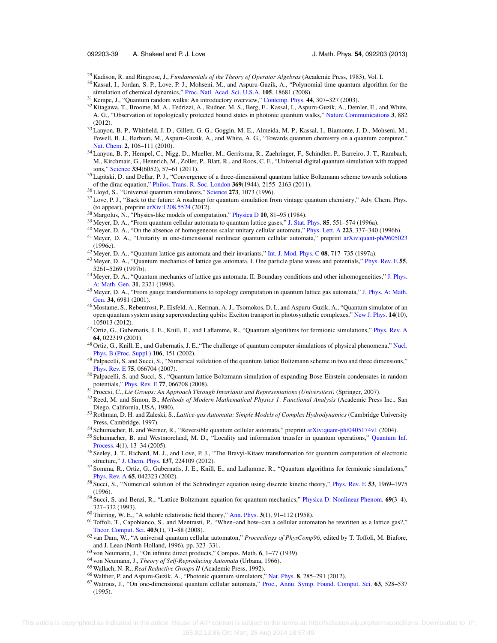<span id="page-40-0"></span><sup>29</sup> Kadison, R. and Ringrose, J., *Fundamentals of the Theory of Operator Algebras* (Academic Press, 1983), Vol. I.

- <sup>30</sup> Kassal, I., Jordan, S. P., Love, P. J., Mohseni, M., and Aspuru-Guzik, A., "Polynomial time quantum algorithm for the simulation of chemical dynamics," [Proc. Natl. Acad. Sci. U.S.A.](http://dx.doi.org/10.1073/pnas.0808245105) **105**, 18681 (2008).
- <sup>31</sup> Kempe, J., "Quantum random walks: An introductory overview," [Contemp. Phys.](http://dx.doi.org/10.1080/00107151031000110776) **44**, 307–327 (2003).
- <sup>32</sup> Kitagawa, T., Broome, M. A., Fedrizzi, A., Rudner, M. S., Berg, E., Kassal, I., Aspuru-Guzik, A., Demler, E., and White, A. G., "Observation of topologically protected bound states in photonic quantum walks," [Nature Communications](http://dx.doi.org/10.1038/ncomms1872) **3**, 882 (2012).
- 33 Lanyon, B. P., Whitfield, J. D., Gillett, G. G., Goggin, M. E., Almeida, M. P., Kassal, I., Biamonte, J. D., Mohseni, M., Powell, B. J., Barbieri, M., Aspuru-Guzik, A., and White, A. G., "Towards quantum chemistry on a quantum computer," [Nat. Chem.](http://dx.doi.org/10.1038/nchem.483) **2**, 106–111 (2010).
- <sup>34</sup> Lanyon, B. P., Hempel, C., Nigg, D., Mueller, M., Gerritsma, R., Zaehringer, F., Schindler, P., Barreiro, J. T., Rambach, M., Kirchmair, G., Hennrich, M., Zoller, P., Blatt, R., and Roos, C. F., "Universal digital quantum simulation with trapped ions," [Science](http://dx.doi.org/10.1126/science.1208001) **334**(6052), 57–61 (2011).
- <sup>35</sup> Lapitski, D. and Dellar, P. J., "Convergence of a three-dimensional quantum lattice Boltzmann scheme towards solutions of the dirac equation," [Philos. Trans. R. Soc. London](http://dx.doi.org/10.1098/rsta.2011.0017) **369**(1944), 2155–2163 (2011).
- <sup>36</sup> Lloyd, S., "Universal quantum simulators," [Science](http://dx.doi.org/10.1126/science.273.5278.1073) **273**, 1073 (1996).
- $37$  Love, P. J., "Back to the future: A roadmap for quantum simulation from vintage quantum chemistry," Adv. Chem. Phys. (to appear), preprint [arXiv:1208.5524](http://arxiv.org/abs/1208.5524) (2012).
- <sup>38</sup> Margolus, N., "Physics-like models of computation," [Physica D](http://dx.doi.org/10.1016/0167-2789(84)90252-5) **10**, 81–95 (1984).
- <sup>39</sup> Meyer, D. A., "From quantum cellular automata to quantum lattice gases," [J. Stat. Phys.](http://dx.doi.org/10.1007/BF02199356) **85**, 551–574 (1996a).
- <sup>40</sup> Meyer, D. A., "On the absence of homogeneous scalar unitary cellular automata," [Phys. Lett. A](http://dx.doi.org/10.1016/S0375-9601(96)00745-1) **223**, 337–340 (1996b).
- <sup>41</sup> Meyer, D. A., "Unitarity in one-dimensional nonlinear quantum cellular automata," preprint [arXiv:quant-ph/9605023](http://arxiv.org/abs/quant-ph/9605023) (1996c).
- <sup>42</sup> Meyer, D. A., "Quantum lattice gas automata and their invariants," [Int. J. Mod. Phys. C](http://dx.doi.org/10.1142/S0129183197000618) **08**, 717–735 (1997a).
- <sup>43</sup> Meyer, D. A., "Quantum mechanics of lattice gas automata. I. One particle plane waves and potentials," [Phys. Rev. E](http://dx.doi.org/10.1103/PhysRevE.55.5261) **55**, 5261–5269 (1997b).
- <sup>44</sup> Meyer, D. A., "Quantum mechanics of lattice gas automata. II. Boundary conditions and other inhomogeneities," [J. Phys.](http://dx.doi.org/10.1088/0305-4470/31/10/009) [A: Math. Gen.](http://dx.doi.org/10.1088/0305-4470/31/10/009) **31**, 2321 (1998).
- <sup>45</sup> Meyer, D. A., "From gauge transformations to topology computation in quantum lattice gas automata," [J. Phys. A: Math.](http://dx.doi.org/10.1088/0305-4470/34/35/323) [Gen.](http://dx.doi.org/10.1088/0305-4470/34/35/323) **34**, 6981 (2001).
- <sup>46</sup> Mostame, S., Rebentrost, P., Eisfeld, A., Kerman, A. J., Tsomokos, D. I., and Aspuru-Guzik, A., "Quantum simulator of an open quantum system using superconducting qubits: Exciton transport in photosynthetic complexes," [New J. Phys.](http://dx.doi.org/10.1088/1367-2630/14/10/105013) **14**(10), 105013 (2012).
- <sup>47</sup> Ortiz, G., Gubernatis, J. E., Knill, E., and Laflamme, R., "Quantum algorithms for fermionic simulations," [Phys. Rev. A](http://dx.doi.org/10.1103/PhysRevA.64.022319) **64**, 022319 (2001).
- <sup>48</sup> Ortiz, G., Knill, E., and Gubernatis, J. E.,"The challenge of quantum computer simulations of physical phenomena," [Nucl.](http://dx.doi.org/10.1016/S0920-5632(01)01654-1) [Phys. B \(Proc. Suppl.\)](http://dx.doi.org/10.1016/S0920-5632(01)01654-1) **106**, 151 (2002).
- <sup>49</sup> Palpacelli, S. and Succi, S., "Numerical validation of the quantum lattice Boltzmann scheme in two and three dimensions," [Phys. Rev. E](http://dx.doi.org/10.1103/PhysRevE.75.066704) **75**, 066704 (2007).
- <sup>50</sup> Palpacelli, S. and Succi, S., "Quantum lattice Boltzmann simulation of expanding Bose-Einstein condensates in random potentials," [Phys. Rev. E](http://dx.doi.org/10.1103/PhysRevE.77.066708) **77**, 066708 (2008).
- <sup>51</sup> Procesi, C., *Lie Groups: An Approach Through Invariants and Representations (Universitext)* (Springer, 2007).
- 52Reed, M. and Simon, B., *Methods of Modern Mathematical Physics 1. Functional Analysis* (Academic Press Inc., San Diego, California, USA, 1980).
- 53Rothman, D. H. and Zaleski, S., *Lattice-gas Automata: Simple Models of Complex Hydrodynamics* (Cambridge University Press, Cambridge, 1997).
- <sup>54</sup> Schumacher, B. and Werner, R., "Reversible quantum cellular automata," preprint [arXiv:quant-ph/0405174v1](http://arxiv.org/abs/quant-ph/0405174v1) (2004).
- <sup>55</sup> Schumacher, B. and Westmoreland, M. D., "Locality and information transfer in quantum operations," [Quantum Inf.](http://dx.doi.org/10.1007/s11128-004-3193-y) [Process.](http://dx.doi.org/10.1007/s11128-004-3193-y) **4**(1), 13–34 (2005).
- <sup>56</sup> Seeley, J. T., Richard, M. J., and Love, P. J., "The Bravyi-Kitaev transformation for quantum computation of electronic structure," [J. Chem. Phys.](http://dx.doi.org/10.1063/1.4768229) **137**, 224109 (2012).
- <sup>57</sup> Somma, R., Ortiz, G., Gubernatis, J. E., Knill, E., and Laflamme, R., "Quantum algorithms for fermionic simulations," [Phys. Rev. A](http://dx.doi.org/10.1103/PhysRevA.65.042323) **65**, 042323 (2002).
- <sup>58</sup> Succi, S., "Numerical solution of the Schrodinger equation using discrete kinetic theory," ¨ [Phys. Rev. E](http://dx.doi.org/10.1103/PhysRevE.53.1969) **53**, 1969–1975 (1996).
- <sup>59</sup> Succi, S. and Benzi, R., "Lattice Boltzmann equation for quantum mechanics," [Physica D: Nonlinear Phenom.](http://dx.doi.org/10.1016/0167-2789(93)90096-J) **69**(3–4), 327–332 (1993).
- <sup>60</sup> Thirring, W. E., "A soluble relativistic field theory," [Ann. Phys.](http://dx.doi.org/10.1016/0003-4916(58)90015-0) **3**(1), 91–112 (1958).
- <sup>61</sup> Toffoli, T., Capobianco, S., and Mentrasti, P., "When–and how–can a cellular automaton be rewritten as a lattice gas?," [Theor. Comput. Sci.](http://dx.doi.org/10.1016/j.tcs.2008.04.047) **403**(1), 71–88 (2008).
- <sup>62</sup> van Dam, W., "A universal quantum cellular automaton," *Proceedings of PhysComp96*, edited by T. Toffoli, M. Biafore, and J. Leao (North-Holland, 1996), pp. 323–331.
- <sup>63</sup> von Neumann, J., "On infinite direct products," Compos. Math. **6**, 1–77 (1939).
- <sup>64</sup> von Neumann, J., *Theory of Self-Reproducing Automata* (Urbana, 1966).
- 65Wallach, N. R., *Real Reductive Groups II* (Academic Press, 1992).
- 66Walther, P. and Aspuru-Guzik, A., "Photonic quantum simulators," [Nat. Phys.](http://dx.doi.org/10.1038/nphys2253) **8**, 285–291 (2012).
- 67Watrous, J., "On one-dimensional quantum cellular automata," [Proc., Annu. Symp. Found. Comput. Sci.](http://dx.doi.org/10.1109/SFCS.1995.492583) **63**, 528–537 (1995).